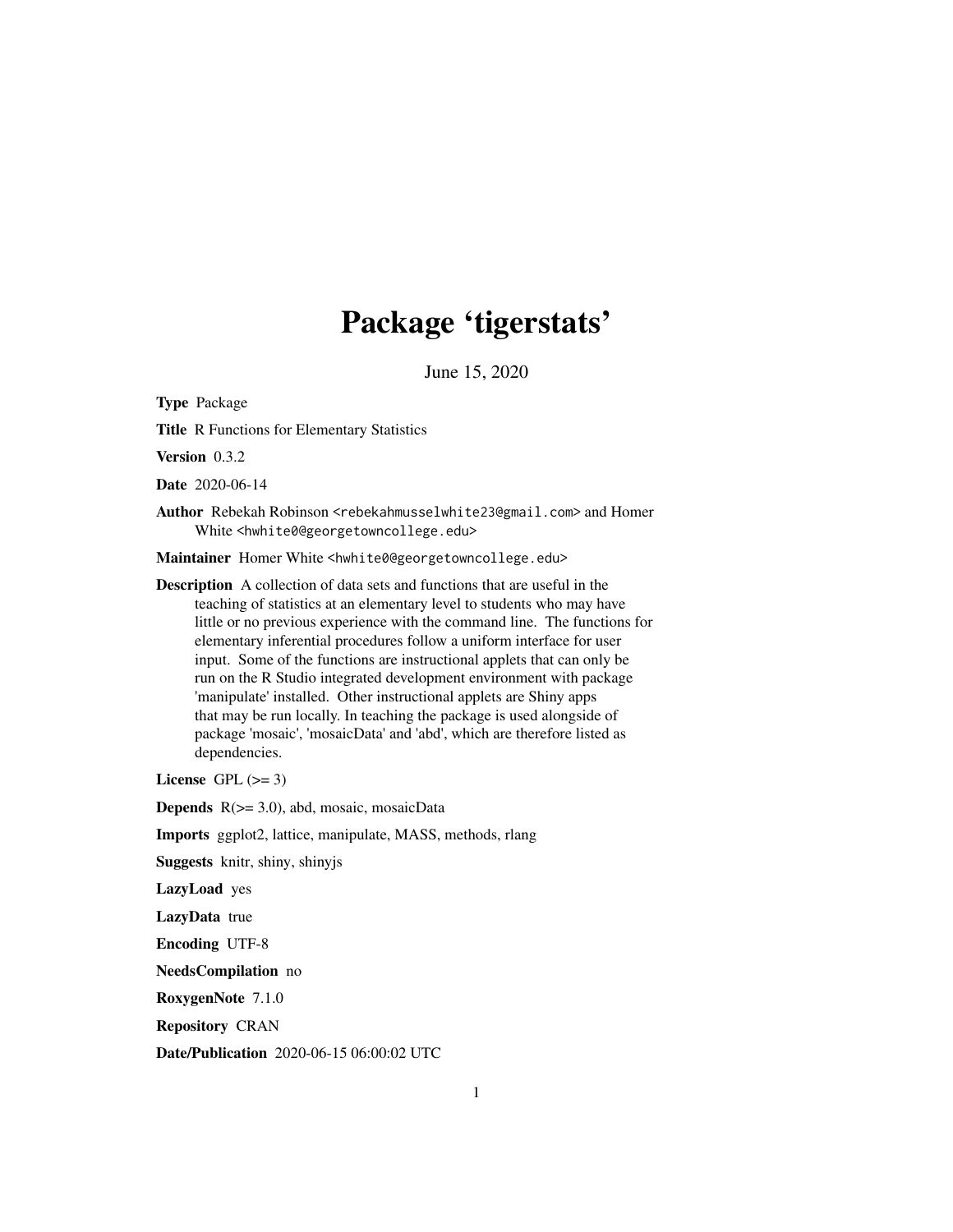# Package 'tigerstats'

June 15, 2020

<span id="page-0-0"></span>Type Package

Title R Functions for Elementary Statistics

Version 0.3.2

Date 2020-06-14

Author Rebekah Robinson <rebekahmusselwhite23@gmail.com> and Homer White <hwhite0@georgetowncollege.edu>

Maintainer Homer White <hwhite0@georgetowncollege.edu>

Description A collection of data sets and functions that are useful in the teaching of statistics at an elementary level to students who may have little or no previous experience with the command line. The functions for elementary inferential procedures follow a uniform interface for user input. Some of the functions are instructional applets that can only be run on the R Studio integrated development environment with package 'manipulate' installed. Other instructional applets are Shiny apps that may be run locally. In teaching the package is used alongside of package 'mosaic', 'mosaicData' and 'abd', which are therefore listed as dependencies.

License GPL  $(>= 3)$ 

Depends R(>= 3.0), abd, mosaic, mosaicData

Imports ggplot2, lattice, manipulate, MASS, methods, rlang

Suggests knitr, shiny, shinyjs

LazyLoad yes

LazyData true

Encoding UTF-8

NeedsCompilation no

RoxygenNote 7.1.0

Repository CRAN

Date/Publication 2020-06-15 06:00:02 UTC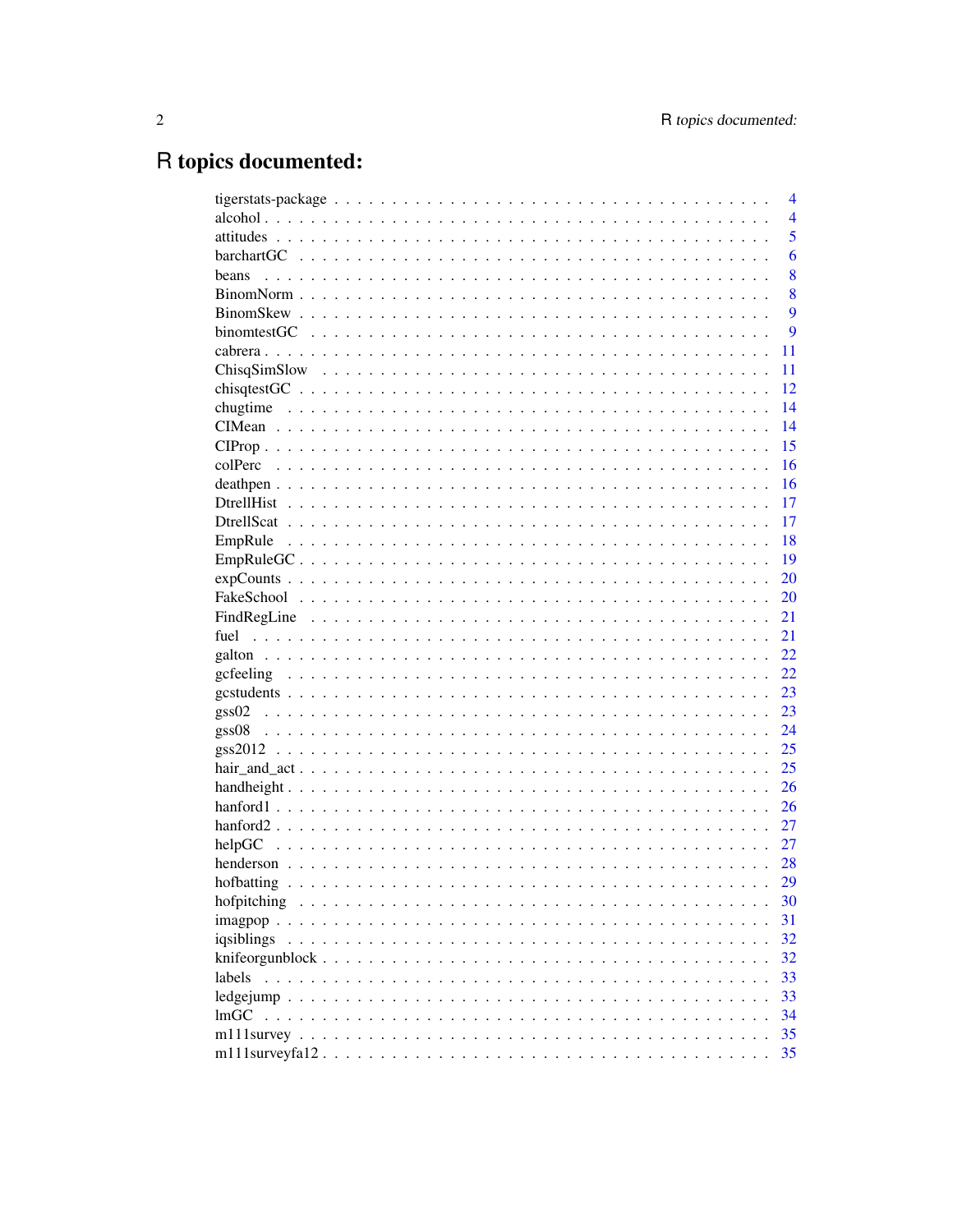# R topics documented:

|             | 4              |
|-------------|----------------|
|             | $\overline{4}$ |
|             | 5              |
|             | 6              |
| beans       | 8              |
|             | 8              |
|             | 9              |
|             | 9              |
|             | 11             |
|             | 11             |
|             | 12             |
|             | 14             |
|             | 14             |
|             | 15             |
|             | 16             |
|             | 16             |
|             | 17             |
|             | 17             |
|             | 18             |
|             | 19             |
|             | 20             |
|             | 20             |
|             | 21             |
|             | 21             |
|             | 22             |
|             | 22             |
|             | 23             |
|             | 23             |
| gss08       | 24             |
|             | 25             |
|             | 25             |
|             | 26             |
|             | 26             |
|             | 27             |
| helpGC      | 27             |
|             | 28             |
|             | 29             |
|             | 30             |
| hofpitching | 31             |
|             |                |
| iqsiblings  | 32             |
|             | 32             |
| labels      | 33             |
|             | 33             |
| lmGC        | 34             |
|             | 35             |
|             | 35             |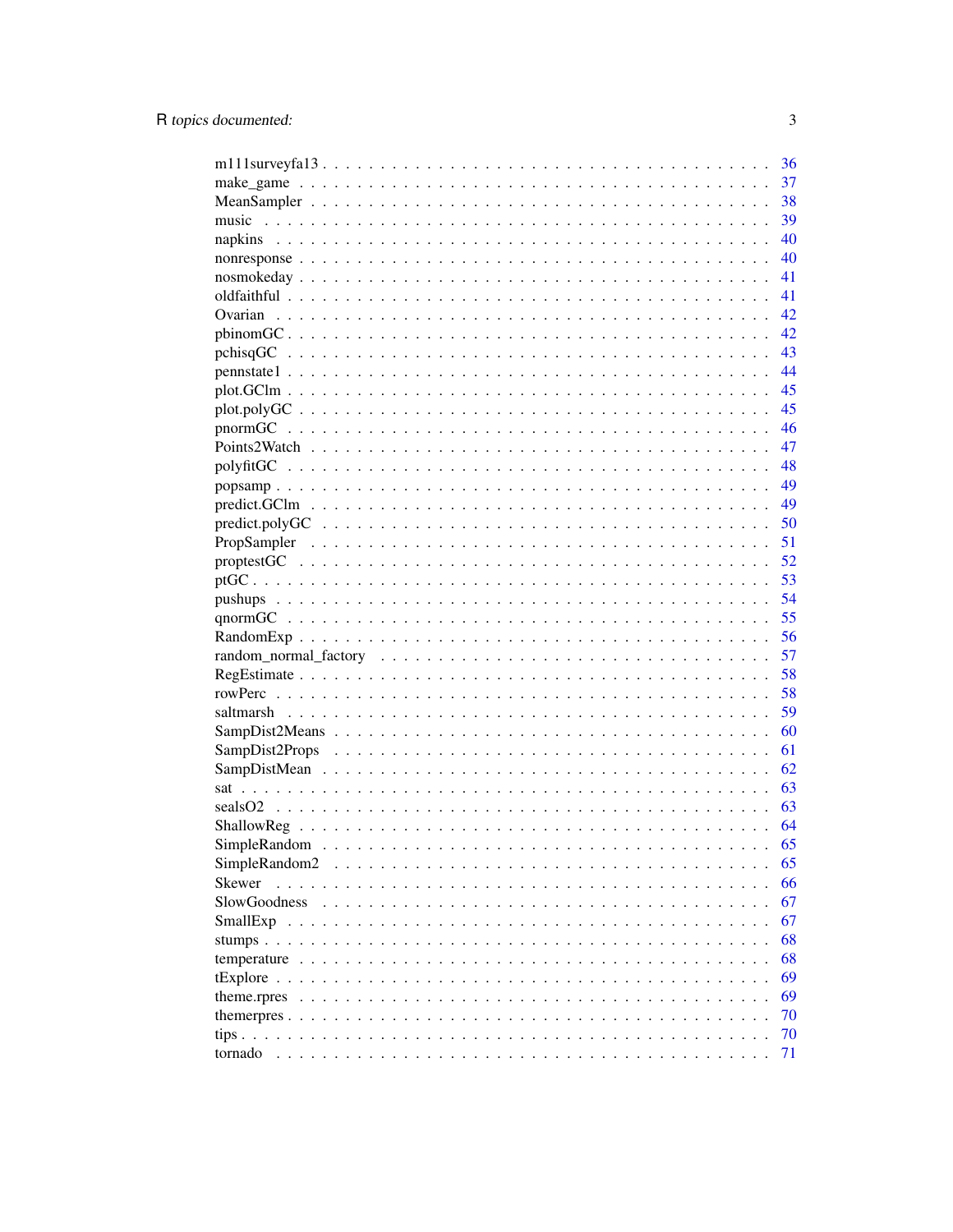|                                                                                                                                                                                                                                                                                                                                                                                                                 | 36       |
|-----------------------------------------------------------------------------------------------------------------------------------------------------------------------------------------------------------------------------------------------------------------------------------------------------------------------------------------------------------------------------------------------------------------|----------|
|                                                                                                                                                                                                                                                                                                                                                                                                                 | 37       |
|                                                                                                                                                                                                                                                                                                                                                                                                                 | 38       |
|                                                                                                                                                                                                                                                                                                                                                                                                                 | 39       |
|                                                                                                                                                                                                                                                                                                                                                                                                                 | 40       |
|                                                                                                                                                                                                                                                                                                                                                                                                                 | 40       |
|                                                                                                                                                                                                                                                                                                                                                                                                                 | 41       |
|                                                                                                                                                                                                                                                                                                                                                                                                                 | 41       |
|                                                                                                                                                                                                                                                                                                                                                                                                                 | 42       |
|                                                                                                                                                                                                                                                                                                                                                                                                                 | 42       |
|                                                                                                                                                                                                                                                                                                                                                                                                                 | 43       |
|                                                                                                                                                                                                                                                                                                                                                                                                                 | 44       |
|                                                                                                                                                                                                                                                                                                                                                                                                                 | 45       |
|                                                                                                                                                                                                                                                                                                                                                                                                                 | 45       |
|                                                                                                                                                                                                                                                                                                                                                                                                                 | 46       |
|                                                                                                                                                                                                                                                                                                                                                                                                                 | 47       |
|                                                                                                                                                                                                                                                                                                                                                                                                                 | 48       |
|                                                                                                                                                                                                                                                                                                                                                                                                                 | 49       |
|                                                                                                                                                                                                                                                                                                                                                                                                                 | 49       |
|                                                                                                                                                                                                                                                                                                                                                                                                                 | 50       |
|                                                                                                                                                                                                                                                                                                                                                                                                                 | 51       |
|                                                                                                                                                                                                                                                                                                                                                                                                                 | 52       |
|                                                                                                                                                                                                                                                                                                                                                                                                                 | 53       |
|                                                                                                                                                                                                                                                                                                                                                                                                                 | 54       |
|                                                                                                                                                                                                                                                                                                                                                                                                                 | 55       |
|                                                                                                                                                                                                                                                                                                                                                                                                                 | 56       |
|                                                                                                                                                                                                                                                                                                                                                                                                                 | 57       |
|                                                                                                                                                                                                                                                                                                                                                                                                                 | 58       |
|                                                                                                                                                                                                                                                                                                                                                                                                                 |          |
|                                                                                                                                                                                                                                                                                                                                                                                                                 | 58<br>59 |
|                                                                                                                                                                                                                                                                                                                                                                                                                 | 60       |
|                                                                                                                                                                                                                                                                                                                                                                                                                 |          |
|                                                                                                                                                                                                                                                                                                                                                                                                                 | 61       |
|                                                                                                                                                                                                                                                                                                                                                                                                                 | 62       |
|                                                                                                                                                                                                                                                                                                                                                                                                                 | 63       |
|                                                                                                                                                                                                                                                                                                                                                                                                                 | 63       |
|                                                                                                                                                                                                                                                                                                                                                                                                                 | 64       |
|                                                                                                                                                                                                                                                                                                                                                                                                                 | 65       |
| SimpleRandom2<br>the contract of the contract of the contract of the contract of the contract of the contract of the contract of the contract of the contract of the contract of the contract of the contract of the contract of the contract o                                                                                                                                                                 | 65       |
| Skewer<br>$\sim$ $\sim$ $\sim$<br>$\mathbf{1}$ $\mathbf{1}$ $\mathbf{1}$ $\mathbf{1}$ $\mathbf{1}$<br>$\sim$<br>$\sim$<br>$\sim$<br>$\cdot$ $\cdot$                                                                                                                                                                                                                                                             | 66       |
| <b>SlowGoodness</b><br>$\mathcal{A}^{(1)}\mathcal{A}^{(2)}\mathcal{A}^{(3)}\mathcal{A}^{(4)}\mathcal{A}^{(5)}\mathcal{A}^{(6)}\mathcal{A}^{(6)}\mathcal{A}^{(7)}\mathcal{A}^{(8)}\mathcal{A}^{(8)}\mathcal{A}^{(8)}\mathcal{A}^{(8)}\mathcal{A}^{(8)}\mathcal{A}^{(8)}\mathcal{A}^{(8)}\mathcal{A}^{(8)}\mathcal{A}^{(8)}\mathcal{A}^{(8)}\mathcal{A}^{(8)}\mathcal{A}^{(8)}\mathcal{A}^{(8)}\mathcal{A}^{(8)}$ | 67       |
| $\ddotsc$                                                                                                                                                                                                                                                                                                                                                                                                       | 67       |
| $\ddot{\phantom{1}}$                                                                                                                                                                                                                                                                                                                                                                                            | 68       |
| temperature $\ldots \ldots \ldots \ldots \ldots \ldots \ldots \ldots \ldots$                                                                                                                                                                                                                                                                                                                                    | 68       |
|                                                                                                                                                                                                                                                                                                                                                                                                                 | 69       |
| theme.rpres<br>$\sim$ $\sim$<br>$\ddotsc$                                                                                                                                                                                                                                                                                                                                                                       | 69       |
|                                                                                                                                                                                                                                                                                                                                                                                                                 | 70       |
| tips $\ldots$                                                                                                                                                                                                                                                                                                                                                                                                   | 70       |
| tornado                                                                                                                                                                                                                                                                                                                                                                                                         | 71       |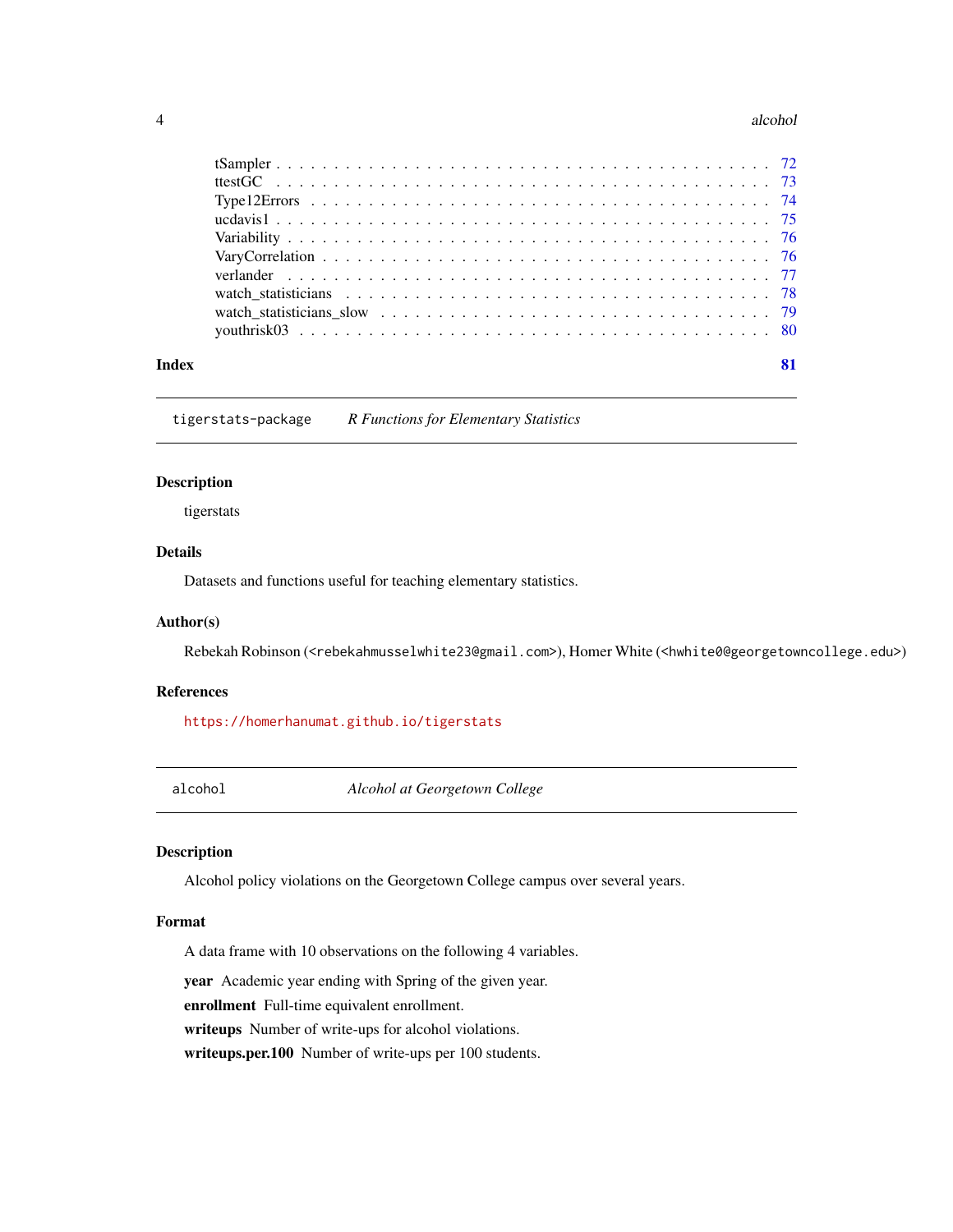#### <span id="page-3-0"></span>4 alcohol and  $\alpha$  alcohol and  $\alpha$  alcohol and  $\alpha$  alcohol and  $\alpha$  alcohol and  $\alpha$  alcohol and  $\alpha$  and  $\alpha$  and  $\alpha$  and  $\alpha$  and  $\alpha$  and  $\alpha$  and  $\alpha$  and  $\alpha$  and  $\alpha$  and  $\alpha$  and  $\alpha$  and  $\alpha$  and  $\alpha$  and  $\alpha$  a

| Index |  |
|-------|--|

tigerstats-package *R Functions for Elementary Statistics*

# Description

tigerstats

# Details

Datasets and functions useful for teaching elementary statistics.

#### Author(s)

Rebekah Robinson (<rebekahmusselwhite23@gmail.com>), Homer White (<hwhite0@georgetowncollege.edu>)

# References

<https://homerhanumat.github.io/tigerstats>

alcohol *Alcohol at Georgetown College*

# Description

Alcohol policy violations on the Georgetown College campus over several years.

# Format

A data frame with 10 observations on the following 4 variables.

year Academic year ending with Spring of the given year.

enrollment Full-time equivalent enrollment.

writeups Number of write-ups for alcohol violations.

writeups.per.100 Number of write-ups per 100 students.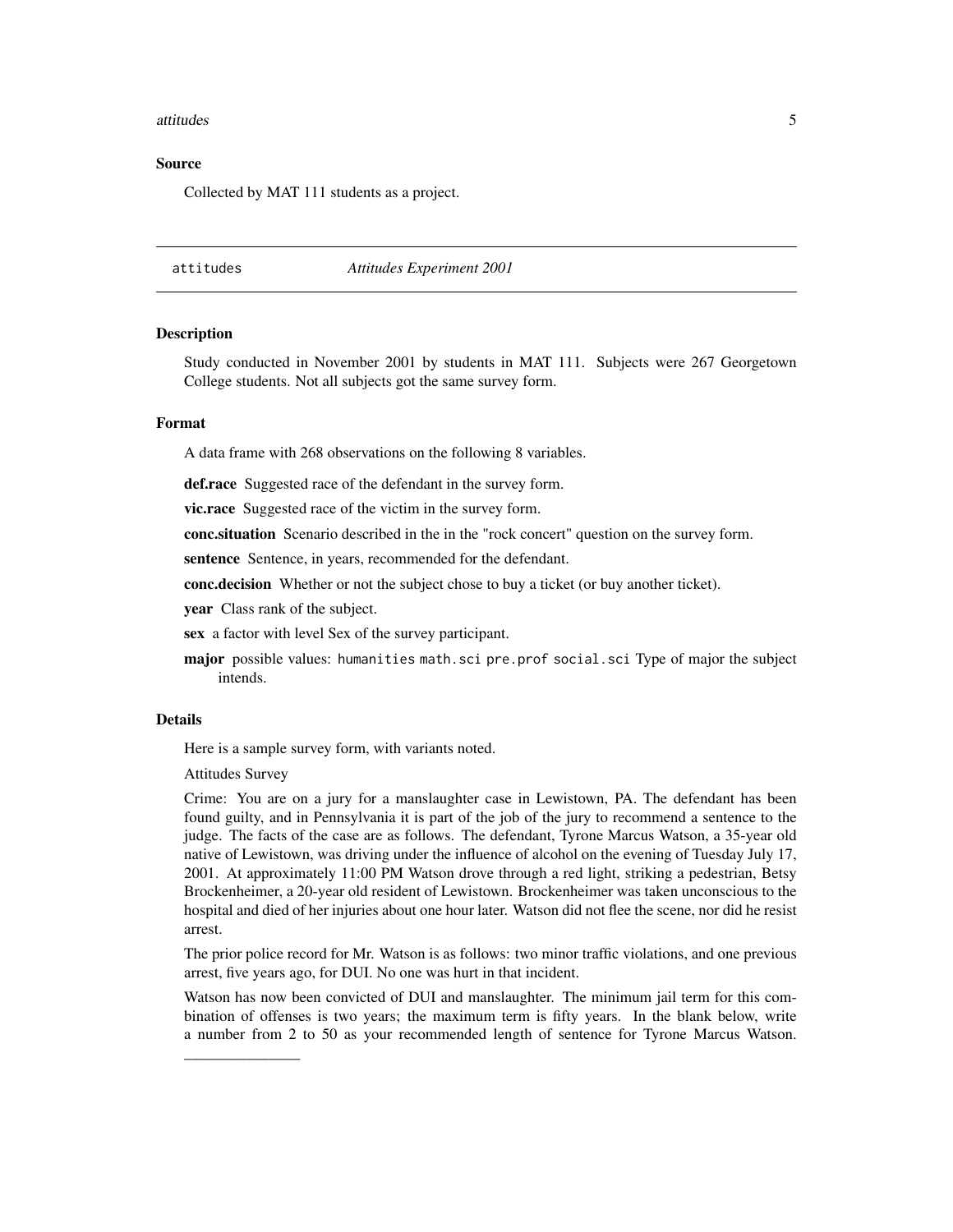#### <span id="page-4-0"></span>attitudes 5

# Source

Collected by MAT 111 students as a project.

#### attitudes *Attitudes Experiment 2001*

#### Description

Study conducted in November 2001 by students in MAT 111. Subjects were 267 Georgetown College students. Not all subjects got the same survey form.

#### Format

A data frame with 268 observations on the following 8 variables.

def.race Suggested race of the defendant in the survey form.

vic.race Suggested race of the victim in the survey form.

conc.situation Scenario described in the in the "rock concert" question on the survey form.

sentence Sentence, in years, recommended for the defendant.

conc.decision Whether or not the subject chose to buy a ticket (or buy another ticket).

year Class rank of the subject.

sex a factor with level Sex of the survey participant.

major possible values: humanities math.sci pre.prof social.sci Type of major the subject intends.

# Details

Here is a sample survey form, with variants noted.

Attitudes Survey

\_\_\_\_\_\_\_\_\_\_\_\_\_\_\_

Crime: You are on a jury for a manslaughter case in Lewistown, PA. The defendant has been found guilty, and in Pennsylvania it is part of the job of the jury to recommend a sentence to the judge. The facts of the case are as follows. The defendant, Tyrone Marcus Watson, a 35-year old native of Lewistown, was driving under the influence of alcohol on the evening of Tuesday July 17, 2001. At approximately 11:00 PM Watson drove through a red light, striking a pedestrian, Betsy Brockenheimer, a 20-year old resident of Lewistown. Brockenheimer was taken unconscious to the hospital and died of her injuries about one hour later. Watson did not flee the scene, nor did he resist arrest.

The prior police record for Mr. Watson is as follows: two minor traffic violations, and one previous arrest, five years ago, for DUI. No one was hurt in that incident.

Watson has now been convicted of DUI and manslaughter. The minimum jail term for this combination of offenses is two years; the maximum term is fifty years. In the blank below, write a number from 2 to 50 as your recommended length of sentence for Tyrone Marcus Watson.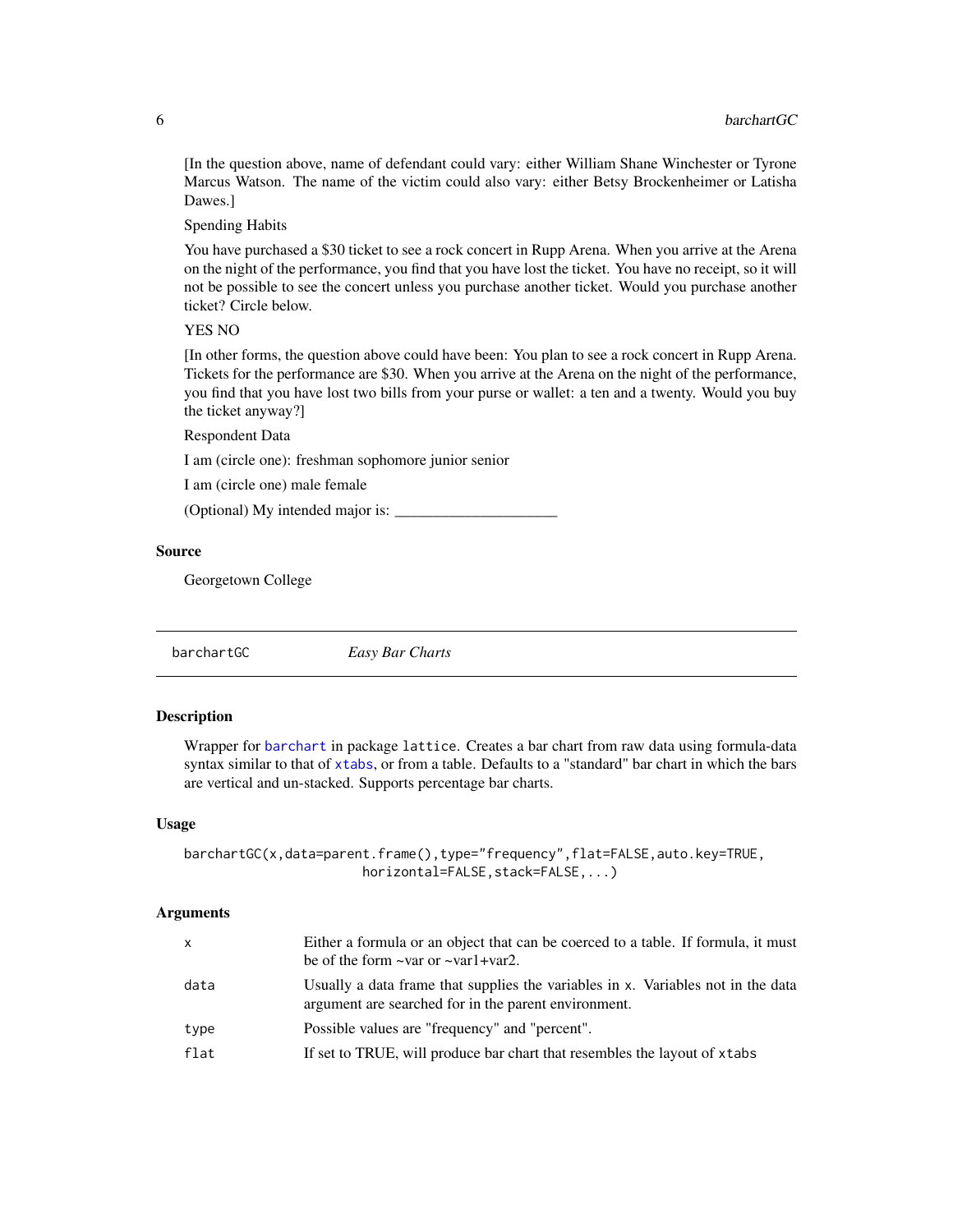<span id="page-5-0"></span>[In the question above, name of defendant could vary: either William Shane Winchester or Tyrone Marcus Watson. The name of the victim could also vary: either Betsy Brockenheimer or Latisha Dawes.]

Spending Habits

You have purchased a \$30 ticket to see a rock concert in Rupp Arena. When you arrive at the Arena on the night of the performance, you find that you have lost the ticket. You have no receipt, so it will not be possible to see the concert unless you purchase another ticket. Would you purchase another ticket? Circle below.

#### YES NO

[In other forms, the question above could have been: You plan to see a rock concert in Rupp Arena. Tickets for the performance are \$30. When you arrive at the Arena on the night of the performance, you find that you have lost two bills from your purse or wallet: a ten and a twenty. Would you buy the ticket anyway?]

Respondent Data

I am (circle one): freshman sophomore junior senior

I am (circle one) male female

(Optional) My intended major is:

#### Source

Georgetown College

barchartGC *Easy Bar Charts*

# Description

Wrapper for [barchart](#page-0-0) in package lattice. Creates a bar chart from raw data using formula-data syntax similar to that of [xtabs](#page-0-0), or from a table. Defaults to a "standard" bar chart in which the bars are vertical and un-stacked. Supports percentage bar charts.

#### Usage

```
barchartGC(x,data=parent.frame(),type="frequency",flat=FALSE,auto.key=TRUE,
                       horizontal=FALSE, stack=FALSE,...)
```
#### Arguments

| $\mathsf{X}$ | Either a formula or an object that can be coerced to a table. If formula, it must<br>be of the form $\sim$ var or $\sim$ var1+var2.      |
|--------------|------------------------------------------------------------------------------------------------------------------------------------------|
| data         | Usually a data frame that supplies the variables in x. Variables not in the data<br>argument are searched for in the parent environment. |
| type         | Possible values are "frequency" and "percent".                                                                                           |
| flat         | If set to TRUE, will produce bar chart that resembles the layout of xtabs                                                                |
|              |                                                                                                                                          |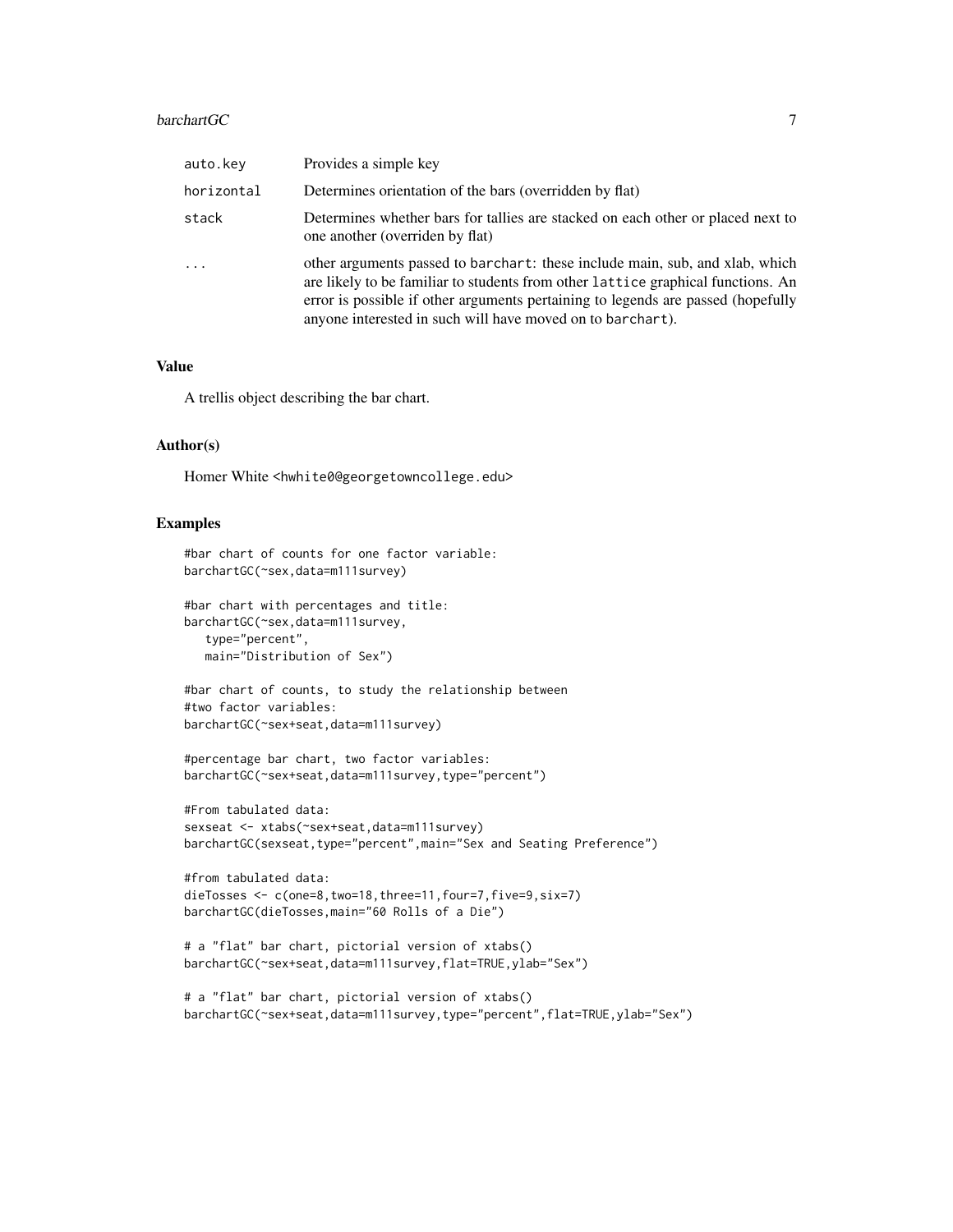#### barchartGC 7 and 2008 7 and 2008 7 and 2008 7 and 2008 7 and 2008 7 and 2008 7 and 2008 7 and 2008 7 and 2008 7 and 2008 7 and 2008 7 and 2008 7 and 2008 7 and 2008 7 and 2008 7 and 2008 7 and 2008 7 and 2008 7 and 2008 7

| auto.kev   | Provides a simple key                                                                                                                                                                                                                                                                                              |
|------------|--------------------------------------------------------------------------------------------------------------------------------------------------------------------------------------------------------------------------------------------------------------------------------------------------------------------|
| horizontal | Determines orientation of the bars (overridden by flat)                                                                                                                                                                                                                                                            |
| stack      | Determines whether bars for tallies are stacked on each other or placed next to<br>one another (overriden by flat)                                                                                                                                                                                                 |
| $\ddots$   | other arguments passed to barchart: these include main, sub, and xlab, which<br>are likely to be familiar to students from other lattice graphical functions. An<br>error is possible if other arguments pertaining to legends are passed (hopefully<br>anyone interested in such will have moved on to barchart). |

#### Value

A trellis object describing the bar chart.

# Author(s)

Homer White <hwhite0@georgetowncollege.edu>

# Examples

```
#bar chart of counts for one factor variable:
barchartGC(~sex,data=m111survey)
```
#bar chart with percentages and title: barchartGC(~sex,data=m111survey, type="percent", main="Distribution of Sex")

#bar chart of counts, to study the relationship between #two factor variables: barchartGC(~sex+seat,data=m111survey)

```
#percentage bar chart, two factor variables:
barchartGC(~sex+seat,data=m111survey,type="percent")
```

```
#From tabulated data:
sexseat <- xtabs(~sex+seat,data=m111survey)
barchartGC(sexseat,type="percent",main="Sex and Seating Preference")
```

```
#from tabulated data:
dieTosses <- c(one=8,two=18,three=11,four=7,five=9,six=7)
barchartGC(dieTosses,main="60 Rolls of a Die")
```

```
# a "flat" bar chart, pictorial version of xtabs()
barchartGC(~sex+seat,data=m111survey,flat=TRUE,ylab="Sex")
```

```
# a "flat" bar chart, pictorial version of xtabs()
barchartGC(~sex+seat,data=m111survey,type="percent",flat=TRUE,ylab="Sex")
```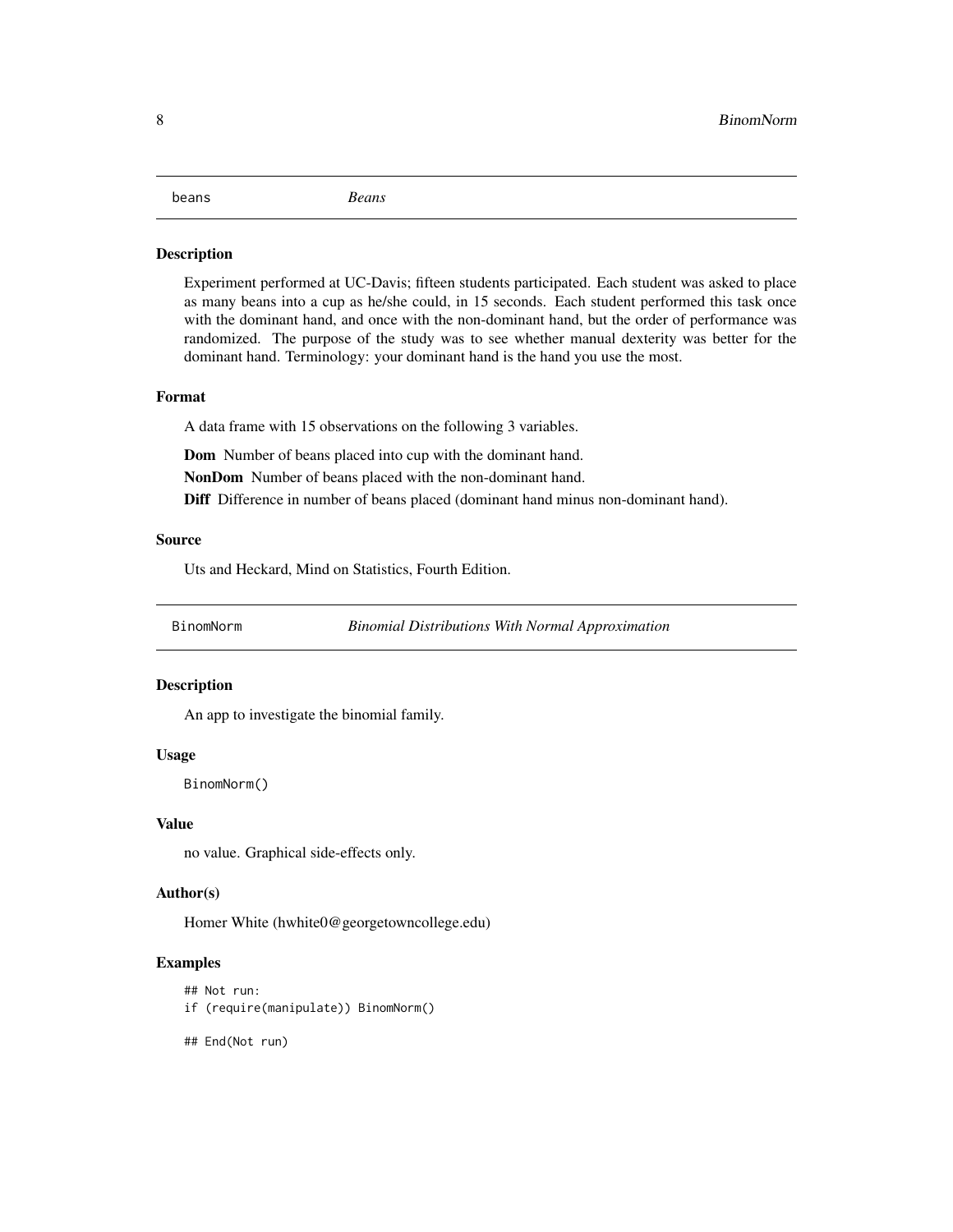#### <span id="page-7-0"></span>beans *Beans*

#### **Description**

Experiment performed at UC-Davis; fifteen students participated. Each student was asked to place as many beans into a cup as he/she could, in 15 seconds. Each student performed this task once with the dominant hand, and once with the non-dominant hand, but the order of performance was randomized. The purpose of the study was to see whether manual dexterity was better for the dominant hand. Terminology: your dominant hand is the hand you use the most.

#### Format

A data frame with 15 observations on the following 3 variables.

Dom Number of beans placed into cup with the dominant hand.

NonDom Number of beans placed with the non-dominant hand.

Diff Difference in number of beans placed (dominant hand minus non-dominant hand).

# Source

Uts and Heckard, Mind on Statistics, Fourth Edition.

BinomNorm *Binomial Distributions With Normal Approximation*

#### **Description**

An app to investigate the binomial family.

#### Usage

BinomNorm()

#### Value

no value. Graphical side-effects only.

#### Author(s)

Homer White (hwhite0@georgetowncollege.edu)

#### Examples

```
## Not run:
```
if (require(manipulate)) BinomNorm()

## End(Not run)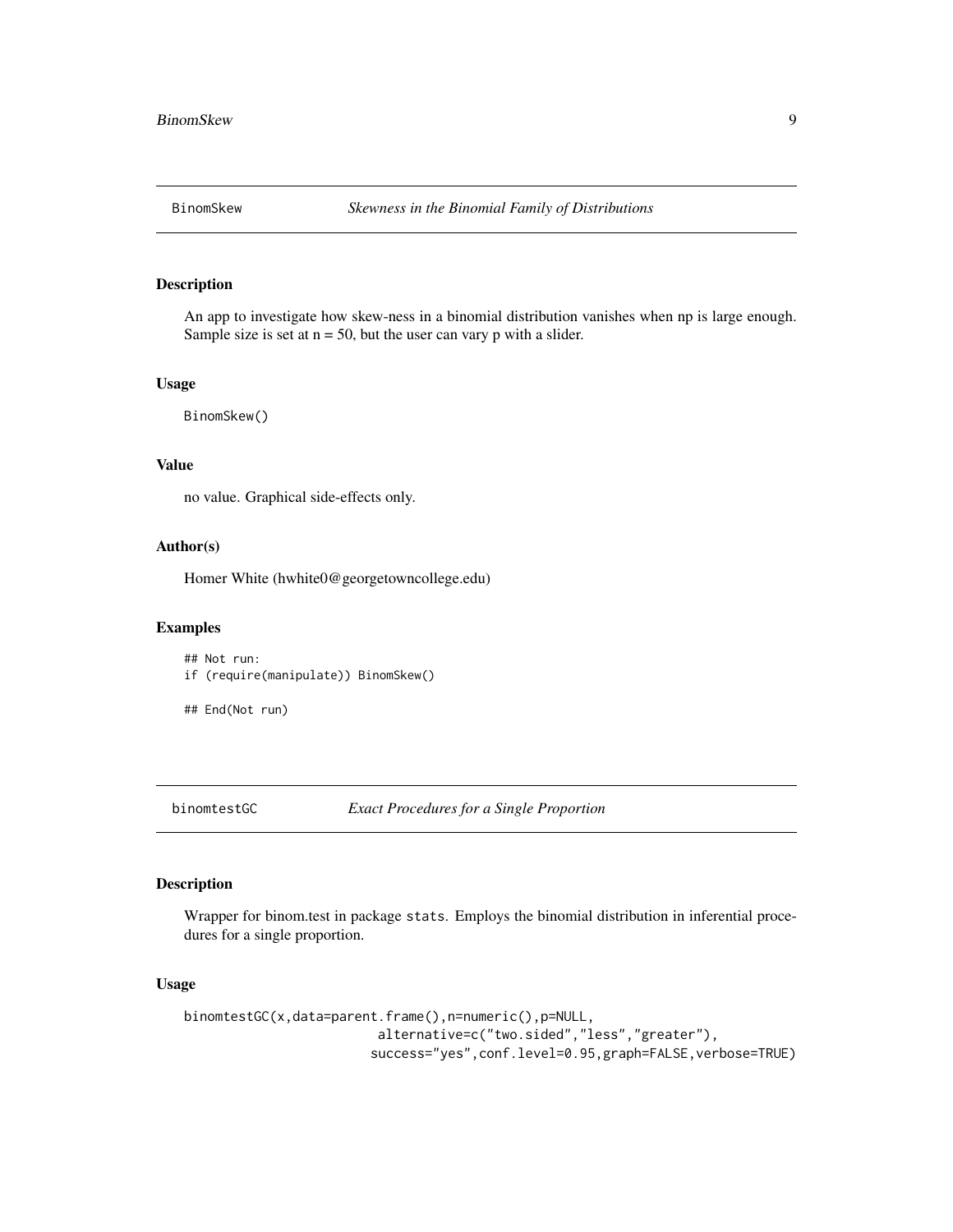<span id="page-8-0"></span>

An app to investigate how skew-ness in a binomial distribution vanishes when np is large enough. Sample size is set at  $n = 50$ , but the user can vary p with a slider.

# Usage

BinomSkew()

# Value

no value. Graphical side-effects only.

# Author(s)

Homer White (hwhite0@georgetowncollege.edu)

#### Examples

## Not run: if (require(manipulate)) BinomSkew()

## End(Not run)

binomtestGC *Exact Procedures for a Single Proportion*

# Description

Wrapper for binom.test in package stats. Employs the binomial distribution in inferential procedures for a single proportion.

#### Usage

```
binomtestGC(x,data=parent.frame(),n=numeric(),p=NULL,
                         alternative=c("two.sided","less","greater"),
                        success="yes",conf.level=0.95,graph=FALSE,verbose=TRUE)
```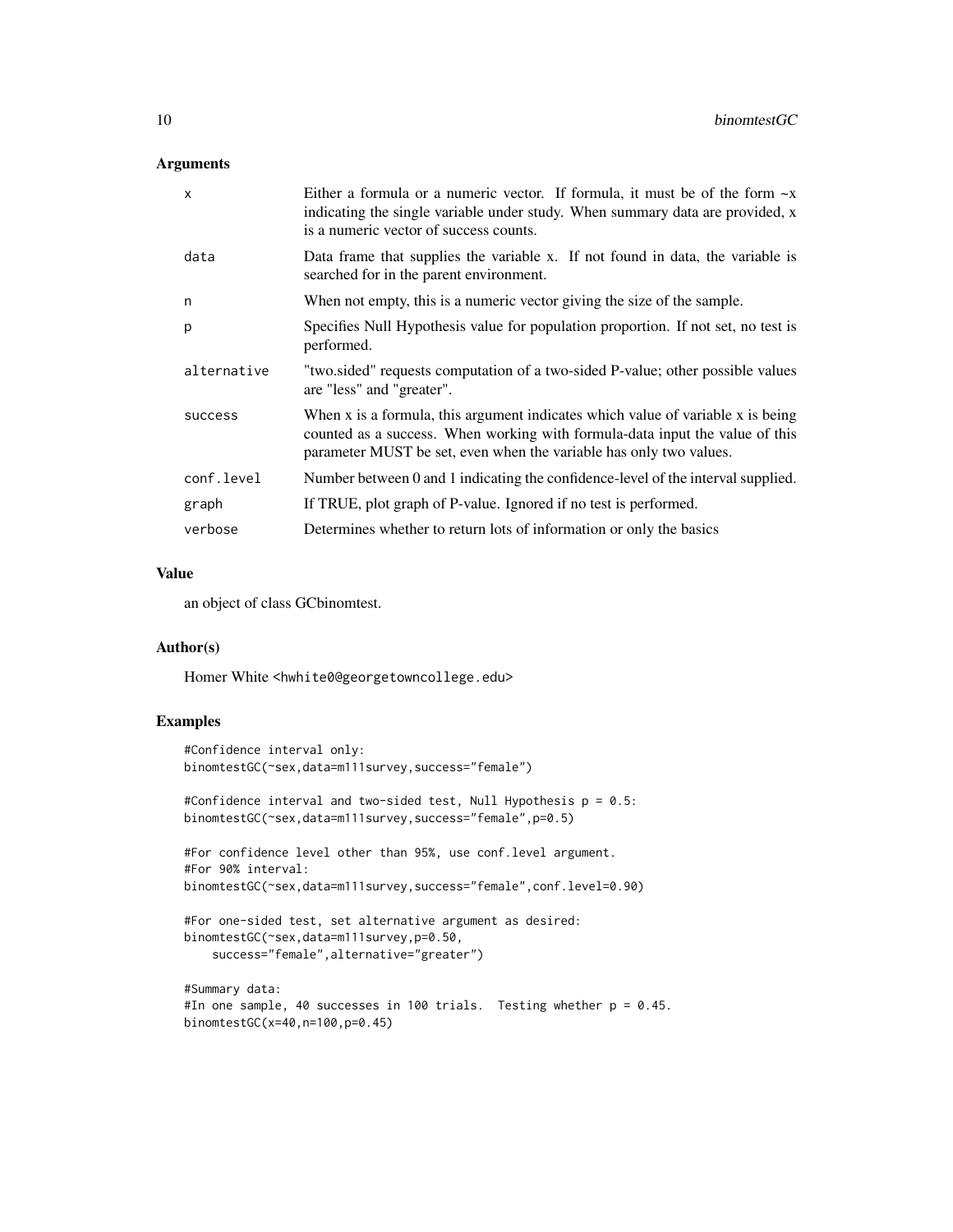# Arguments

| $\mathsf{x}$ | Either a formula or a numeric vector. If formula, it must be of the form $\sim x$<br>indicating the single variable under study. When summary data are provided, x<br>is a numeric vector of success counts.                          |
|--------------|---------------------------------------------------------------------------------------------------------------------------------------------------------------------------------------------------------------------------------------|
| data         | Data frame that supplies the variable x. If not found in data, the variable is<br>searched for in the parent environment.                                                                                                             |
| n            | When not empty, this is a numeric vector giving the size of the sample.                                                                                                                                                               |
| p            | Specifies Null Hypothesis value for population proportion. If not set, no test is<br>performed.                                                                                                                                       |
| alternative  | "two sided" requests computation of a two-sided P-value; other possible values<br>are "less" and "greater".                                                                                                                           |
| success      | When x is a formula, this argument indicates which value of variable x is being<br>counted as a success. When working with formula-data input the value of this<br>parameter MUST be set, even when the variable has only two values. |
| conf.level   | Number between 0 and 1 indicating the confidence-level of the interval supplied.                                                                                                                                                      |
| graph        | If TRUE, plot graph of P-value. Ignored if no test is performed.                                                                                                                                                                      |
| verbose      | Determines whether to return lots of information or only the basics                                                                                                                                                                   |

# Value

an object of class GCbinomtest.

#### Author(s)

Homer White <hwhite0@georgetowncollege.edu>

# Examples

```
#Confidence interval only:
binomtestGC(~sex,data=m111survey,success="female")
```
#Confidence interval and two-sided test, Null Hypothesis p = 0.5: binomtestGC(~sex,data=m111survey,success="female",p=0.5)

```
#For confidence level other than 95%, use conf.level argument.
#For 90% interval:
binomtestGC(~sex,data=m111survey,success="female",conf.level=0.90)
```

```
#For one-sided test, set alternative argument as desired:
binomtestGC(~sex,data=m111survey,p=0.50,
   success="female",alternative="greater")
```

```
#Summary data:
#In one sample, 40 successes in 100 trials. Testing whether p = 0.45.
binomtestGC(x=40,n=100,p=0.45)
```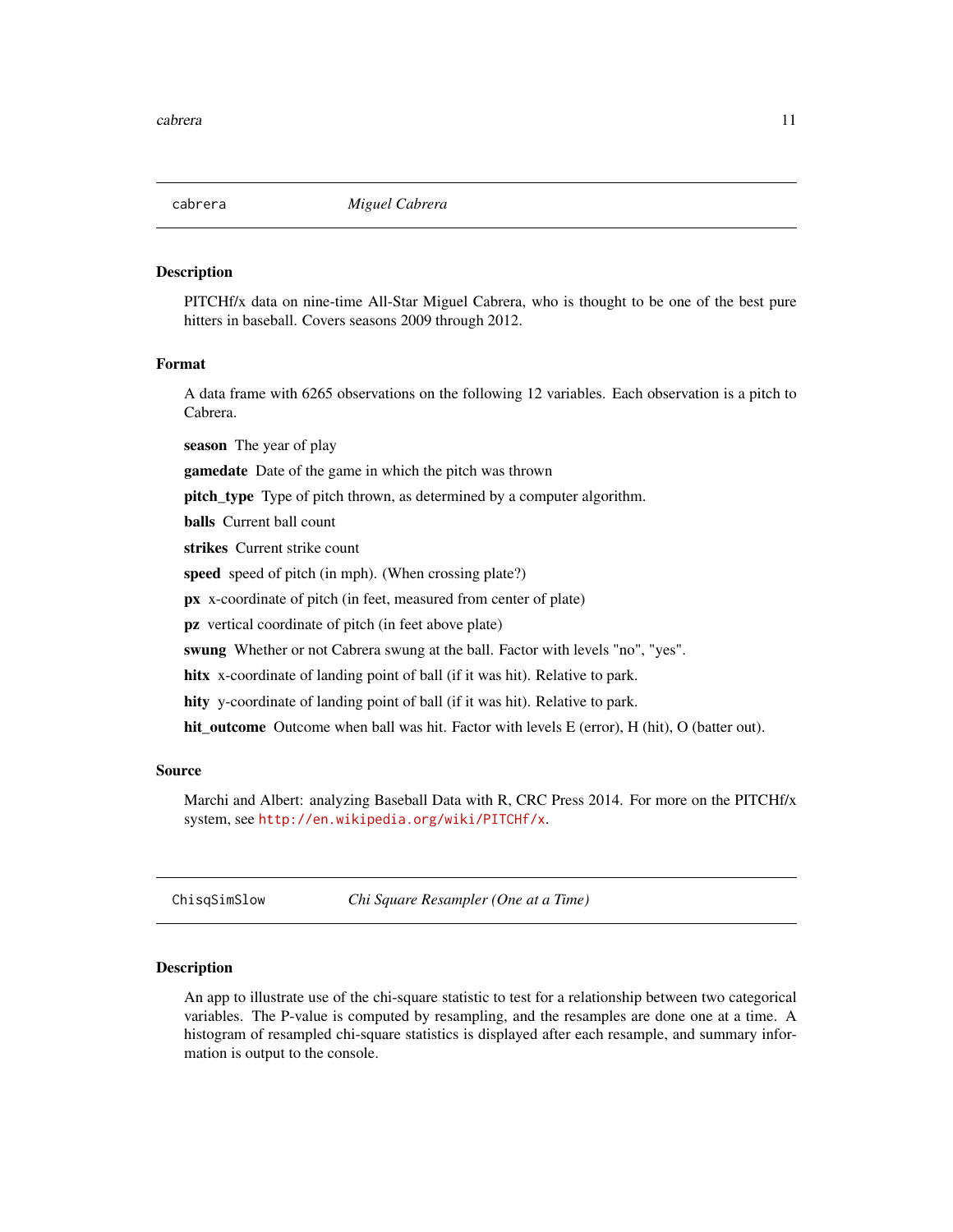<span id="page-10-0"></span>

PITCHf/x data on nine-time All-Star Miguel Cabrera, who is thought to be one of the best pure hitters in baseball. Covers seasons 2009 through 2012.

#### Format

A data frame with 6265 observations on the following 12 variables. Each observation is a pitch to Cabrera.

season The year of play

gamedate Date of the game in which the pitch was thrown

**pitch\_type** Type of pitch thrown, as determined by a computer algorithm.

balls Current ball count

strikes Current strike count

speed speed of pitch (in mph). (When crossing plate?)

px x-coordinate of pitch (in feet, measured from center of plate)

pz vertical coordinate of pitch (in feet above plate)

swung Whether or not Cabrera swung at the ball. Factor with levels "no", "yes".

hitx x-coordinate of landing point of ball (if it was hit). Relative to park.

hity y-coordinate of landing point of ball (if it was hit). Relative to park.

hit\_outcome Outcome when ball was hit. Factor with levels E (error), H (hit), O (batter out).

#### Source

Marchi and Albert: analyzing Baseball Data with R, CRC Press 2014. For more on the PITCHf/x system, see <http://en.wikipedia.org/wiki/PITCHf/x>.

ChisqSimSlow *Chi Square Resampler (One at a Time)*

#### Description

An app to illustrate use of the chi-square statistic to test for a relationship between two categorical variables. The P-value is computed by resampling, and the resamples are done one at a time. A histogram of resampled chi-square statistics is displayed after each resample, and summary information is output to the console.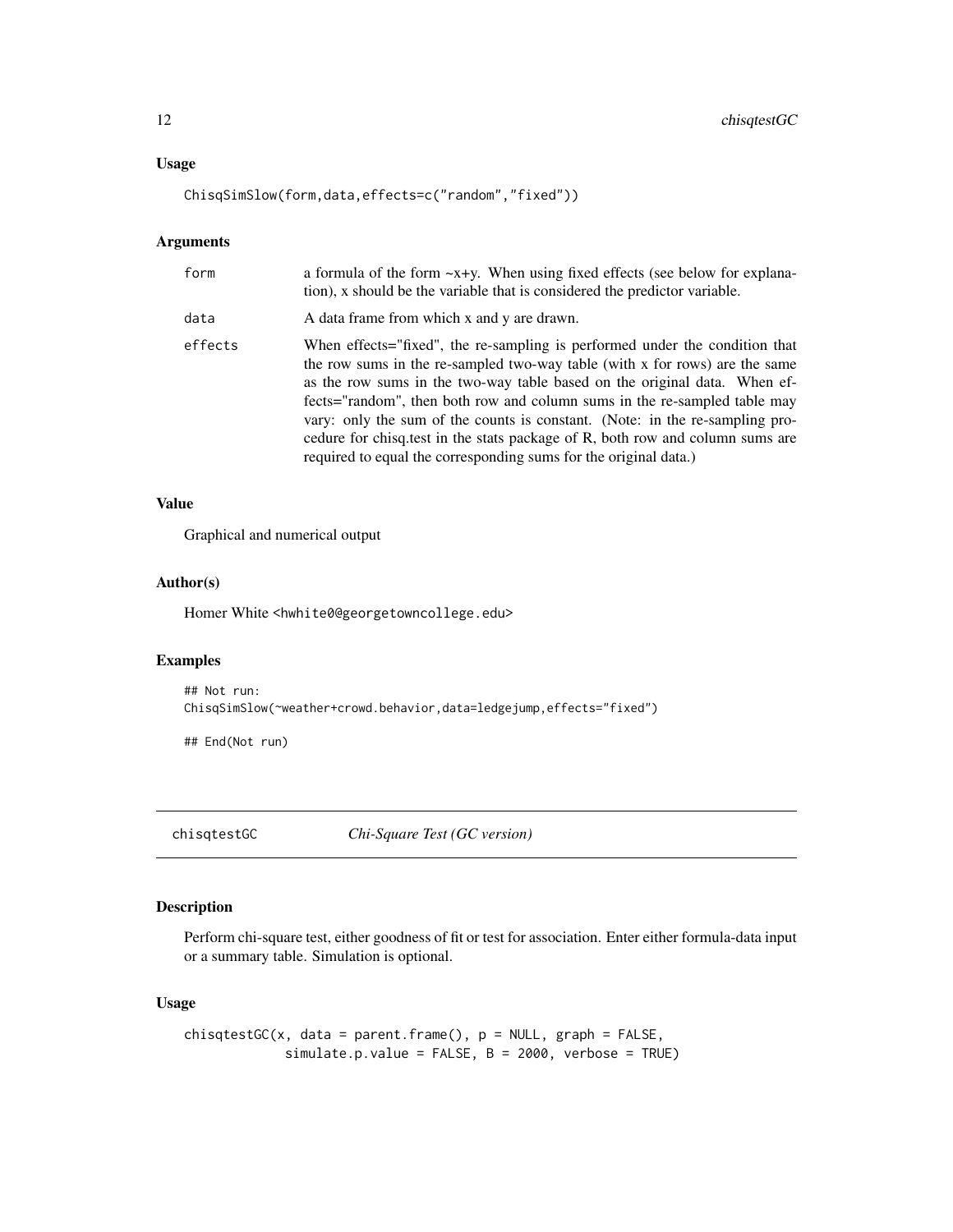# <span id="page-11-0"></span>Usage

ChisqSimSlow(form,data,effects=c("random","fixed"))

#### Arguments

| form    | a formula of the form $-x+y$ . When using fixed effects (see below for explana-<br>tion), x should be the variable that is considered the predictor variable.                                                                                                                                                                                                                                                                                                                                                                                             |
|---------|-----------------------------------------------------------------------------------------------------------------------------------------------------------------------------------------------------------------------------------------------------------------------------------------------------------------------------------------------------------------------------------------------------------------------------------------------------------------------------------------------------------------------------------------------------------|
| data    | A data frame from which x and y are drawn.                                                                                                                                                                                                                                                                                                                                                                                                                                                                                                                |
| effects | When effects="fixed", the re-sampling is performed under the condition that<br>the row sums in the re-sampled two-way table (with x for rows) are the same<br>as the row sums in the two-way table based on the original data. When ef-<br>fects="random", then both row and column sums in the re-sampled table may<br>vary: only the sum of the counts is constant. (Note: in the re-sampling pro-<br>cedure for chisq.test in the stats package of R, both row and column sums are<br>required to equal the corresponding sums for the original data.) |

#### Value

Graphical and numerical output

# Author(s)

Homer White <hwhite0@georgetowncollege.edu>

# Examples

```
## Not run:
ChisqSimSlow(~weather+crowd.behavior,data=ledgejump,effects="fixed")
```
## End(Not run)

chisqtestGC *Chi-Square Test (GC version)*

# Description

Perform chi-square test, either goodness of fit or test for association. Enter either formula-data input or a summary table. Simulation is optional.

# Usage

```
chisqtestGC(x, data = parent-frame(), p = NULL, graph = FALSE,simulate.p.value = FALSE, B = 2000, verbose = TRUE)
```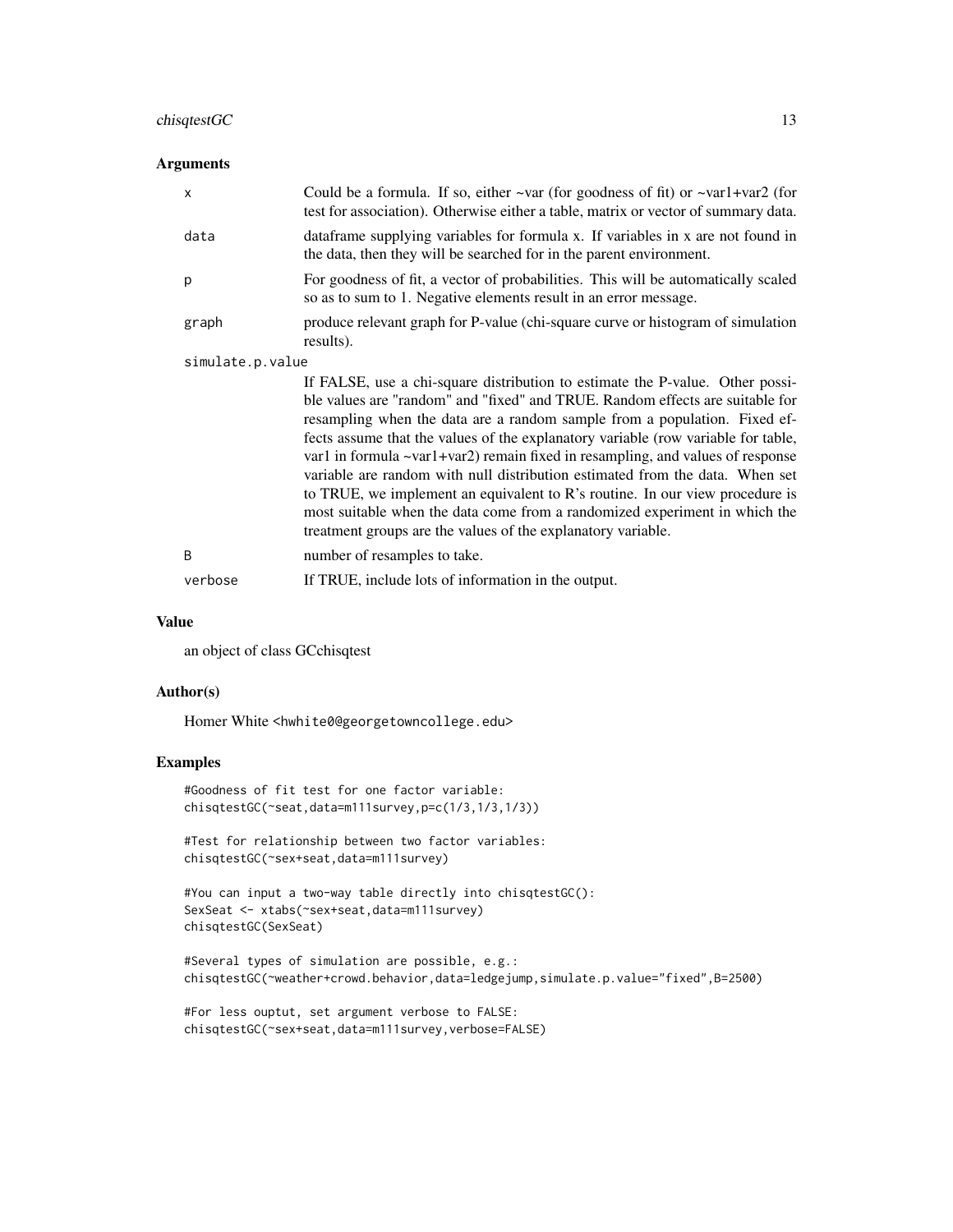# chisqtestGC 13

# Arguments

|                  | X       | Could be a formula. If so, either $\sim$ var (for goodness of fit) or $\sim$ var1+var2 (for<br>test for association). Otherwise either a table, matrix or vector of summary data.                                                                                                                                                                                                                                                                                                                                                                                                                                                                                                                                                      |
|------------------|---------|----------------------------------------------------------------------------------------------------------------------------------------------------------------------------------------------------------------------------------------------------------------------------------------------------------------------------------------------------------------------------------------------------------------------------------------------------------------------------------------------------------------------------------------------------------------------------------------------------------------------------------------------------------------------------------------------------------------------------------------|
|                  | data    | data frame supplying variables for formula x. If variables in x are not found in<br>the data, then they will be searched for in the parent environment.                                                                                                                                                                                                                                                                                                                                                                                                                                                                                                                                                                                |
|                  | p       | For goodness of fit, a vector of probabilities. This will be automatically scaled<br>so as to sum to 1. Negative elements result in an error message.                                                                                                                                                                                                                                                                                                                                                                                                                                                                                                                                                                                  |
|                  | graph   | produce relevant graph for P-value (chi-square curve or histogram of simulation<br>results).                                                                                                                                                                                                                                                                                                                                                                                                                                                                                                                                                                                                                                           |
| simulate.p.value |         |                                                                                                                                                                                                                                                                                                                                                                                                                                                                                                                                                                                                                                                                                                                                        |
|                  |         | If FALSE, use a chi-square distribution to estimate the P-value. Other possi-<br>ble values are "random" and "fixed" and TRUE. Random effects are suitable for<br>resampling when the data are a random sample from a population. Fixed ef-<br>fects assume that the values of the explanatory variable (row variable for table,<br>var1 in formula $\sim$ var1+var2) remain fixed in resampling, and values of response<br>variable are random with null distribution estimated from the data. When set<br>to TRUE, we implement an equivalent to R's routine. In our view procedure is<br>most suitable when the data come from a randomized experiment in which the<br>treatment groups are the values of the explanatory variable. |
|                  | B       | number of resamples to take.                                                                                                                                                                                                                                                                                                                                                                                                                                                                                                                                                                                                                                                                                                           |
|                  | verbose | If TRUE, include lots of information in the output.                                                                                                                                                                                                                                                                                                                                                                                                                                                                                                                                                                                                                                                                                    |

#### Value

an object of class GCchisqtest

# Author(s)

Homer White <hwhite0@georgetowncollege.edu>

# Examples

```
#Goodness of fit test for one factor variable:
chisqtestGC(~seat,data=m111survey,p=c(1/3,1/3,1/3))
```

```
#Test for relationship between two factor variables:
chisqtestGC(~sex+seat,data=m111survey)
```

```
#You can input a two-way table directly into chisqtestGC():
SexSeat <- xtabs(~sex+seat,data=m111survey)
chisqtestGC(SexSeat)
```

```
#Several types of simulation are possible, e.g.:
chisqtestGC(~weather+crowd.behavior,data=ledgejump,simulate.p.value="fixed",B=2500)
```

```
#For less ouptut, set argument verbose to FALSE:
chisqtestGC(~sex+seat,data=m111survey,verbose=FALSE)
```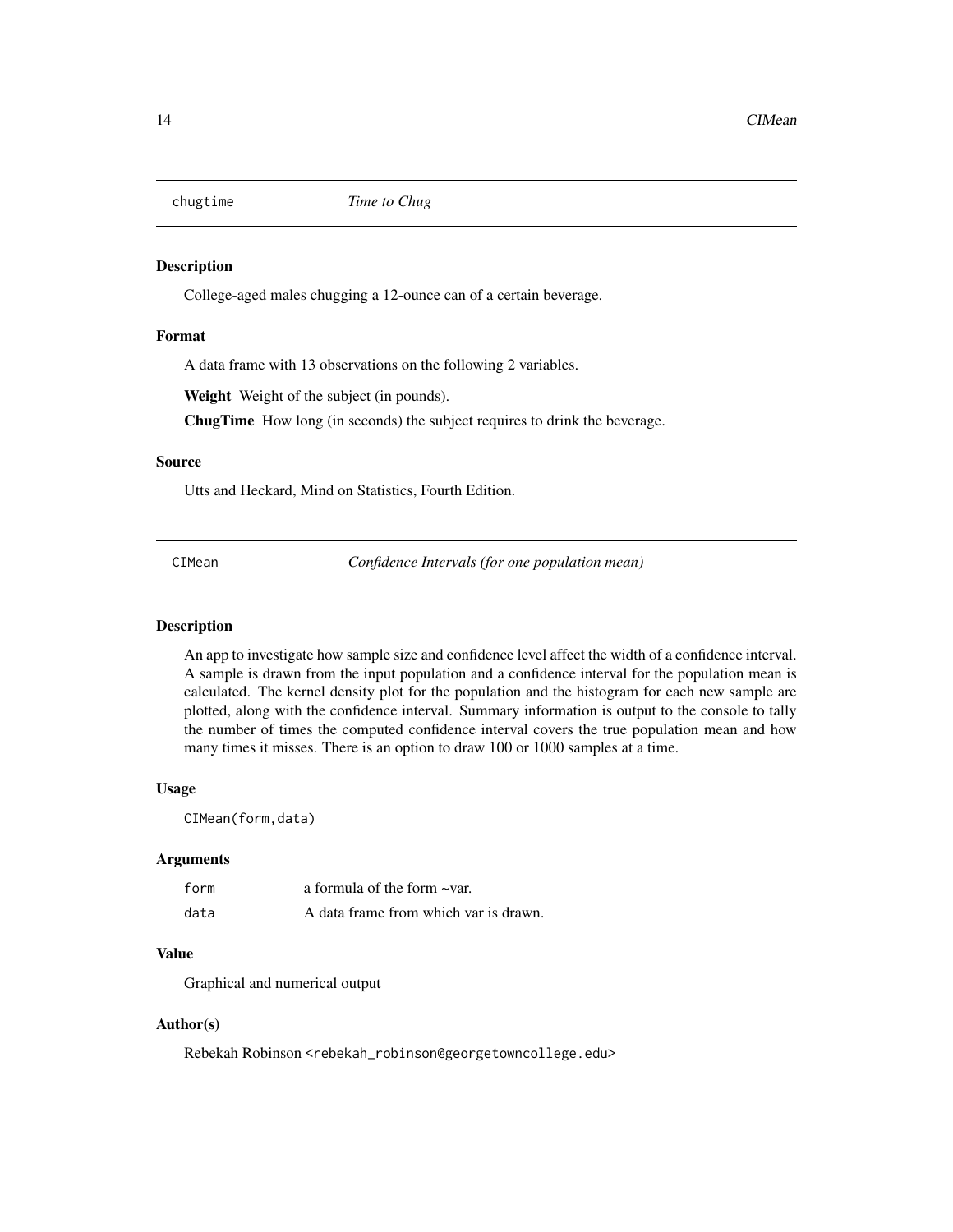<span id="page-13-0"></span>

College-aged males chugging a 12-ounce can of a certain beverage.

#### Format

A data frame with 13 observations on the following 2 variables.

Weight Weight of the subject (in pounds).

ChugTime How long (in seconds) the subject requires to drink the beverage.

# Source

Utts and Heckard, Mind on Statistics, Fourth Edition.

CIMean *Confidence Intervals (for one population mean)*

#### **Description**

An app to investigate how sample size and confidence level affect the width of a confidence interval. A sample is drawn from the input population and a confidence interval for the population mean is calculated. The kernel density plot for the population and the histogram for each new sample are plotted, along with the confidence interval. Summary information is output to the console to tally the number of times the computed confidence interval covers the true population mean and how many times it misses. There is an option to draw 100 or 1000 samples at a time.

# Usage

CIMean(form,data)

#### Arguments

| form | a formula of the form ~var.           |
|------|---------------------------------------|
| data | A data frame from which var is drawn. |

# Value

Graphical and numerical output

# Author(s)

Rebekah Robinson <rebekah\_robinson@georgetowncollege.edu>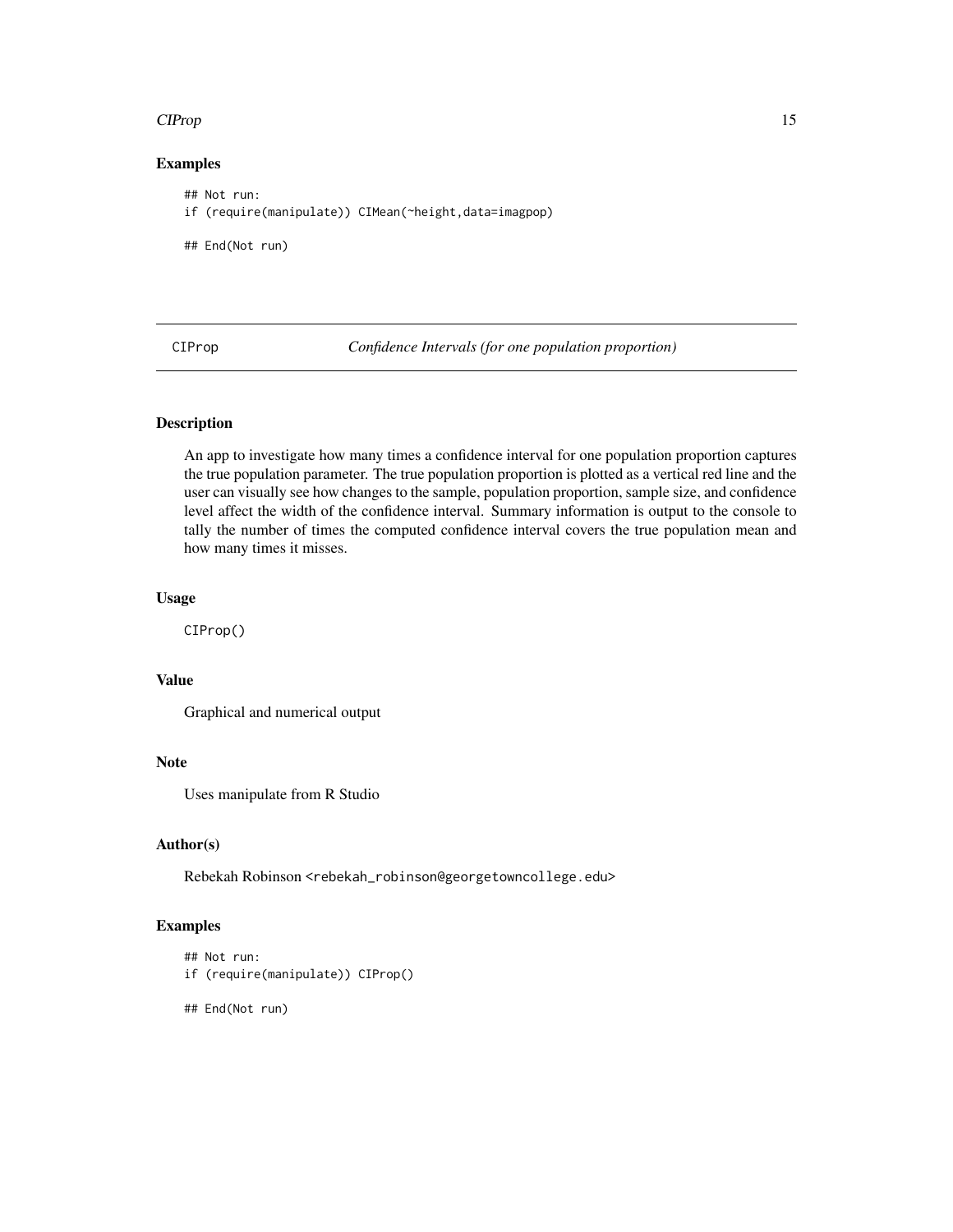#### <span id="page-14-0"></span>CIProp 2.15

# Examples

```
## Not run:
if (require(manipulate)) CIMean(~height,data=imagpop)
## End(Not run)
```
CIProp *Confidence Intervals (for one population proportion)*

# Description

An app to investigate how many times a confidence interval for one population proportion captures the true population parameter. The true population proportion is plotted as a vertical red line and the user can visually see how changes to the sample, population proportion, sample size, and confidence level affect the width of the confidence interval. Summary information is output to the console to tally the number of times the computed confidence interval covers the true population mean and how many times it misses.

# Usage

CIProp()

# Value

Graphical and numerical output

# Note

Uses manipulate from R Studio

## Author(s)

Rebekah Robinson <rebekah\_robinson@georgetowncollege.edu>

# Examples

```
## Not run:
if (require(manipulate)) CIProp()
```
- 
- ## End(Not run)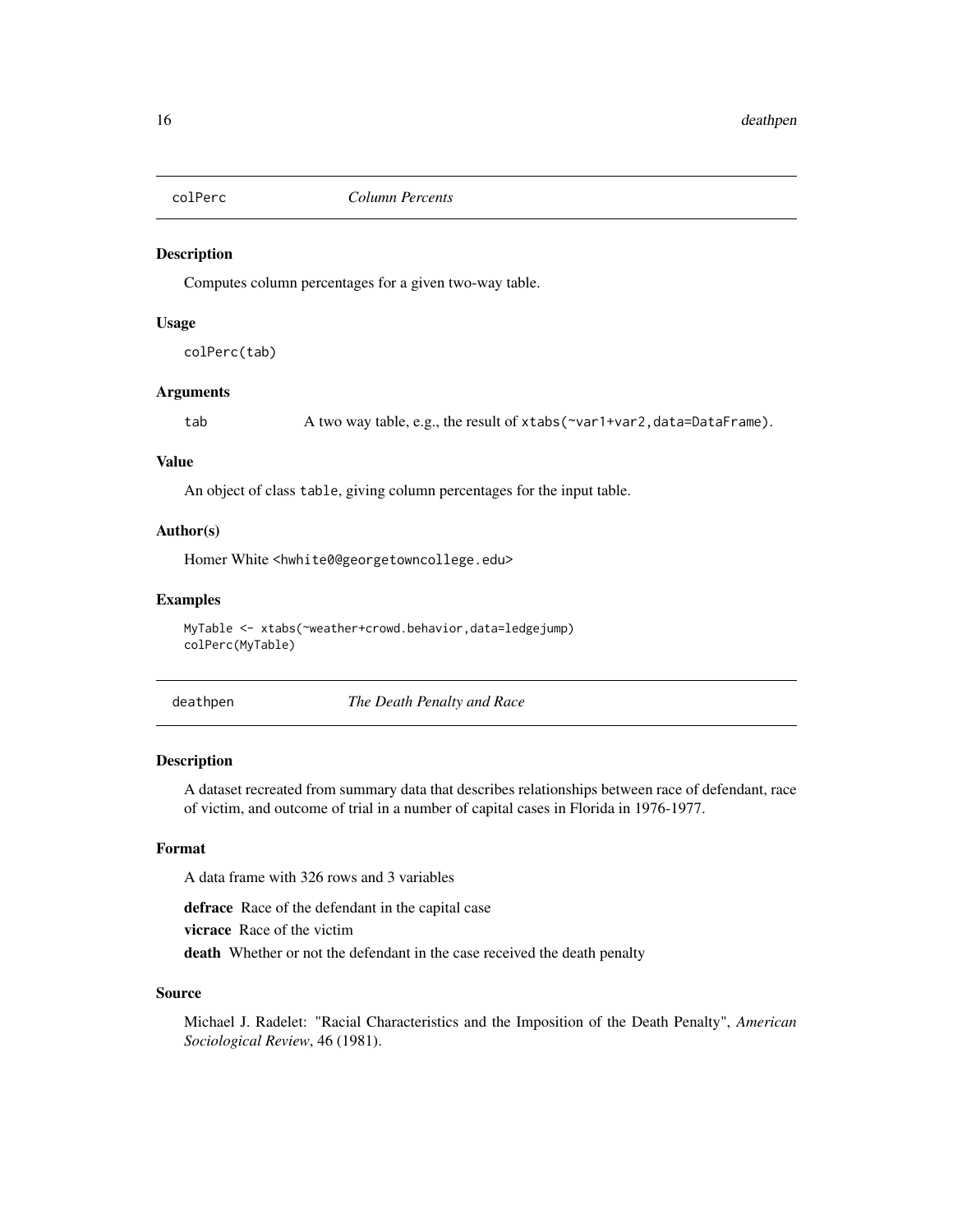<span id="page-15-0"></span>

Computes column percentages for a given two-way table.

# Usage

colPerc(tab)

# Arguments

tab A two way table, e.g., the result of xtabs(~var1+var2,data=DataFrame).

#### Value

An object of class table, giving column percentages for the input table.

# Author(s)

Homer White <hwhite0@georgetowncollege.edu>

# Examples

MyTable <- xtabs(~weather+crowd.behavior,data=ledgejump) colPerc(MyTable)

deathpen *The Death Penalty and Race*

# Description

A dataset recreated from summary data that describes relationships between race of defendant, race of victim, and outcome of trial in a number of capital cases in Florida in 1976-1977.

#### Format

A data frame with 326 rows and 3 variables

defrace Race of the defendant in the capital case vicrace Race of the victim death Whether or not the defendant in the case received the death penalty

#### Source

Michael J. Radelet: "Racial Characteristics and the Imposition of the Death Penalty", *American Sociological Review*, 46 (1981).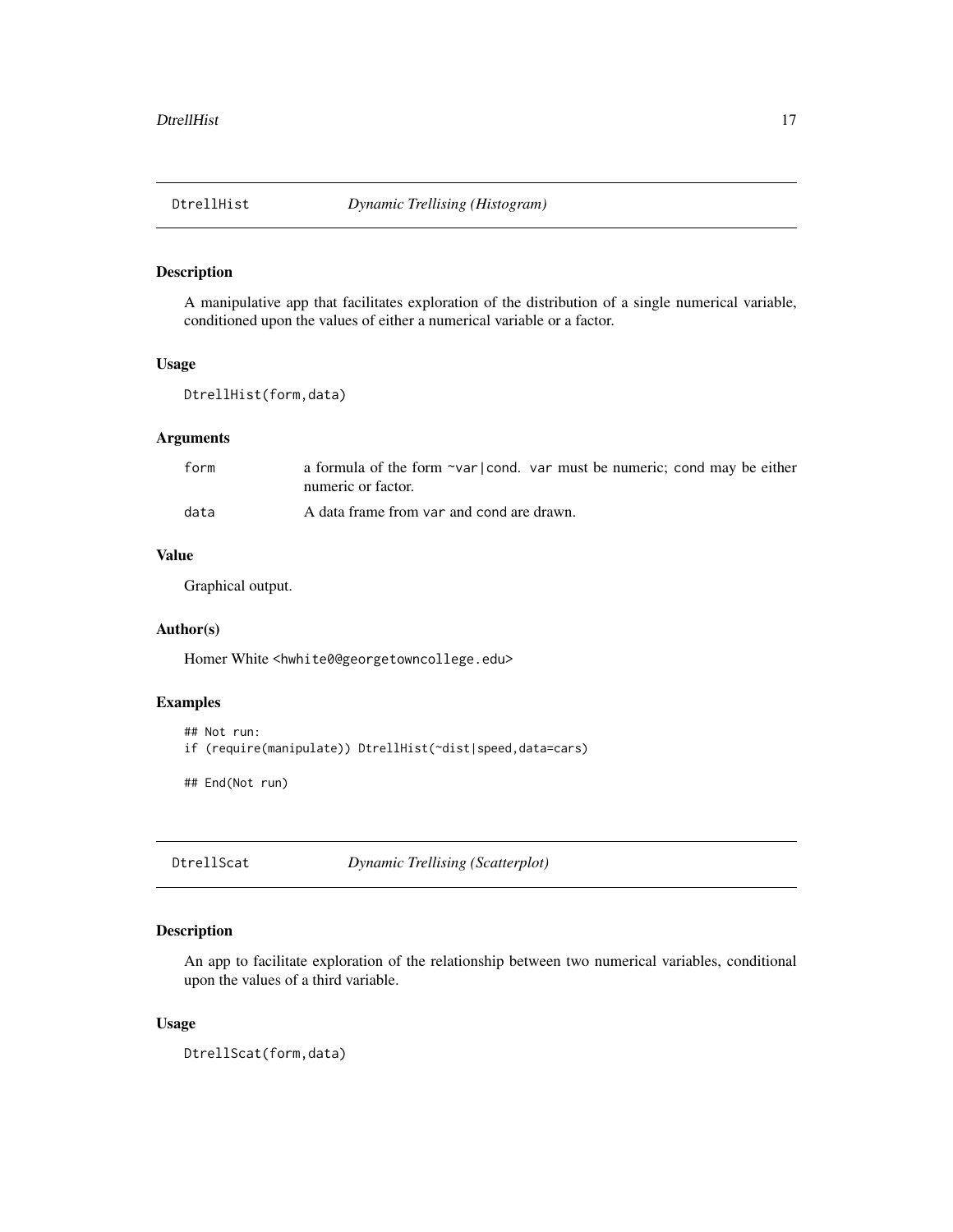<span id="page-16-0"></span>

A manipulative app that facilitates exploration of the distribution of a single numerical variable, conditioned upon the values of either a numerical variable or a factor.

#### Usage

```
DtrellHist(form,data)
```
# Arguments

| form | a formula of the form ~var cond. var must be numeric; cond may be either<br>numeric or factor. |
|------|------------------------------------------------------------------------------------------------|
| data | A data frame from var and cond are drawn.                                                      |

# Value

Graphical output.

# Author(s)

Homer White <hwhite0@georgetowncollege.edu>

# Examples

```
## Not run:
```

```
if (require(manipulate)) DtrellHist(~dist|speed,data=cars)
```
## End(Not run)

DtrellScat *Dynamic Trellising (Scatterplot)*

# Description

An app to facilitate exploration of the relationship between two numerical variables, conditional upon the values of a third variable.

#### Usage

DtrellScat(form,data)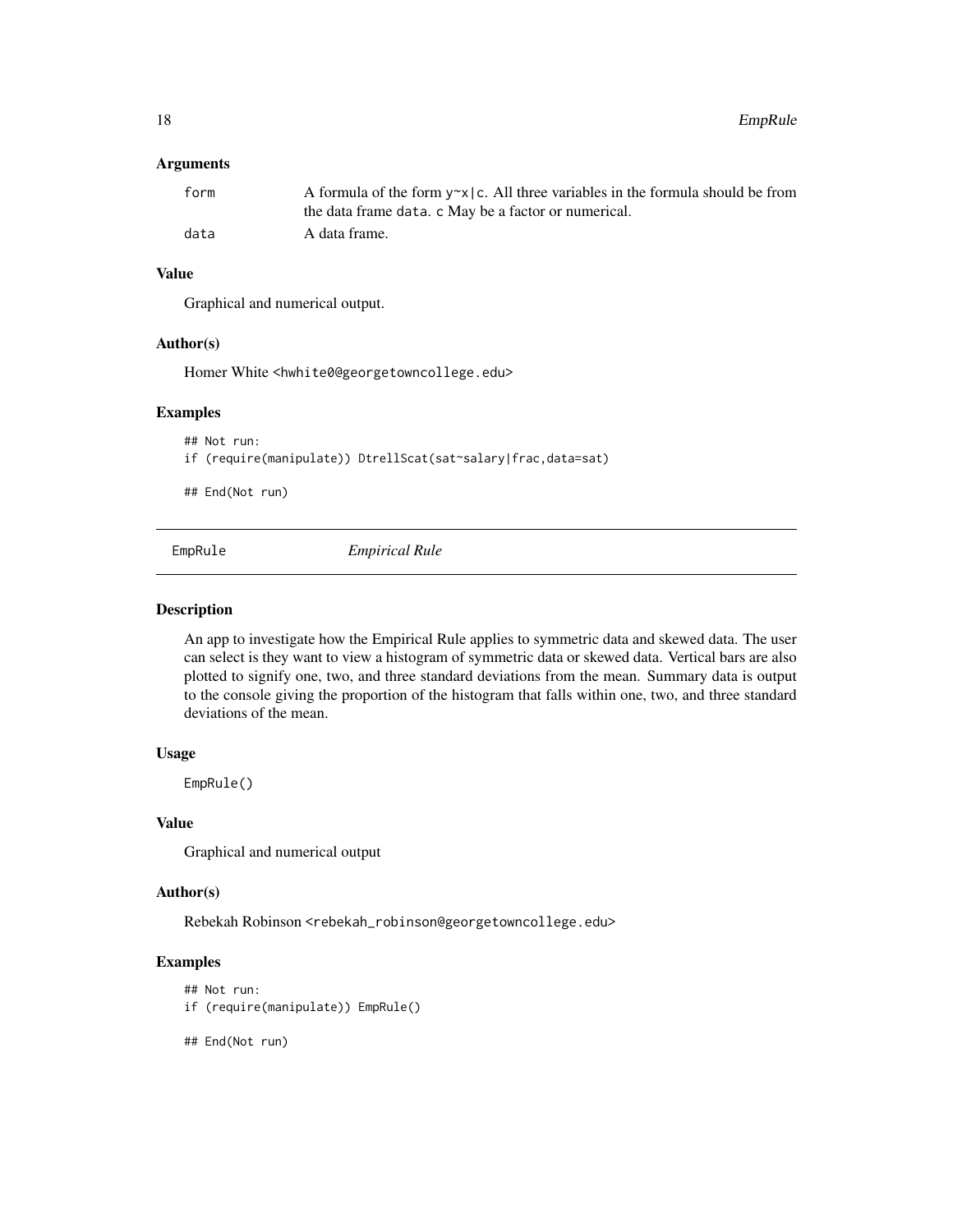#### <span id="page-17-0"></span>Arguments

| form | A formula of the form $y \sim x$   c. All three variables in the formula should be from |
|------|-----------------------------------------------------------------------------------------|
|      | the data frame data. c May be a factor or numerical.                                    |
| data | A data frame.                                                                           |

# Value

Graphical and numerical output.

# Author(s)

Homer White <hwhite0@georgetowncollege.edu>

## Examples

```
## Not run:
if (require(manipulate)) DtrellScat(sat~salary|frac,data=sat)
```
## End(Not run)

EmpRule *Empirical Rule*

#### Description

An app to investigate how the Empirical Rule applies to symmetric data and skewed data. The user can select is they want to view a histogram of symmetric data or skewed data. Vertical bars are also plotted to signify one, two, and three standard deviations from the mean. Summary data is output to the console giving the proportion of the histogram that falls within one, two, and three standard deviations of the mean.

# Usage

EmpRule()

#### Value

Graphical and numerical output

# Author(s)

Rebekah Robinson <rebekah\_robinson@georgetowncollege.edu>

# Examples

```
## Not run:
if (require(manipulate)) EmpRule()
```
## End(Not run)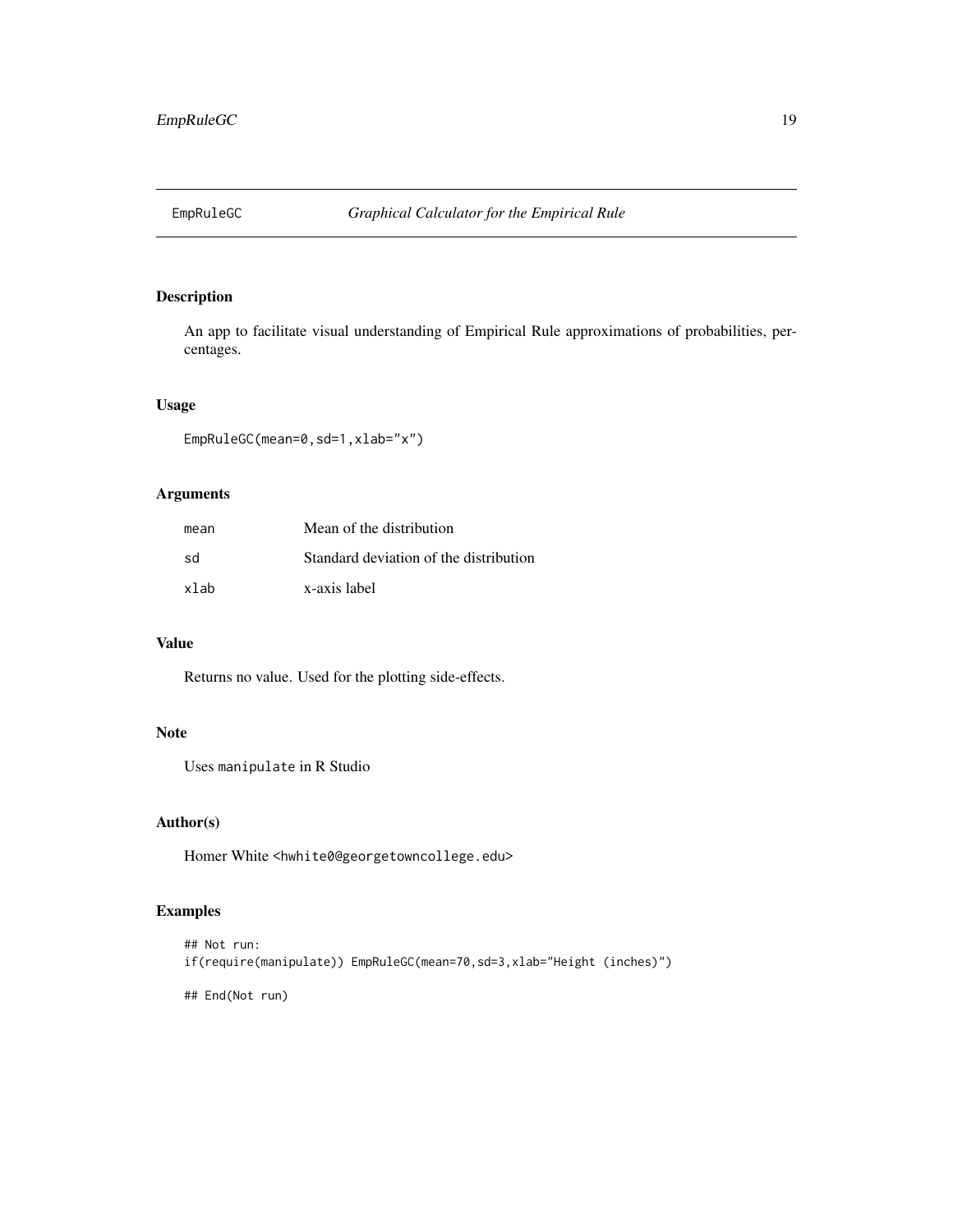<span id="page-18-0"></span>

An app to facilitate visual understanding of Empirical Rule approximations of probabilities, percentages.

# Usage

EmpRuleGC(mean=0,sd=1,xlab="x")

# Arguments

| mean | Mean of the distribution               |
|------|----------------------------------------|
| sd   | Standard deviation of the distribution |
| xlab | x-axis label                           |

# Value

Returns no value. Used for the plotting side-effects.

# Note

Uses manipulate in R Studio

# Author(s)

Homer White <hwhite0@georgetowncollege.edu>

# Examples

```
## Not run:
if(require(manipulate)) EmpRuleGC(mean=70,sd=3,xlab="Height (inches)")
```
## End(Not run)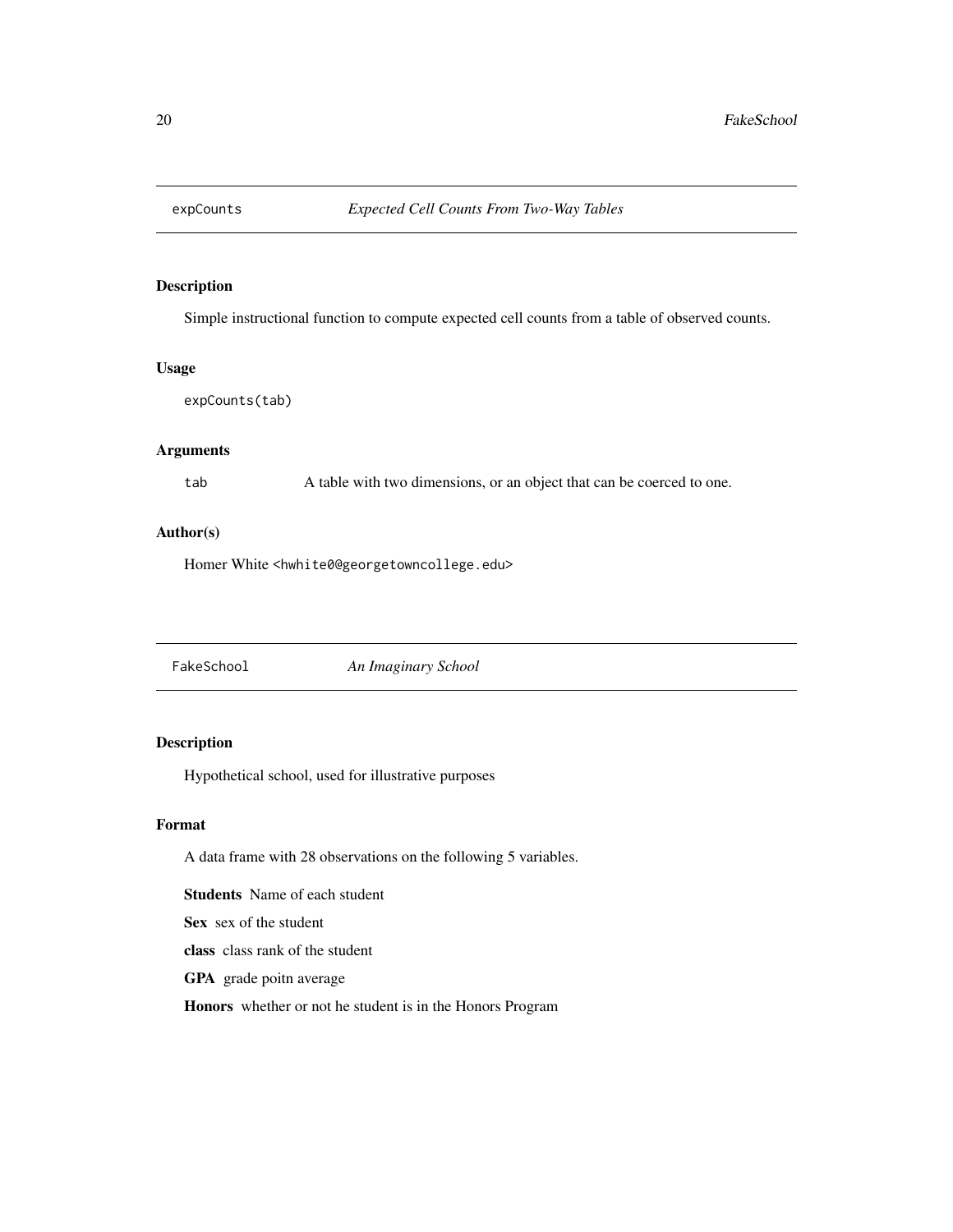<span id="page-19-0"></span>

Simple instructional function to compute expected cell counts from a table of observed counts.

# Usage

expCounts(tab)

# Arguments

tab A table with two dimensions, or an object that can be coerced to one.

#### Author(s)

Homer White <hwhite0@georgetowncollege.edu>

FakeSchool *An Imaginary School*

# Description

Hypothetical school, used for illustrative purposes

#### Format

A data frame with 28 observations on the following 5 variables.

Students Name of each student

Sex sex of the student

class class rank of the student

GPA grade poitn average

Honors whether or not he student is in the Honors Program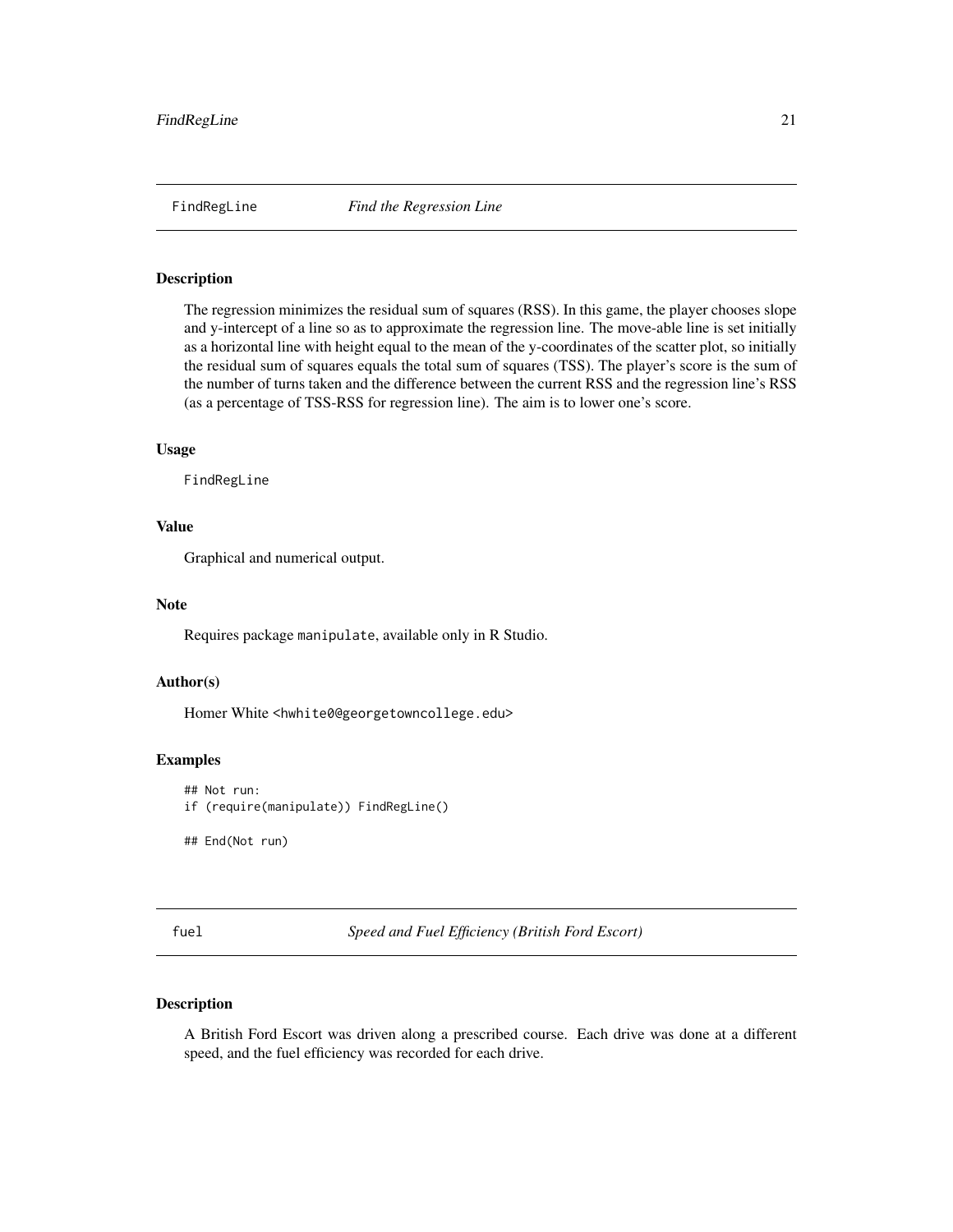<span id="page-20-0"></span>

The regression minimizes the residual sum of squares (RSS). In this game, the player chooses slope and y-intercept of a line so as to approximate the regression line. The move-able line is set initially as a horizontal line with height equal to the mean of the y-coordinates of the scatter plot, so initially the residual sum of squares equals the total sum of squares (TSS). The player's score is the sum of the number of turns taken and the difference between the current RSS and the regression line's RSS (as a percentage of TSS-RSS for regression line). The aim is to lower one's score.

#### Usage

FindRegLine

# Value

Graphical and numerical output.

#### Note

Requires package manipulate, available only in R Studio.

#### Author(s)

Homer White <hwhite0@georgetowncollege.edu>

# Examples

```
## Not run:
if (require(manipulate)) FindRegLine()
```
## End(Not run)

fuel *Speed and Fuel Efficiency (British Ford Escort)*

# Description

A British Ford Escort was driven along a prescribed course. Each drive was done at a different speed, and the fuel efficiency was recorded for each drive.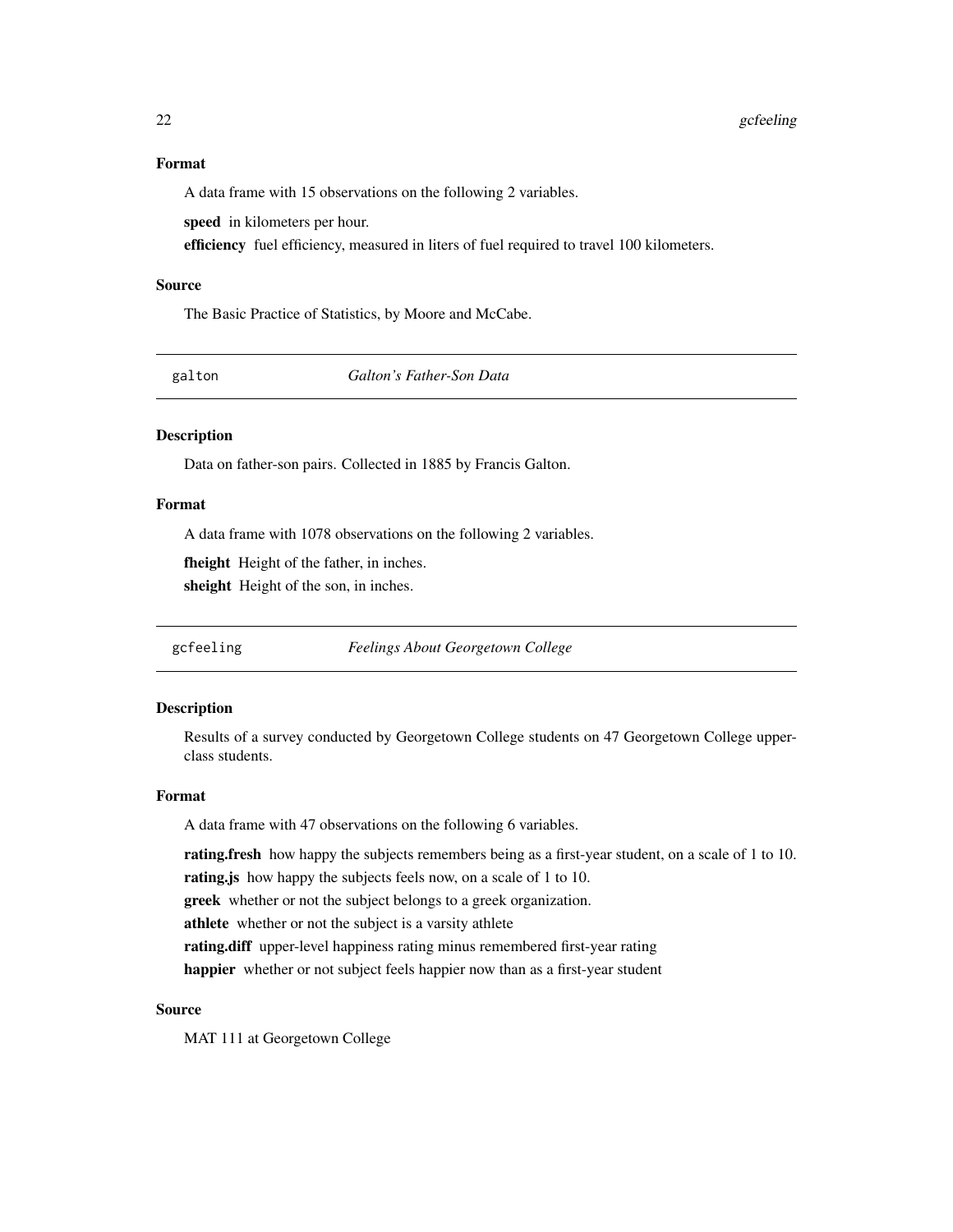#### <span id="page-21-0"></span>Format

A data frame with 15 observations on the following 2 variables.

speed in kilometers per hour.

efficiency fuel efficiency, measured in liters of fuel required to travel 100 kilometers.

#### Source

The Basic Practice of Statistics, by Moore and McCabe.

galton *Galton's Father-Son Data*

# Description

Data on father-son pairs. Collected in 1885 by Francis Galton.

# Format

A data frame with 1078 observations on the following 2 variables.

fheight Height of the father, in inches.

sheight Height of the son, in inches.

gcfeeling *Feelings About Georgetown College*

#### Description

Results of a survey conducted by Georgetown College students on 47 Georgetown College upperclass students.

#### Format

A data frame with 47 observations on the following 6 variables.

rating.fresh how happy the subjects remembers being as a first-year student, on a scale of 1 to 10.

rating. is how happy the subjects feels now, on a scale of 1 to 10.

greek whether or not the subject belongs to a greek organization.

athlete whether or not the subject is a varsity athlete

rating.diff upper-level happiness rating minus remembered first-year rating

happier whether or not subject feels happier now than as a first-year student

# Source

MAT 111 at Georgetown College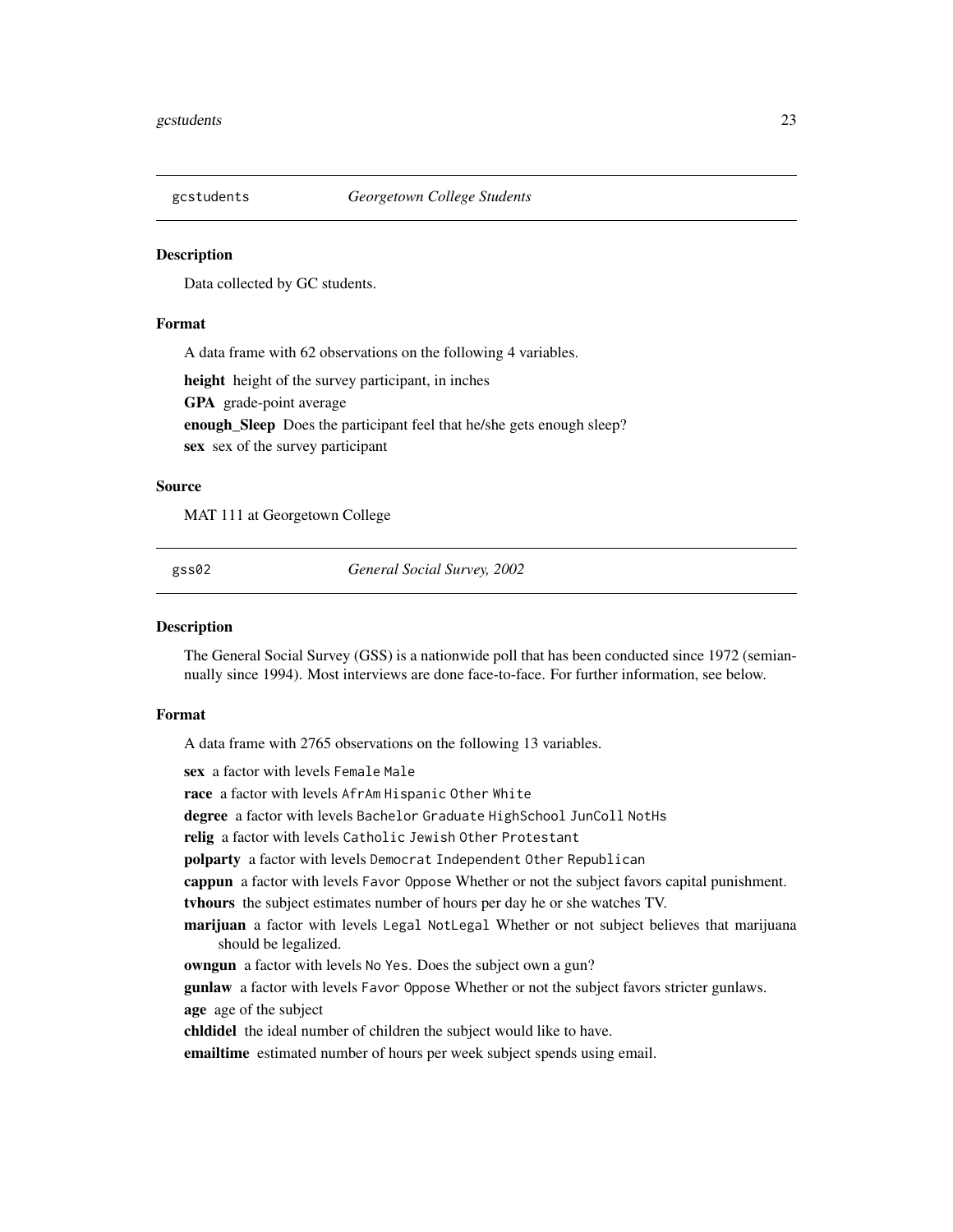<span id="page-22-0"></span>

Data collected by GC students.

#### Format

A data frame with 62 observations on the following 4 variables.

height height of the survey participant, in inches GPA grade-point average enough\_Sleep Does the participant feel that he/she gets enough sleep? sex sex of the survey participant

# Source

MAT 111 at Georgetown College

gss02 *General Social Survey, 2002*

#### Description

The General Social Survey (GSS) is a nationwide poll that has been conducted since 1972 (semiannually since 1994). Most interviews are done face-to-face. For further information, see below.

# Format

A data frame with 2765 observations on the following 13 variables.

sex a factor with levels Female Male

race a factor with levels AfrAm Hispanic Other White

degree a factor with levels Bachelor Graduate HighSchool JunColl NotHs

relig a factor with levels Catholic Jewish Other Protestant

polparty a factor with levels Democrat Independent Other Republican

cappun a factor with levels Favor Oppose Whether or not the subject favors capital punishment.

tvhours the subject estimates number of hours per day he or she watches TV.

marijuan a factor with levels Legal NotLegal Whether or not subject believes that marijuana should be legalized.

owngun a factor with levels No Yes. Does the subject own a gun?

gunlaw a factor with levels Favor Oppose Whether or not the subject favors stricter gunlaws.

age age of the subject

chldidel the ideal number of children the subject would like to have.

emailtime estimated number of hours per week subject spends using email.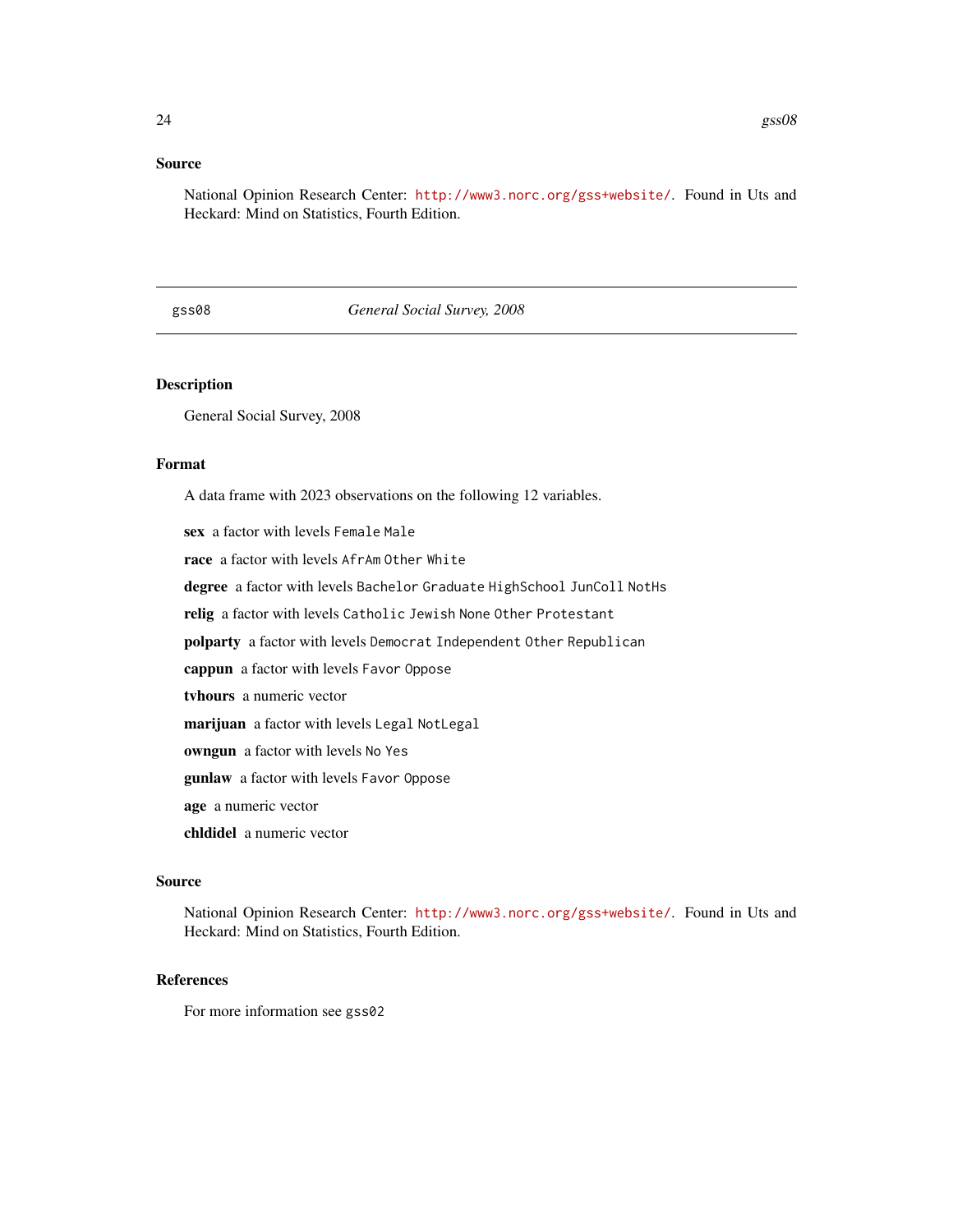#### <span id="page-23-0"></span>Source

National Opinion Research Center: <http://www3.norc.org/gss+website/>. Found in Uts and Heckard: Mind on Statistics, Fourth Edition.

# gss08 *General Social Survey, 2008*

# Description

General Social Survey, 2008

#### Format

A data frame with 2023 observations on the following 12 variables.

sex a factor with levels Female Male race a factor with levels AfrAm Other White degree a factor with levels Bachelor Graduate HighSchool JunColl NotHs relig a factor with levels Catholic Jewish None Other Protestant polparty a factor with levels Democrat Independent Other Republican cappun a factor with levels Favor Oppose tvhours a numeric vector marijuan a factor with levels Legal NotLegal owngun a factor with levels No Yes gunlaw a factor with levels Favor Oppose age a numeric vector chldidel a numeric vector

# Source

National Opinion Research Center: <http://www3.norc.org/gss+website/>. Found in Uts and Heckard: Mind on Statistics, Fourth Edition.

### References

For more information see gss02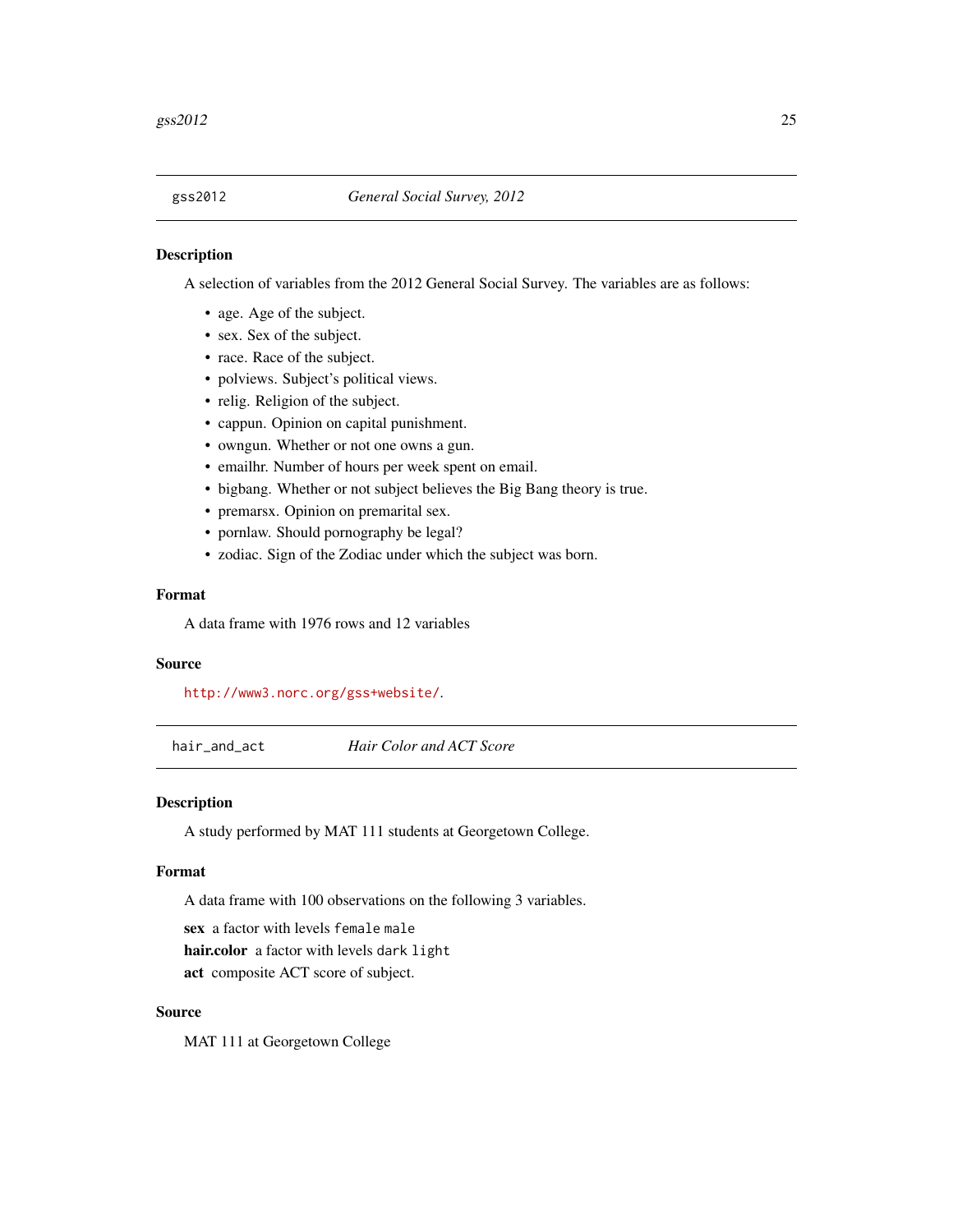<span id="page-24-0"></span>

A selection of variables from the 2012 General Social Survey. The variables are as follows:

- age. Age of the subject.
- sex. Sex of the subject.
- race. Race of the subject.
- polviews. Subject's political views.
- relig. Religion of the subject.
- cappun. Opinion on capital punishment.
- owngun. Whether or not one owns a gun.
- emailhr. Number of hours per week spent on email.
- bigbang. Whether or not subject believes the Big Bang theory is true.
- premarsx. Opinion on premarital sex.
- pornlaw. Should pornography be legal?
- zodiac. Sign of the Zodiac under which the subject was born.

#### Format

A data frame with 1976 rows and 12 variables

#### Source

<http://www3.norc.org/gss+website/>.

hair\_and\_act *Hair Color and ACT Score*

#### Description

A study performed by MAT 111 students at Georgetown College.

# Format

A data frame with 100 observations on the following 3 variables.

sex a factor with levels female male hair.color a factor with levels dark light act composite ACT score of subject.

#### Source

MAT 111 at Georgetown College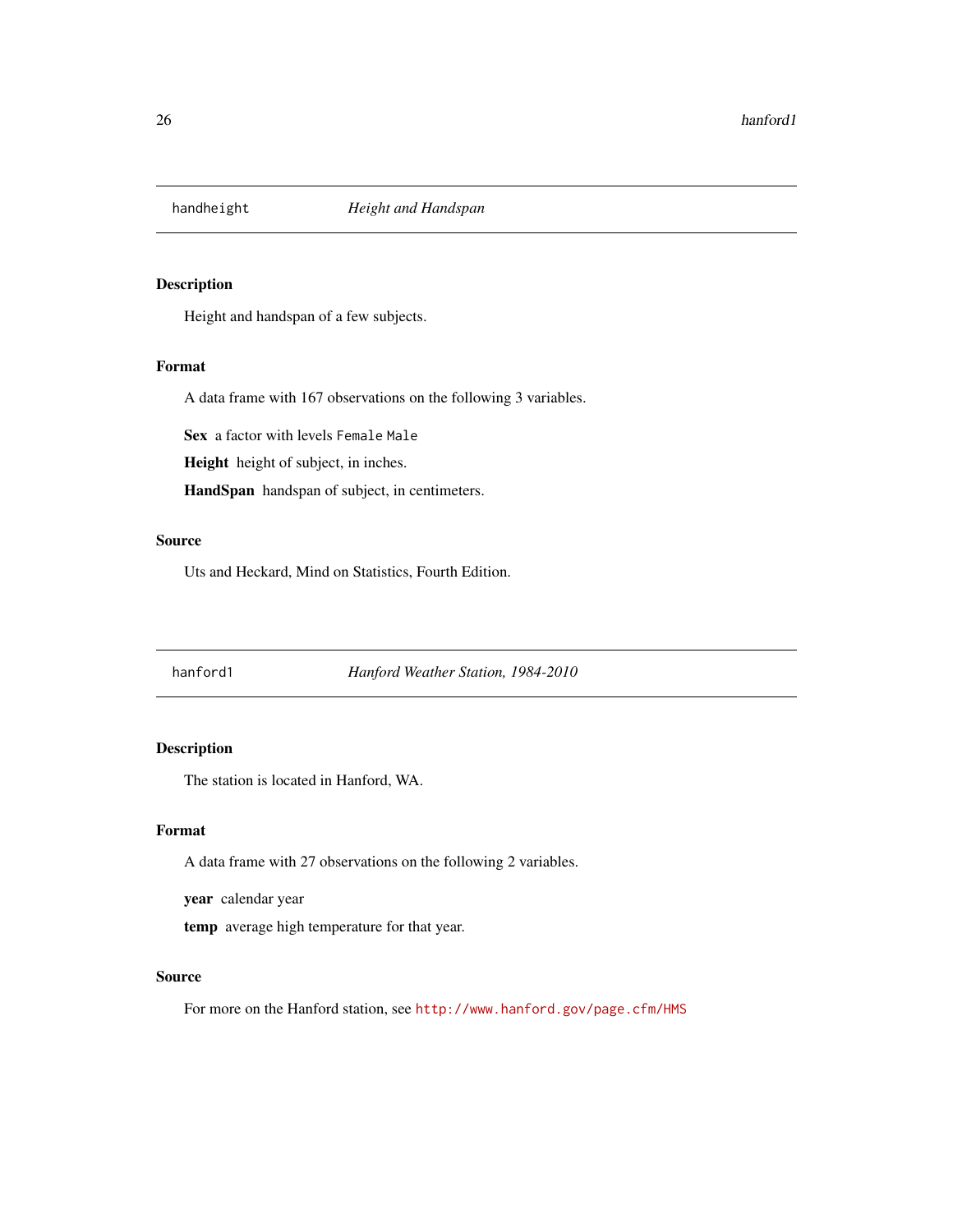<span id="page-25-0"></span>

Height and handspan of a few subjects.

#### Format

A data frame with 167 observations on the following 3 variables.

Sex a factor with levels Female Male

Height height of subject, in inches.

HandSpan handspan of subject, in centimeters.

# Source

Uts and Heckard, Mind on Statistics, Fourth Edition.

# <span id="page-25-1"></span>hanford1 *Hanford Weather Station, 1984-2010*

# Description

The station is located in Hanford, WA.

# Format

A data frame with 27 observations on the following 2 variables.

year calendar year

temp average high temperature for that year.

#### Source

For more on the Hanford station, see <http://www.hanford.gov/page.cfm/HMS>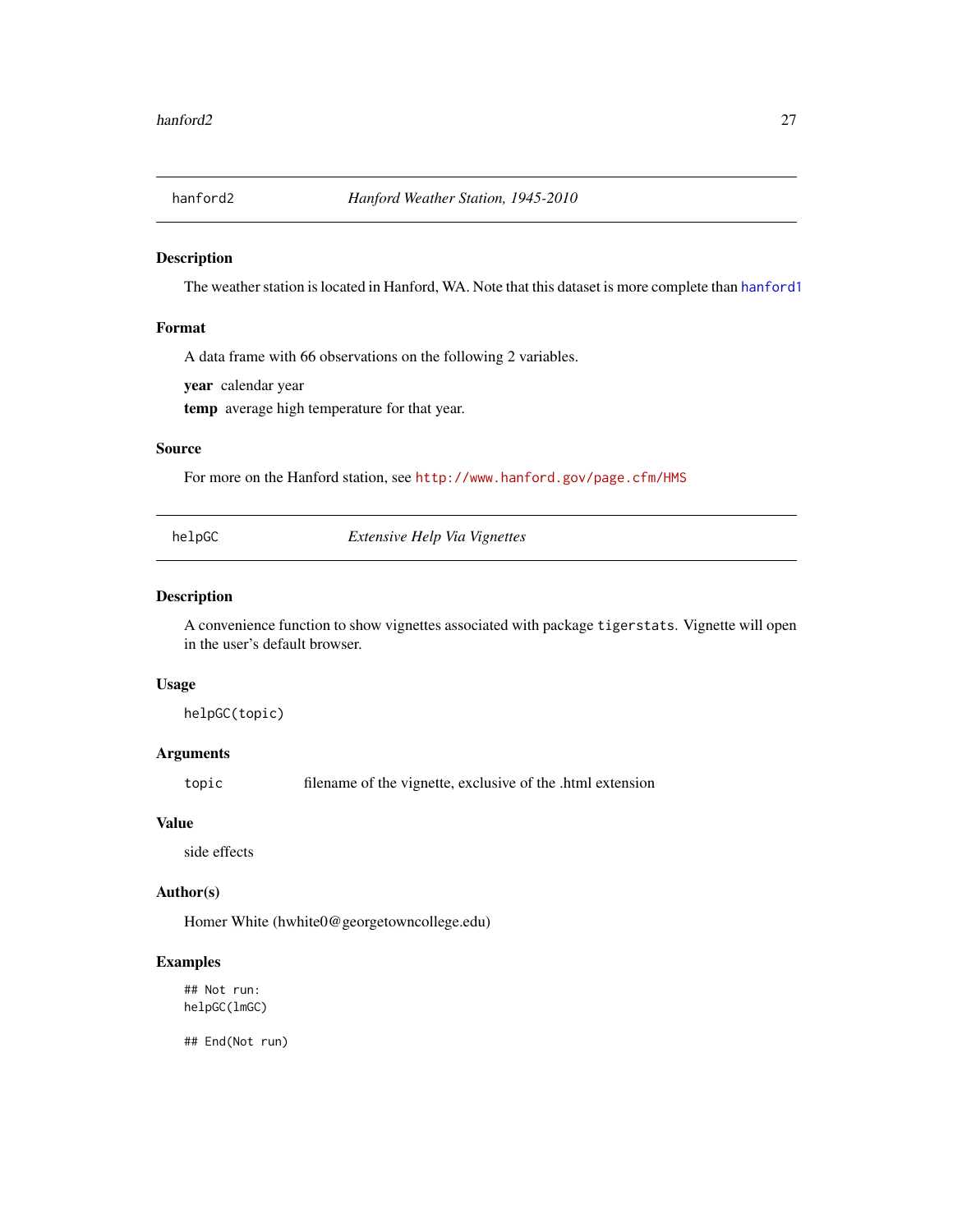<span id="page-26-0"></span>

The weather station is located in Hanford, WA. Note that this dataset is more complete than [hanford1](#page-25-1)

#### Format

A data frame with 66 observations on the following 2 variables.

year calendar year

temp average high temperature for that year.

# Source

For more on the Hanford station, see <http://www.hanford.gov/page.cfm/HMS>

helpGC *Extensive Help Via Vignettes*

#### Description

A convenience function to show vignettes associated with package tigerstats. Vignette will open in the user's default browser.

#### Usage

helpGC(topic)

# Arguments

topic filename of the vignette, exclusive of the .html extension

# Value

side effects

# Author(s)

Homer White (hwhite0@georgetowncollege.edu)

# Examples

## Not run: helpGC(lmGC)

## End(Not run)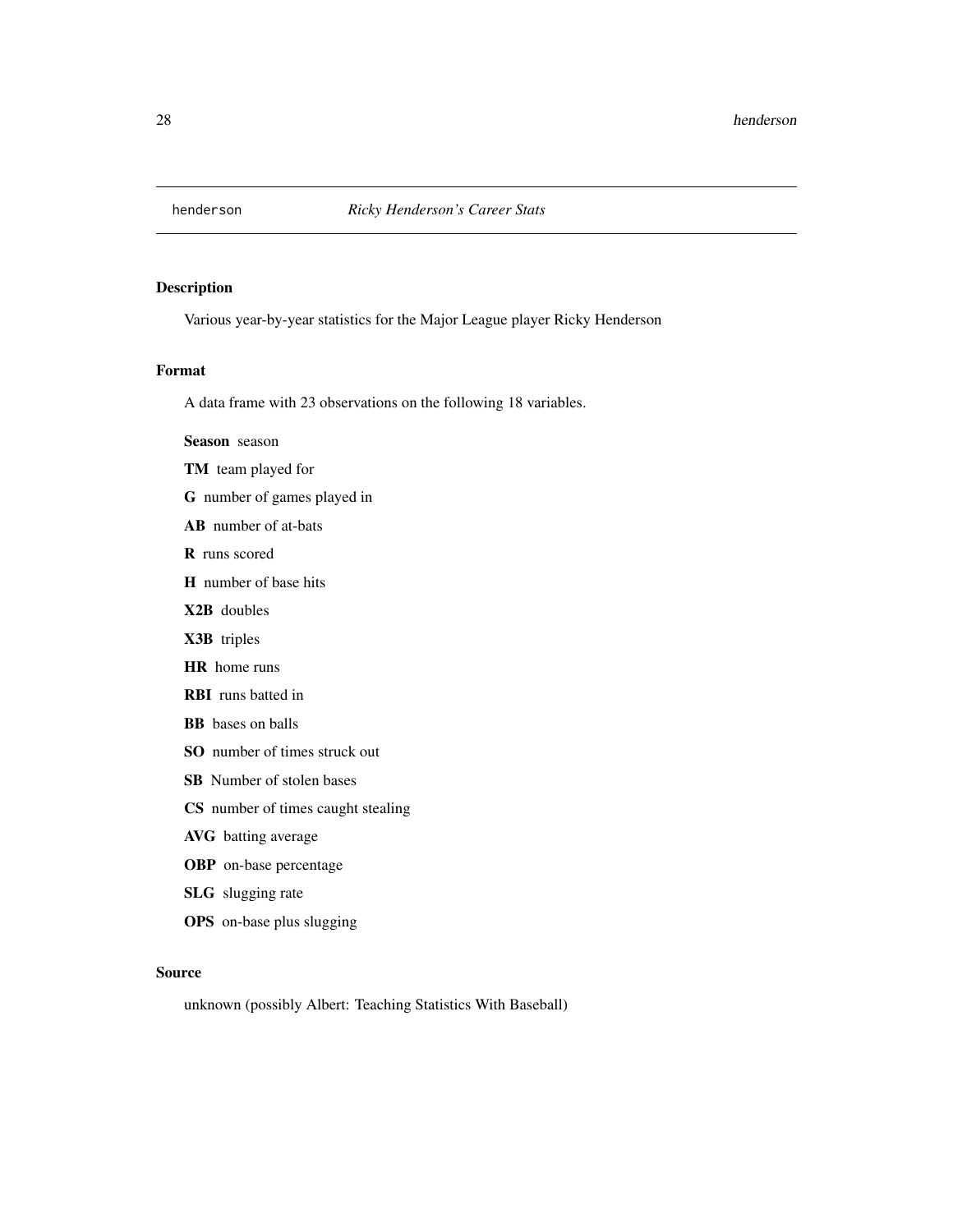<span id="page-27-0"></span>

Various year-by-year statistics for the Major League player Ricky Henderson

#### Format

A data frame with 23 observations on the following 18 variables.

Season season

- TM team played for
- G number of games played in
- AB number of at-bats

R runs scored

- H number of base hits
- X2B doubles
- X3B triples
- HR home runs
- RBI runs batted in
- BB bases on balls
- SO number of times struck out
- SB Number of stolen bases
- CS number of times caught stealing
- AVG batting average
- OBP on-base percentage
- SLG slugging rate
- OPS on-base plus slugging

#### Source

unknown (possibly Albert: Teaching Statistics With Baseball)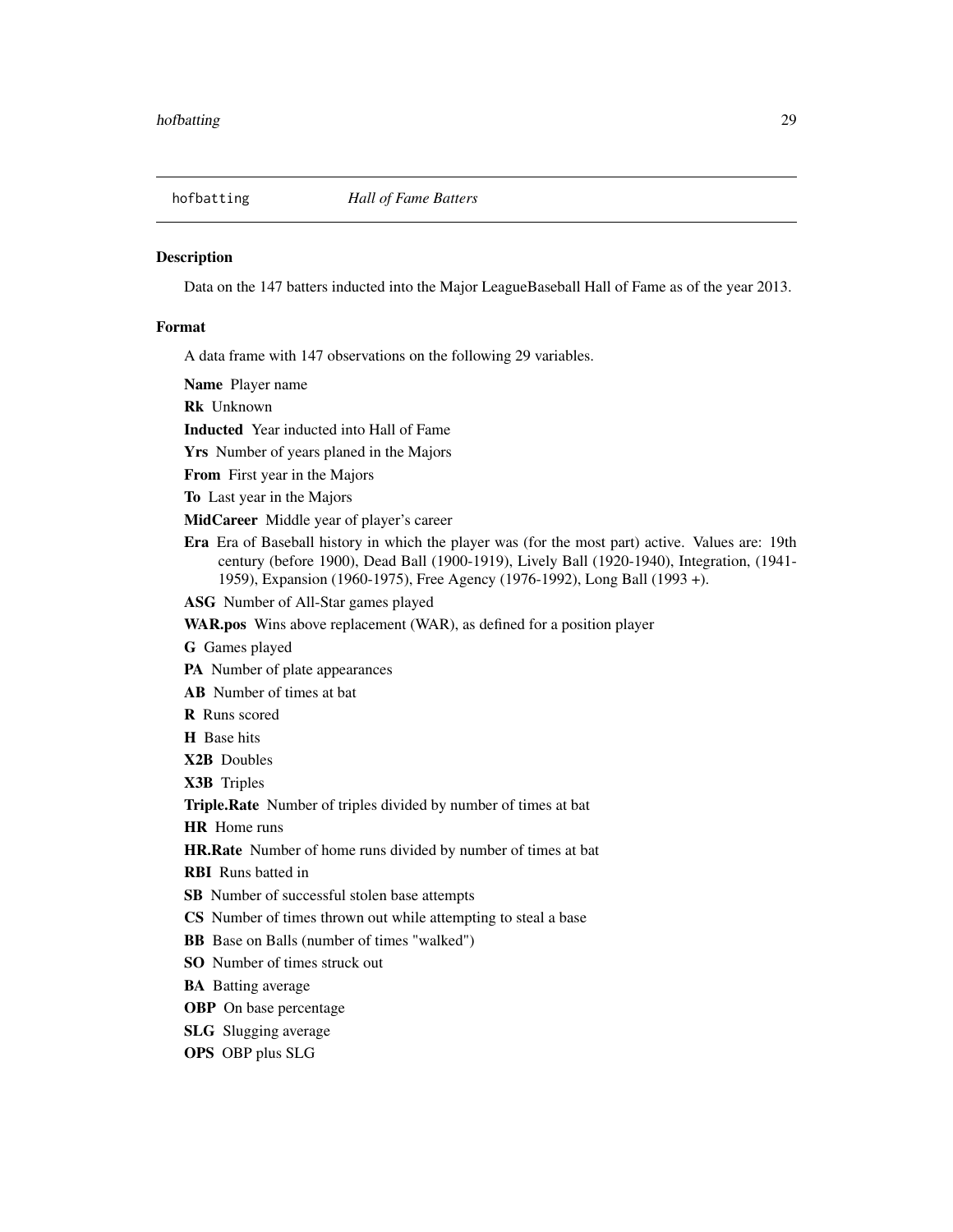<span id="page-28-0"></span>

Data on the 147 batters inducted into the Major LeagueBaseball Hall of Fame as of the year 2013.

#### Format

A data frame with 147 observations on the following 29 variables.

Name Player name

Rk Unknown

Inducted Year inducted into Hall of Fame

Yrs Number of years planed in the Majors

From First year in the Majors

To Last year in the Majors

MidCareer Middle year of player's career

Era Era of Baseball history in which the player was (for the most part) active. Values are: 19th century (before 1900), Dead Ball (1900-1919), Lively Ball (1920-1940), Integration, (1941- 1959), Expansion (1960-1975), Free Agency (1976-1992), Long Ball (1993 +).

ASG Number of All-Star games played

WAR.pos Wins above replacement (WAR), as defined for a position player

G Games played

PA Number of plate appearances

AB Number of times at bat

R Runs scored

H Base hits

X2B Doubles

X3B Triples

Triple.Rate Number of triples divided by number of times at bat

HR Home runs

HR.Rate Number of home runs divided by number of times at bat

RBI Runs batted in

SB Number of successful stolen base attempts

CS Number of times thrown out while attempting to steal a base

BB Base on Balls (number of times "walked")

SO Number of times struck out

BA Batting average

**OBP** On base percentage

SLG Slugging average

OPS OBP plus SLG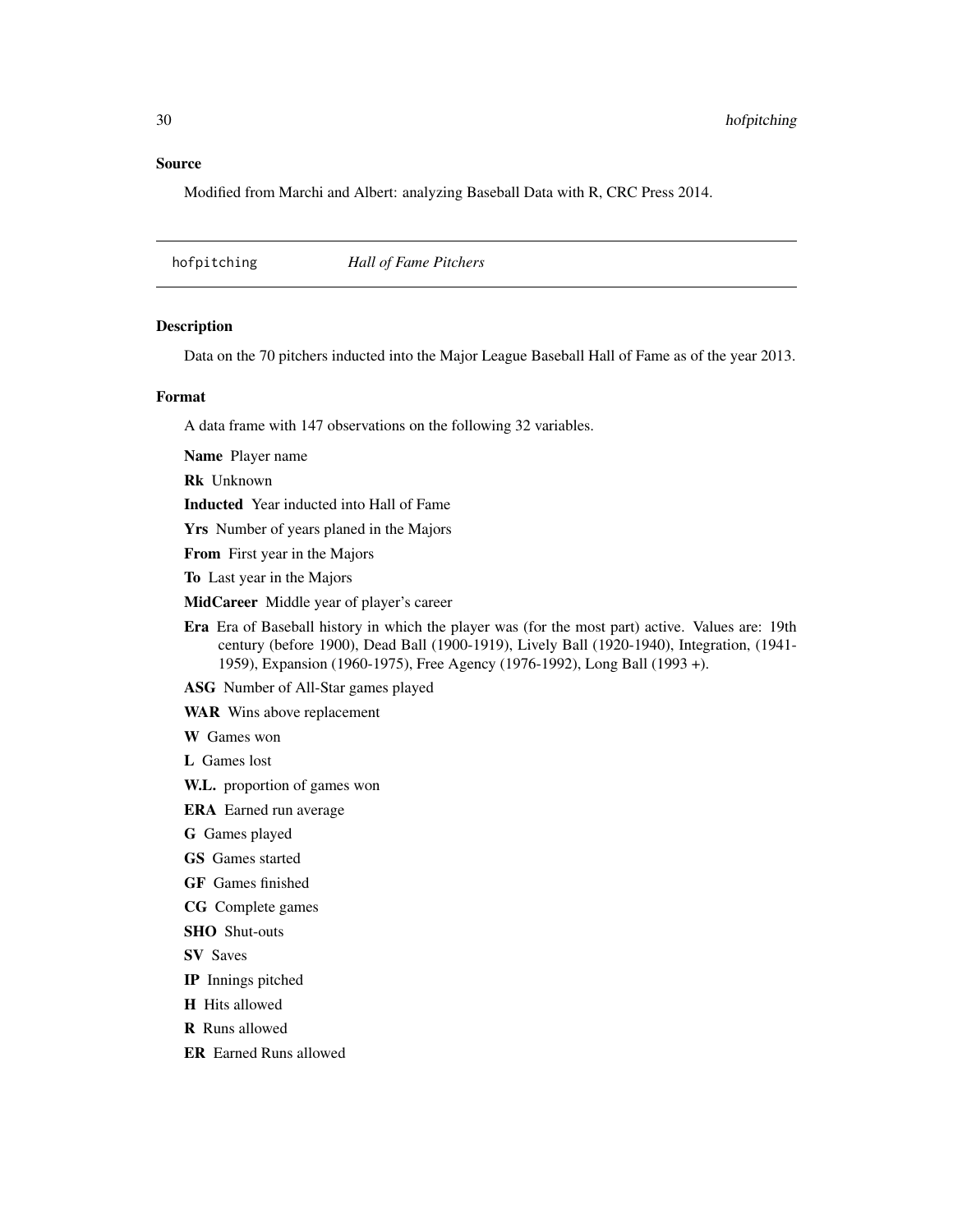#### <span id="page-29-0"></span>Source

Modified from Marchi and Albert: analyzing Baseball Data with R, CRC Press 2014.

hofpitching *Hall of Fame Pitchers*

#### Description

Data on the 70 pitchers inducted into the Major League Baseball Hall of Fame as of the year 2013.

#### Format

A data frame with 147 observations on the following 32 variables.

Name Player name

Rk Unknown

Inducted Year inducted into Hall of Fame

Yrs Number of years planed in the Majors

From First year in the Majors

To Last year in the Majors

MidCareer Middle year of player's career

Era Era of Baseball history in which the player was (for the most part) active. Values are: 19th century (before 1900), Dead Ball (1900-1919), Lively Ball (1920-1940), Integration, (1941- 1959), Expansion (1960-1975), Free Agency (1976-1992), Long Ball (1993 +).

ASG Number of All-Star games played

WAR Wins above replacement

W Games won

L Games lost

W.L. proportion of games won

ERA Earned run average

G Games played

GS Games started

GF Games finished

CG Complete games

SHO Shut-outs

SV Saves

IP Innings pitched

H Hits allowed

R Runs allowed

ER Earned Runs allowed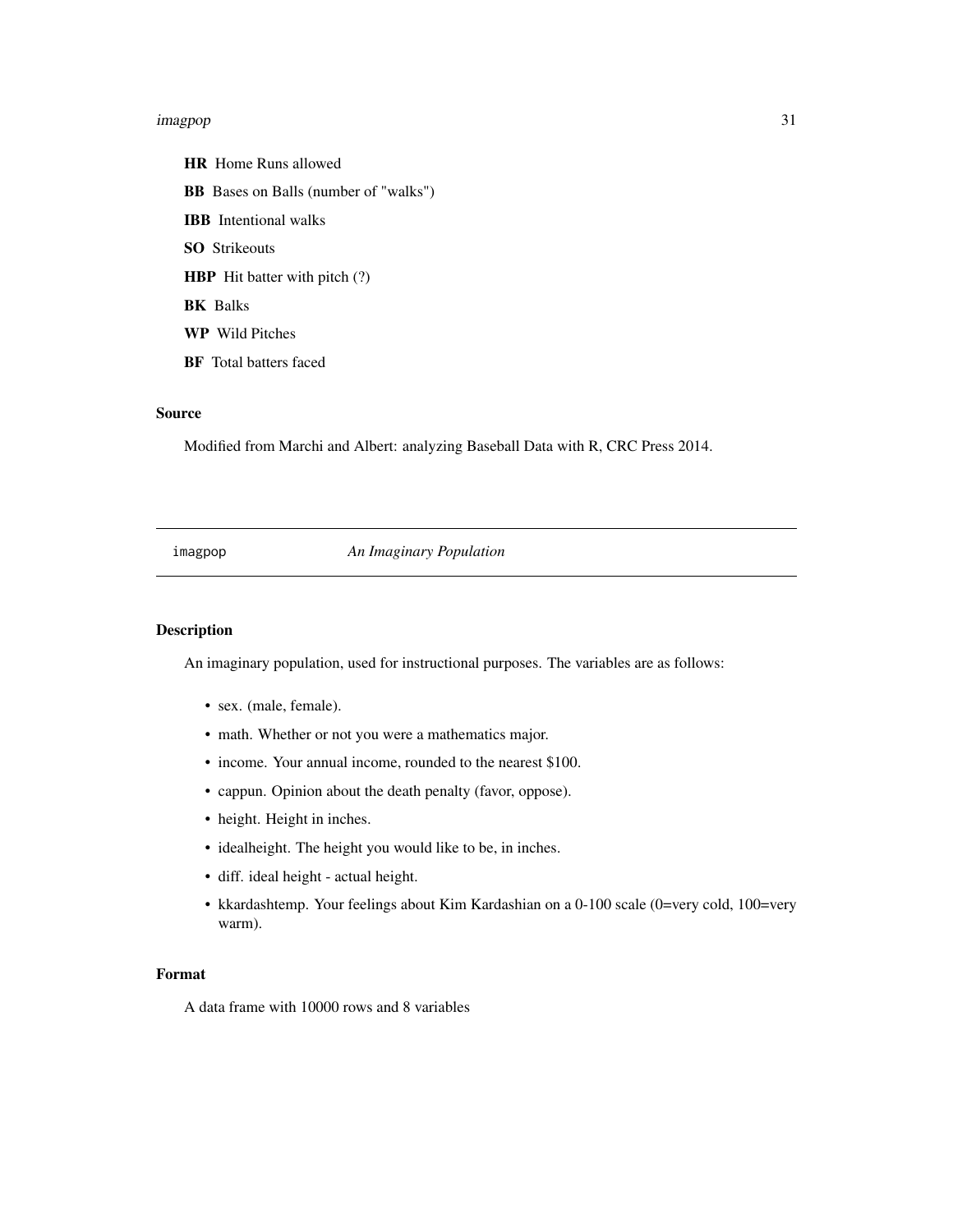#### <span id="page-30-0"></span>imagpop 31

HR Home Runs allowed BB Bases on Balls (number of "walks") IBB Intentional walks SO Strikeouts HBP Hit batter with pitch (?) BK Balks WP Wild Pitches BF Total batters faced

#### Source

Modified from Marchi and Albert: analyzing Baseball Data with R, CRC Press 2014.

imagpop *An Imaginary Population*

# Description

An imaginary population, used for instructional purposes. The variables are as follows:

- sex. (male, female).
- math. Whether or not you were a mathematics major.
- income. Your annual income, rounded to the nearest \$100.
- cappun. Opinion about the death penalty (favor, oppose).
- height. Height in inches.
- idealheight. The height you would like to be, in inches.
- diff. ideal height actual height.
- kkardashtemp. Your feelings about Kim Kardashian on a 0-100 scale (0=very cold, 100=very warm).

# Format

A data frame with 10000 rows and 8 variables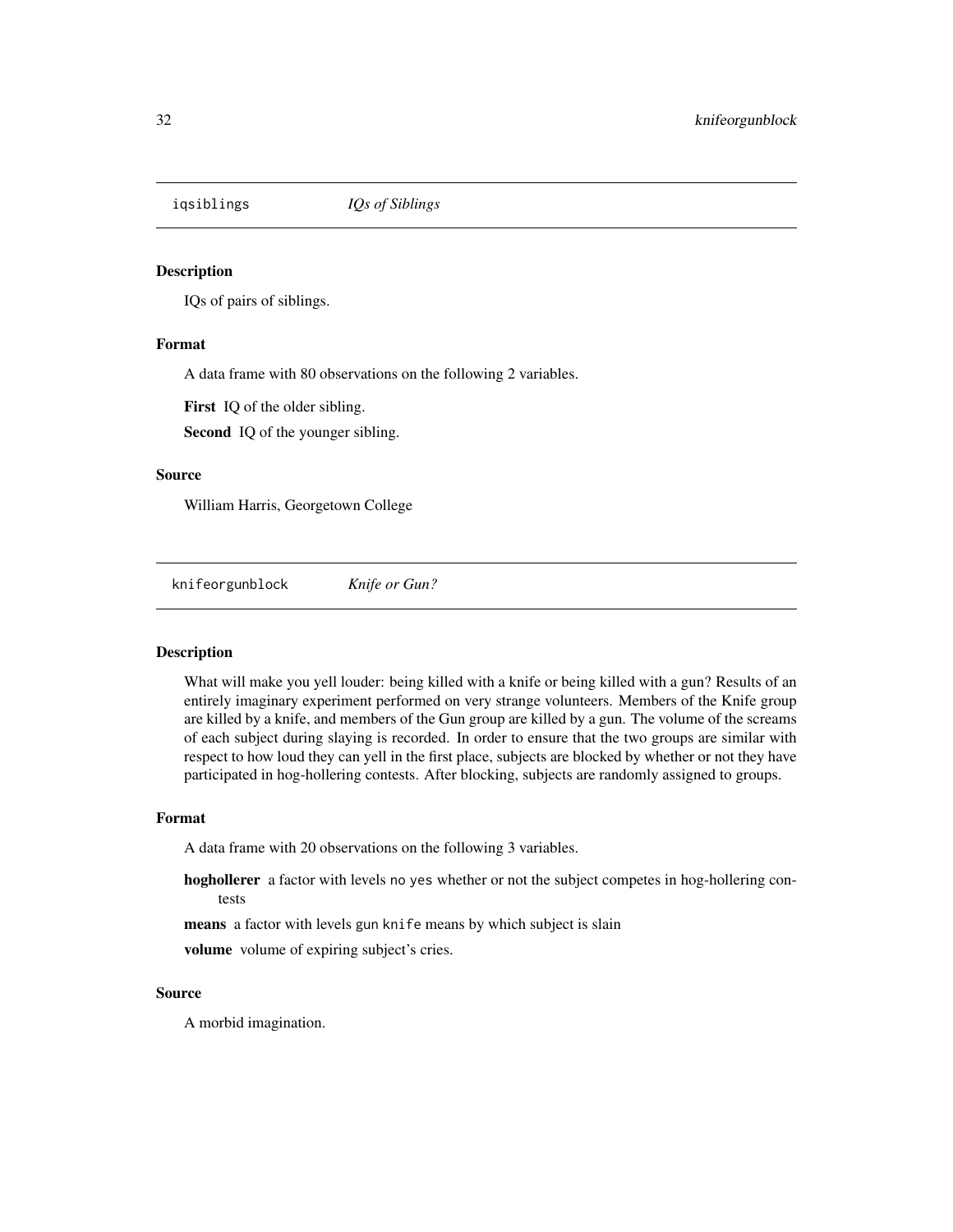<span id="page-31-0"></span>

IQs of pairs of siblings.

#### Format

A data frame with 80 observations on the following 2 variables.

First IQ of the older sibling.

Second IQ of the younger sibling.

#### Source

William Harris, Georgetown College

knifeorgunblock *Knife or Gun?*

## Description

What will make you yell louder: being killed with a knife or being killed with a gun? Results of an entirely imaginary experiment performed on very strange volunteers. Members of the Knife group are killed by a knife, and members of the Gun group are killed by a gun. The volume of the screams of each subject during slaying is recorded. In order to ensure that the two groups are similar with respect to how loud they can yell in the first place, subjects are blocked by whether or not they have participated in hog-hollering contests. After blocking, subjects are randomly assigned to groups.

#### Format

A data frame with 20 observations on the following 3 variables.

hoghollerer a factor with levels no yes whether or not the subject competes in hog-hollering contests

means a factor with levels gun knife means by which subject is slain

volume volume of expiring subject's cries.

#### Source

A morbid imagination.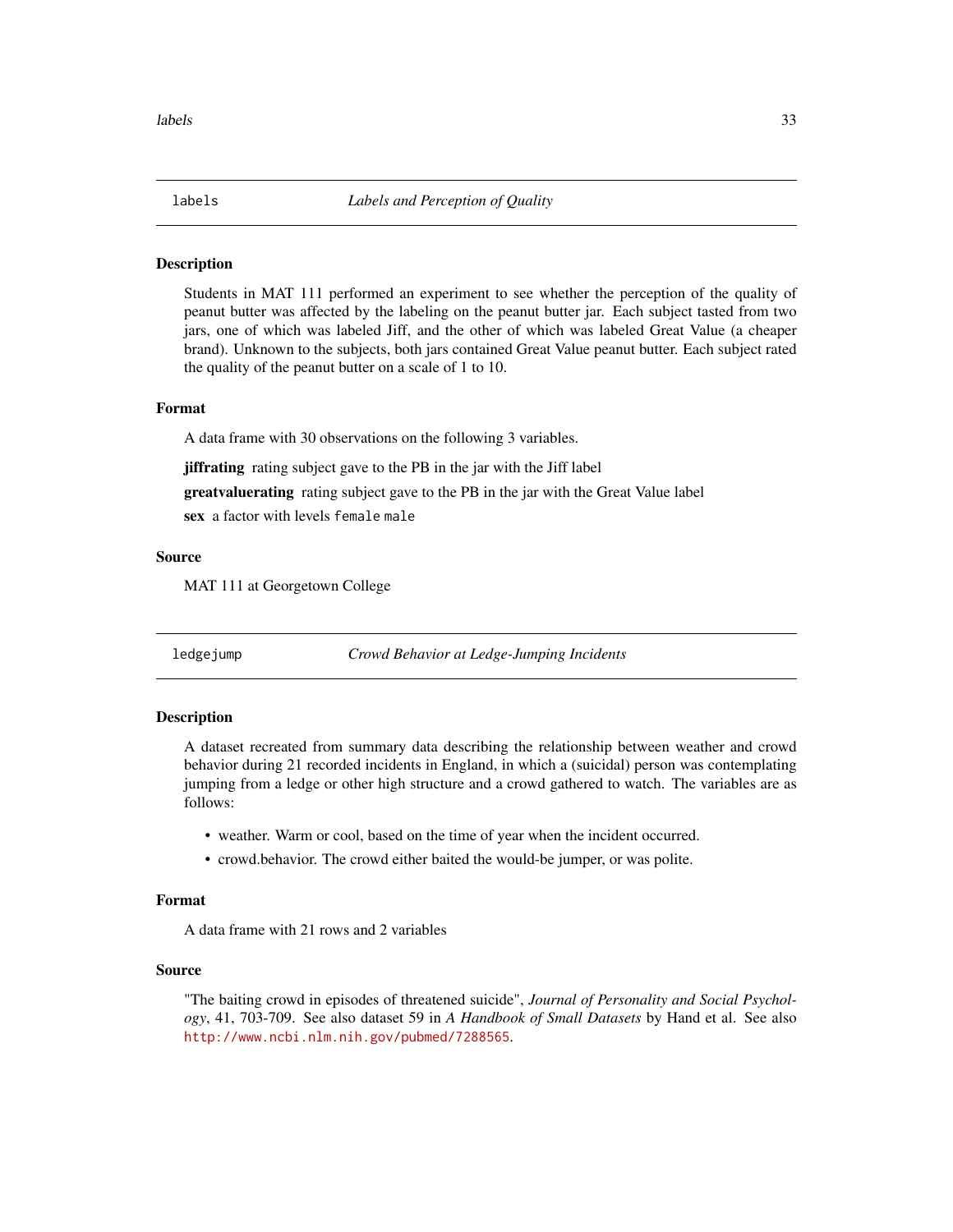<span id="page-32-0"></span>

Students in MAT 111 performed an experiment to see whether the perception of the quality of peanut butter was affected by the labeling on the peanut butter jar. Each subject tasted from two jars, one of which was labeled Jiff, and the other of which was labeled Great Value (a cheaper brand). Unknown to the subjects, both jars contained Great Value peanut butter. Each subject rated the quality of the peanut butter on a scale of 1 to 10.

# Format

A data frame with 30 observations on the following 3 variables.

jiffrating rating subject gave to the PB in the jar with the Jiff label

greatvaluerating rating subject gave to the PB in the jar with the Great Value label

sex a factor with levels female male

#### Source

MAT 111 at Georgetown College

ledgejump *Crowd Behavior at Ledge-Jumping Incidents*

#### Description

A dataset recreated from summary data describing the relationship between weather and crowd behavior during 21 recorded incidents in England, in which a (suicidal) person was contemplating jumping from a ledge or other high structure and a crowd gathered to watch. The variables are as follows:

- weather. Warm or cool, based on the time of year when the incident occurred.
- crowd.behavior. The crowd either baited the would-be jumper, or was polite.

# Format

A data frame with 21 rows and 2 variables

#### Source

"The baiting crowd in episodes of threatened suicide", *Journal of Personality and Social Psychology*, 41, 703-709. See also dataset 59 in *A Handbook of Small Datasets* by Hand et al. See also <http://www.ncbi.nlm.nih.gov/pubmed/7288565>.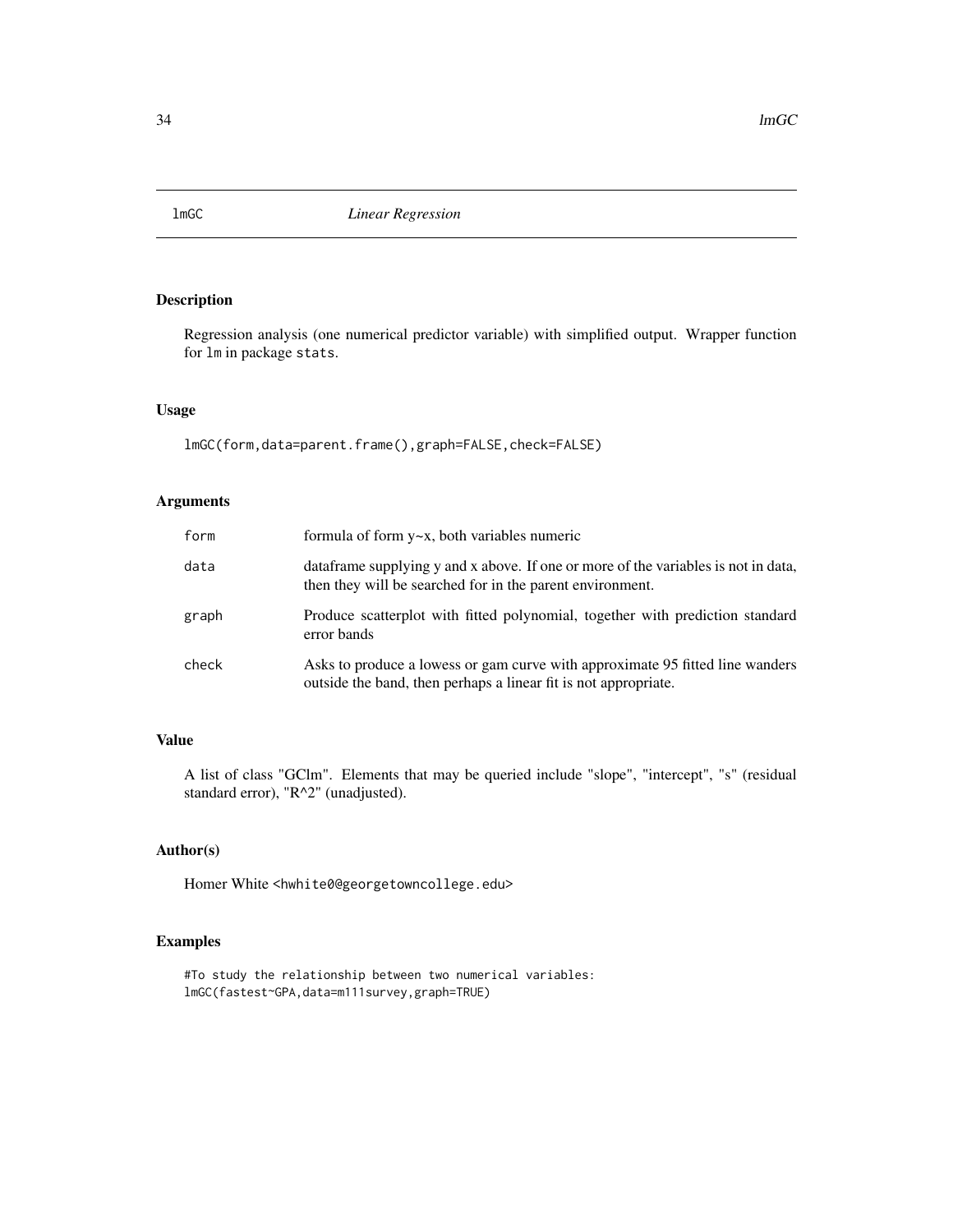<span id="page-33-0"></span>

Regression analysis (one numerical predictor variable) with simplified output. Wrapper function for lm in package stats.

# Usage

lmGC(form,data=parent.frame(),graph=FALSE,check=FALSE)

# Arguments

| form  | formula of form $y \sim x$ , both variables numeric                                                                                              |
|-------|--------------------------------------------------------------------------------------------------------------------------------------------------|
| data  | data data supplying y and x above. If one or more of the variables is not in data,<br>then they will be searched for in the parent environment.  |
| graph | Produce scatterplot with fitted polynomial, together with prediction standard<br>error bands                                                     |
| check | Asks to produce a lowess or gam curve with approximate 95 fitted line wanders<br>outside the band, then perhaps a linear fit is not appropriate. |

# Value

A list of class "GClm". Elements that may be queried include "slope", "intercept", "s" (residual standard error), "R^2" (unadjusted).

# Author(s)

Homer White <hwhite0@georgetowncollege.edu>

# Examples

#To study the relationship between two numerical variables: lmGC(fastest~GPA,data=m111survey,graph=TRUE)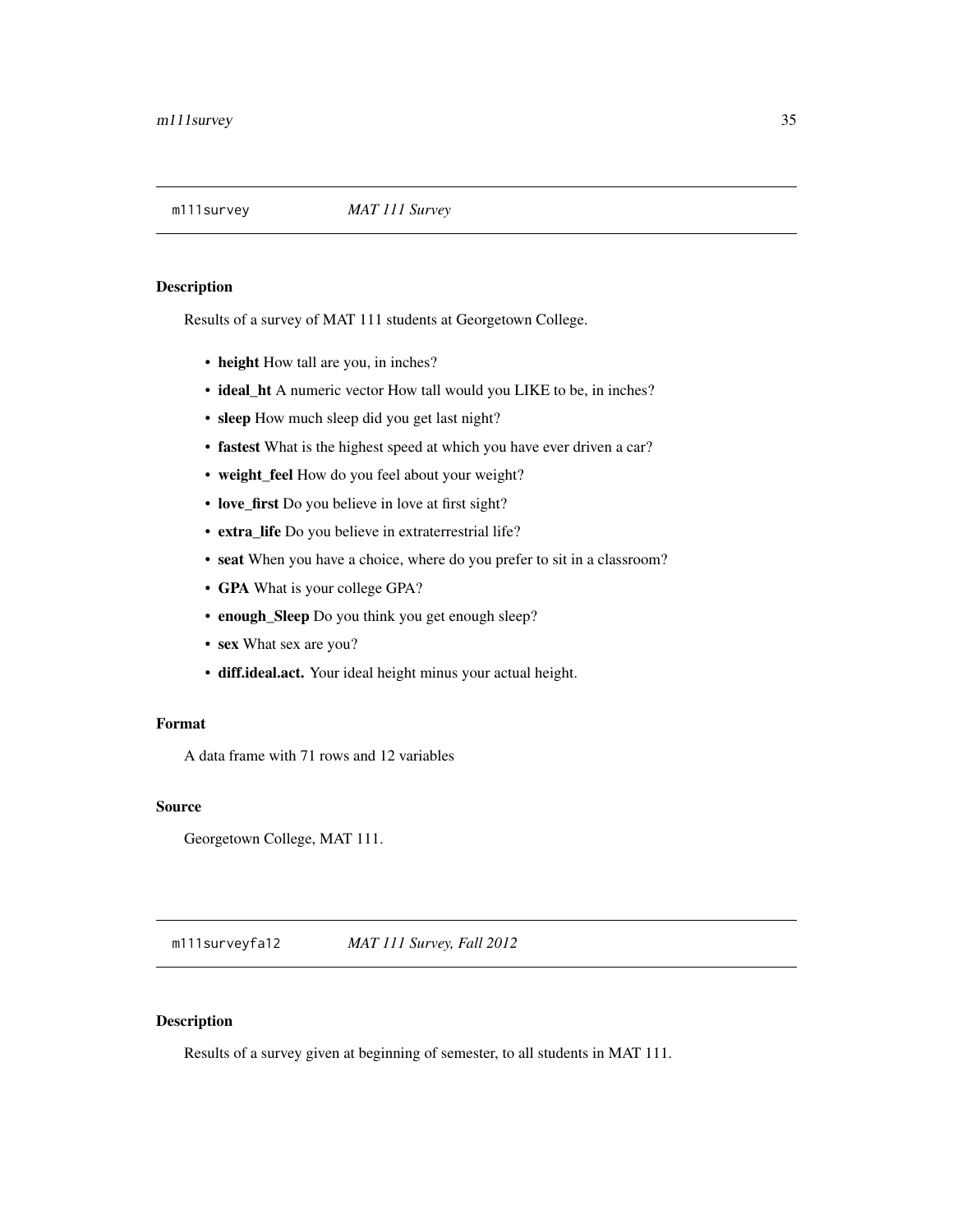<span id="page-34-0"></span>

Results of a survey of MAT 111 students at Georgetown College.

- height How tall are you, in inches?
- ideal\_ht A numeric vector How tall would you LIKE to be, in inches?
- sleep How much sleep did you get last night?
- fastest What is the highest speed at which you have ever driven a car?
- weight\_feel How do you feel about your weight?
- love\_first Do you believe in love at first sight?
- extra\_life Do you believe in extraterrestrial life?
- seat When you have a choice, where do you prefer to sit in a classroom?
- GPA What is your college GPA?
- enough\_Sleep Do you think you get enough sleep?
- sex What sex are you?
- diff.ideal.act. Your ideal height minus your actual height.

#### Format

A data frame with 71 rows and 12 variables

# Source

Georgetown College, MAT 111.

m111surveyfa12 *MAT 111 Survey, Fall 2012*

# Description

Results of a survey given at beginning of semester, to all students in MAT 111.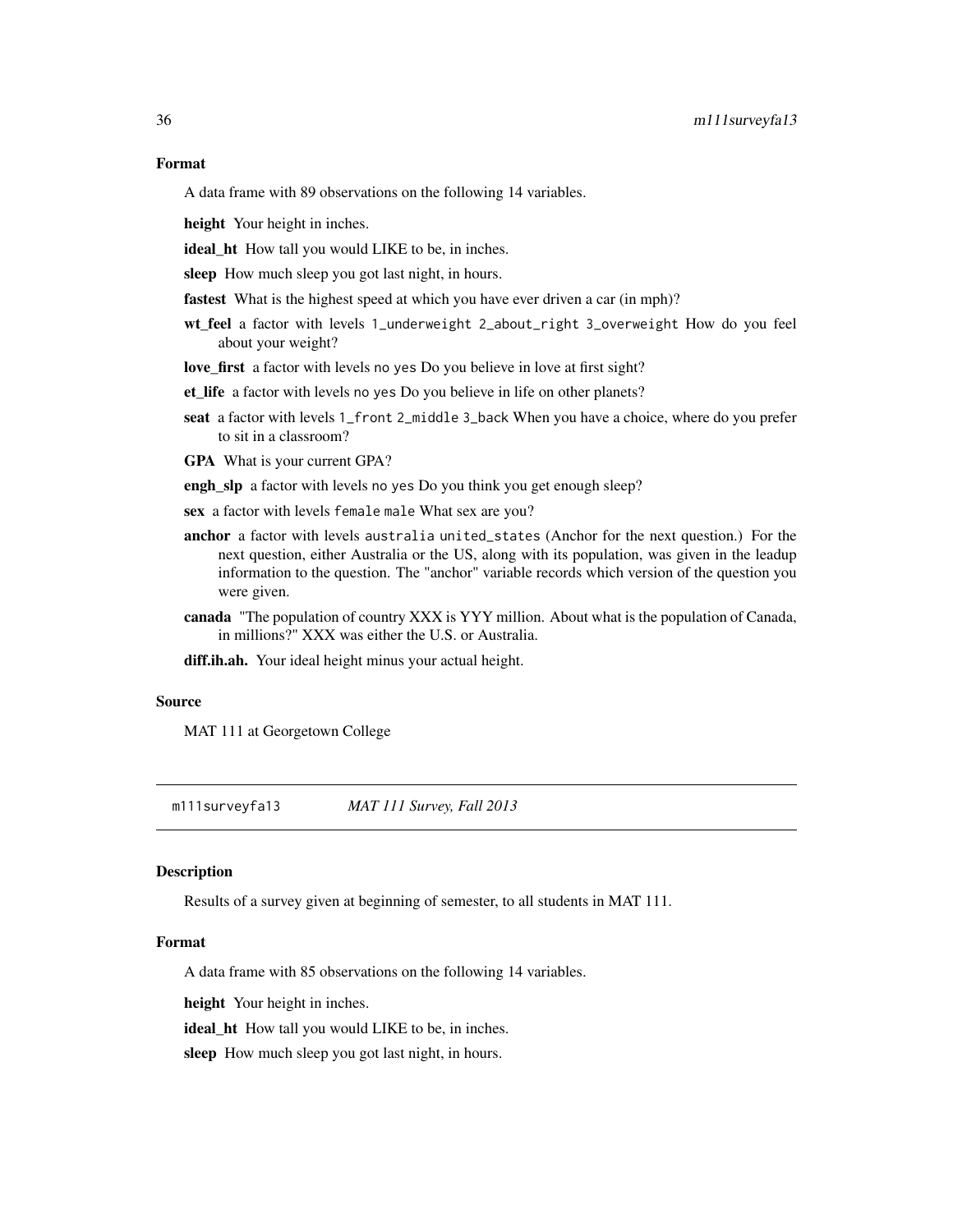# <span id="page-35-0"></span>Format

A data frame with 89 observations on the following 14 variables.

height Your height in inches.

ideal\_ht How tall you would LIKE to be, in inches.

sleep How much sleep you got last night, in hours.

fastest What is the highest speed at which you have ever driven a car (in mph)?

wt\_feel a factor with levels 1\_underweight 2\_about\_right 3\_overweight How do you feel about your weight?

love\_first a factor with levels no yes Do you believe in love at first sight?

et\_life a factor with levels no yes Do you believe in life on other planets?

seat a factor with levels 1\_front 2\_middle 3\_back When you have a choice, where do you prefer to sit in a classroom?

GPA What is your current GPA?

engh\_slp a factor with levels no yes Do you think you get enough sleep?

sex a factor with levels female male What sex are you?

- anchor a factor with levels australia united\_states (Anchor for the next question.) For the next question, either Australia or the US, along with its population, was given in the leadup information to the question. The "anchor" variable records which version of the question you were given.
- canada "The population of country XXX is YYY million. About what is the population of Canada, in millions?" XXX was either the U.S. or Australia.

diff.ih.ah. Your ideal height minus your actual height.

# Source

MAT 111 at Georgetown College

m111surveyfa13 *MAT 111 Survey, Fall 2013*

#### Description

Results of a survey given at beginning of semester, to all students in MAT 111.

#### Format

A data frame with 85 observations on the following 14 variables.

height Your height in inches.

ideal\_ht How tall you would LIKE to be, in inches.

sleep How much sleep you got last night, in hours.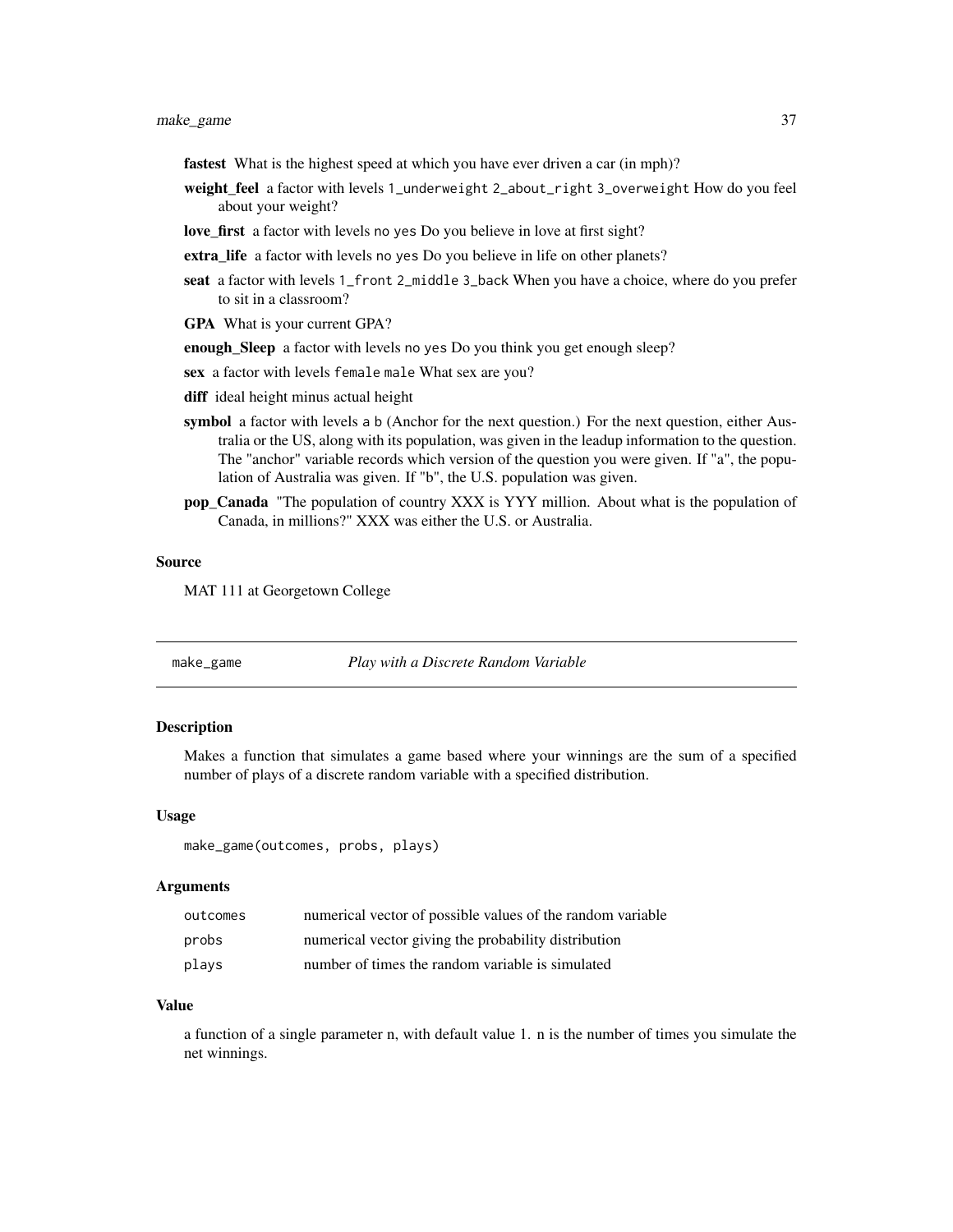make\_game 37

- fastest What is the highest speed at which you have ever driven a car (in mph)?
- weight\_feel a factor with levels 1\_underweight 2\_about\_right 3\_overweight How do you feel about your weight?
- love\_first a factor with levels no yes Do you believe in love at first sight?
- extra\_life a factor with levels no yes Do you believe in life on other planets?
- seat a factor with levels 1\_front 2\_middle 3\_back When you have a choice, where do you prefer to sit in a classroom?
- GPA What is your current GPA?
- enough\_Sleep a factor with levels no yes Do you think you get enough sleep?
- sex a factor with levels female male What sex are you?
- diff ideal height minus actual height
- symbol a factor with levels a b (Anchor for the next question.) For the next question, either Australia or the US, along with its population, was given in the leadup information to the question. The "anchor" variable records which version of the question you were given. If "a", the population of Australia was given. If "b", the U.S. population was given.
- pop\_Canada "The population of country XXX is YYY million. About what is the population of Canada, in millions?" XXX was either the U.S. or Australia.

#### Source

MAT 111 at Georgetown College

make\_game *Play with a Discrete Random Variable*

# Description

Makes a function that simulates a game based where your winnings are the sum of a specified number of plays of a discrete random variable with a specified distribution.

#### Usage

make\_game(outcomes, probs, plays)

#### Arguments

| outcomes | numerical vector of possible values of the random variable |
|----------|------------------------------------------------------------|
| probs    | numerical vector giving the probability distribution       |
| plays    | number of times the random variable is simulated           |

#### Value

a function of a single parameter n, with default value 1. n is the number of times you simulate the net winnings.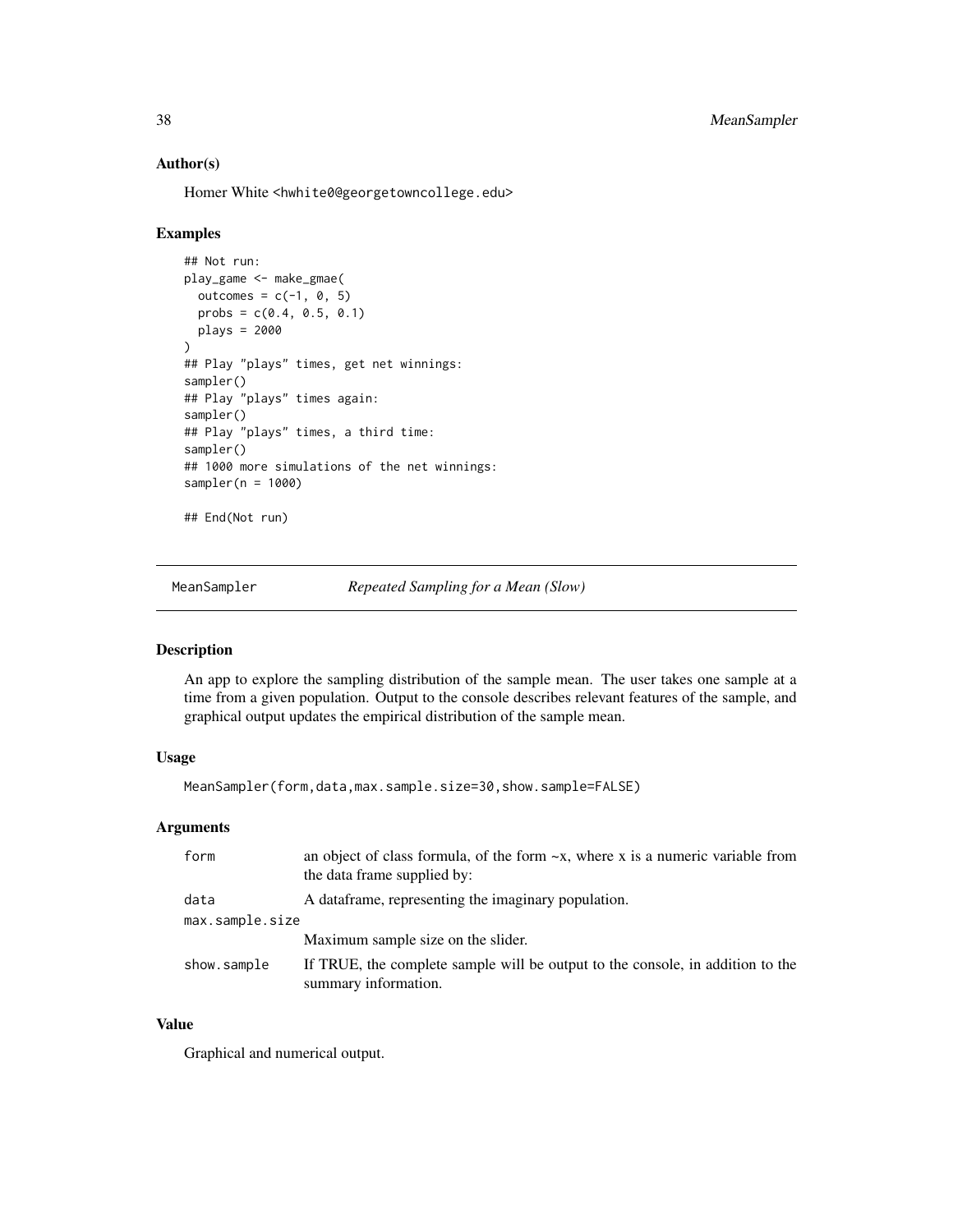#### Author(s)

Homer White <hwhite0@georgetowncollege.edu>

#### Examples

```
## Not run:
play_game <- make_gmae(
  outcomes = c(-1, 0, 5)probs = c(0.4, 0.5, 0.1)plays = 2000
)
## Play "plays" times, get net winnings:
sampler()
## Play "plays" times again:
sampler()
## Play "plays" times, a third time:
sampler()
## 1000 more simulations of the net winnings:
sampler(n = 1000)
## End(Not run)
```
MeanSampler *Repeated Sampling for a Mean (Slow)*

# Description

An app to explore the sampling distribution of the sample mean. The user takes one sample at a time from a given population. Output to the console describes relevant features of the sample, and graphical output updates the empirical distribution of the sample mean.

## Usage

MeanSampler(form,data,max.sample.size=30,show.sample=FALSE)

## Arguments

| form            | an object of class formula, of the form $-x$ , where x is a numeric variable from<br>the data frame supplied by: |
|-----------------|------------------------------------------------------------------------------------------------------------------|
| data            | A data frame, representing the imaginary population.                                                             |
| max.sample.size |                                                                                                                  |
|                 | Maximum sample size on the slider.                                                                               |
| show.sample     | If TRUE, the complete sample will be output to the console, in addition to the<br>summary information.           |

# Value

Graphical and numerical output.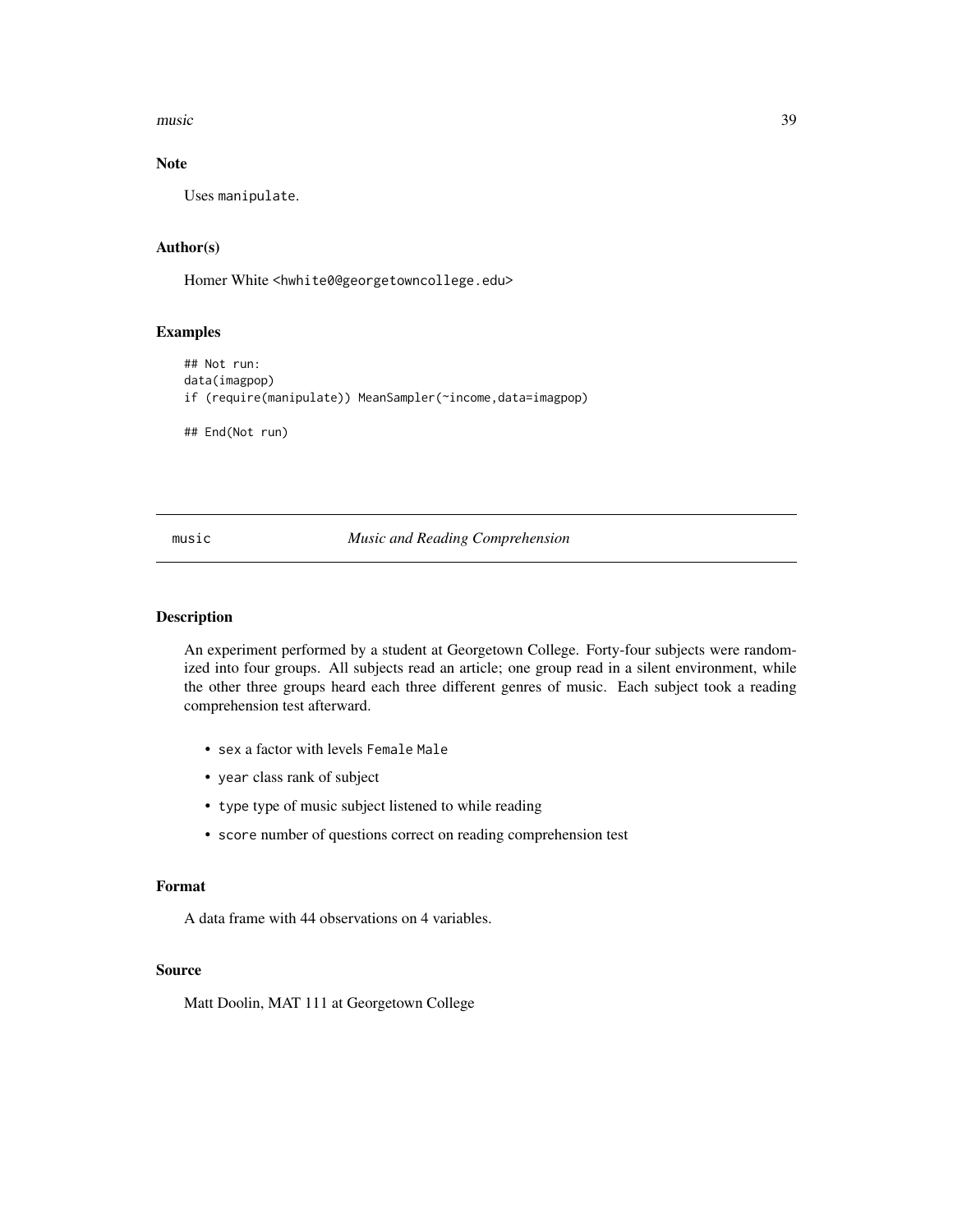music 39

# Note

Uses manipulate.

# Author(s)

Homer White <hwhite0@georgetowncollege.edu>

# Examples

```
## Not run:
data(imagpop)
if (require(manipulate)) MeanSampler(~income,data=imagpop)
## End(Not run)
```
music *Music and Reading Comprehension*

## Description

An experiment performed by a student at Georgetown College. Forty-four subjects were randomized into four groups. All subjects read an article; one group read in a silent environment, while the other three groups heard each three different genres of music. Each subject took a reading comprehension test afterward.

- sex a factor with levels Female Male
- year class rank of subject
- type type of music subject listened to while reading
- score number of questions correct on reading comprehension test

#### Format

A data frame with 44 observations on 4 variables.

## Source

Matt Doolin, MAT 111 at Georgetown College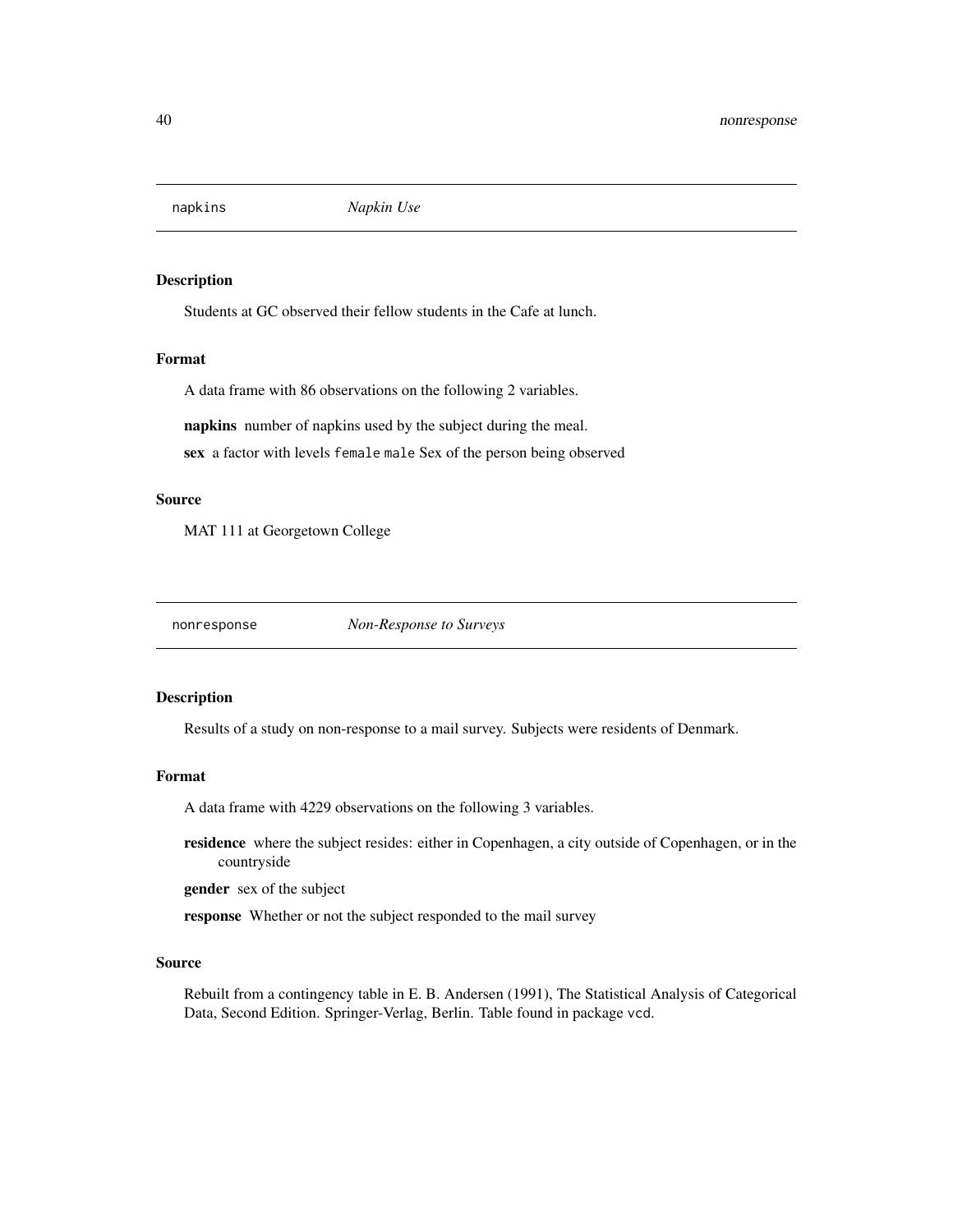Students at GC observed their fellow students in the Cafe at lunch.

## Format

A data frame with 86 observations on the following 2 variables.

napkins number of napkins used by the subject during the meal.

sex a factor with levels female male Sex of the person being observed

#### Source

MAT 111 at Georgetown College

nonresponse *Non-Response to Surveys*

#### Description

Results of a study on non-response to a mail survey. Subjects were residents of Denmark.

#### Format

A data frame with 4229 observations on the following 3 variables.

residence where the subject resides: either in Copenhagen, a city outside of Copenhagen, or in the countryside

gender sex of the subject

response Whether or not the subject responded to the mail survey

## Source

Rebuilt from a contingency table in E. B. Andersen (1991), The Statistical Analysis of Categorical Data, Second Edition. Springer-Verlag, Berlin. Table found in package vcd.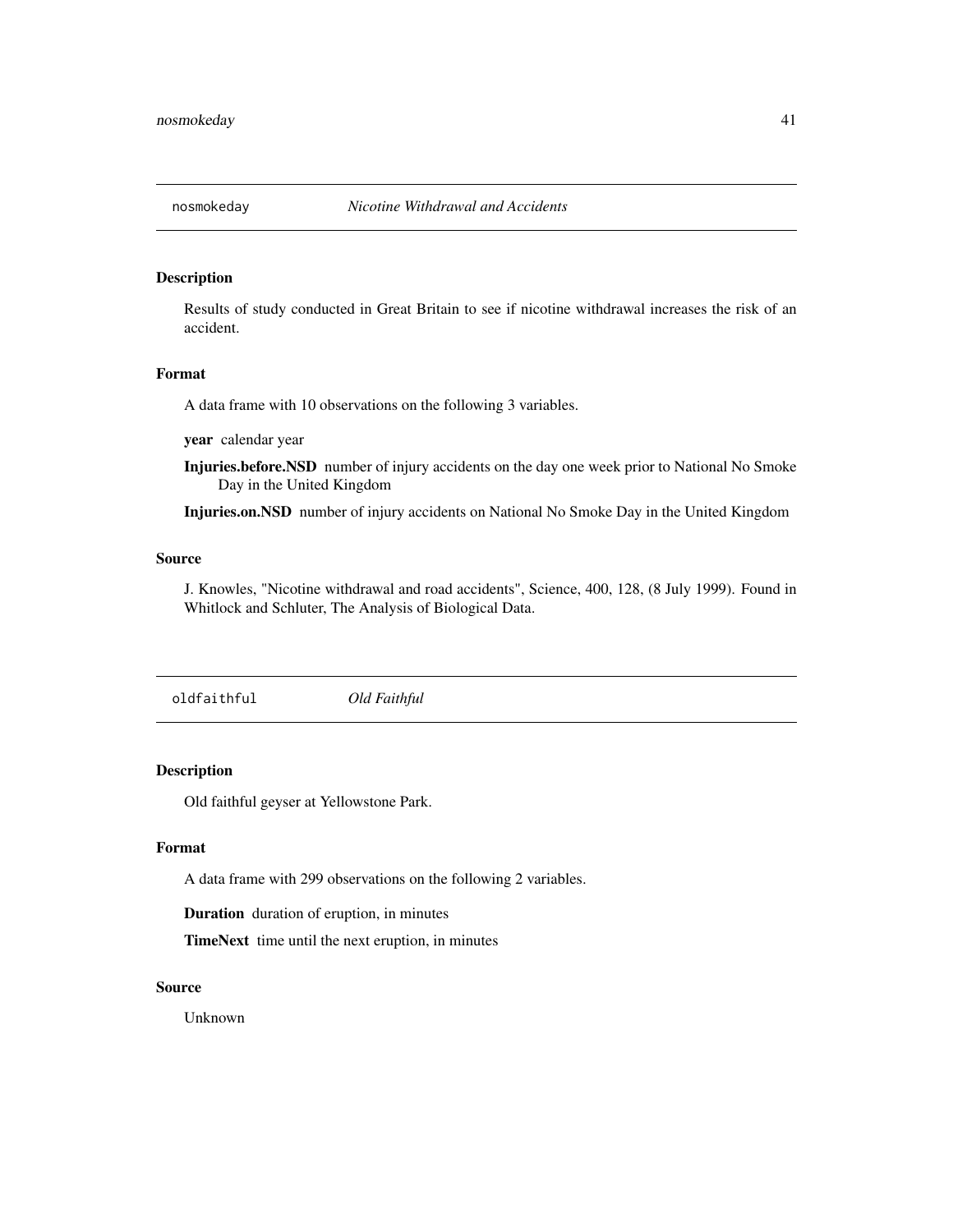Results of study conducted in Great Britain to see if nicotine withdrawal increases the risk of an accident.

#### Format

A data frame with 10 observations on the following 3 variables.

year calendar year

Injuries.before.NSD number of injury accidents on the day one week prior to National No Smoke Day in the United Kingdom

Injuries.on.NSD number of injury accidents on National No Smoke Day in the United Kingdom

#### Source

J. Knowles, "Nicotine withdrawal and road accidents", Science, 400, 128, (8 July 1999). Found in Whitlock and Schluter, The Analysis of Biological Data.

oldfaithful *Old Faithful*

# Description

Old faithful geyser at Yellowstone Park.

## Format

A data frame with 299 observations on the following 2 variables.

Duration duration of eruption, in minutes

TimeNext time until the next eruption, in minutes

# Source

Unknown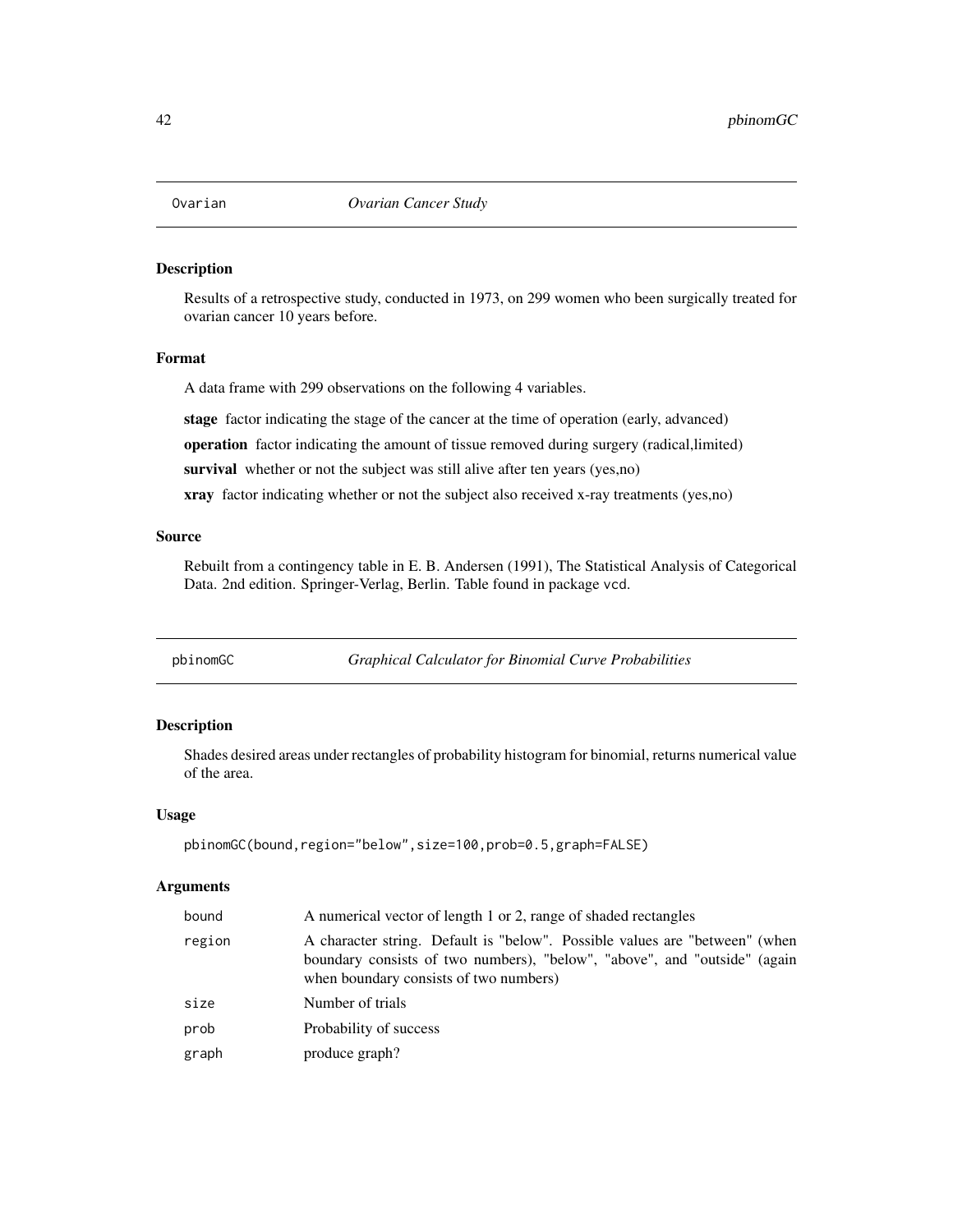Results of a retrospective study, conducted in 1973, on 299 women who been surgically treated for ovarian cancer 10 years before.

## Format

A data frame with 299 observations on the following 4 variables.

stage factor indicating the stage of the cancer at the time of operation (early, advanced) operation factor indicating the amount of tissue removed during surgery (radical,limited) survival whether or not the subject was still alive after ten years (yes,no) xray factor indicating whether or not the subject also received x-ray treatments (yes,no)

## Source

Rebuilt from a contingency table in E. B. Andersen (1991), The Statistical Analysis of Categorical Data. 2nd edition. Springer-Verlag, Berlin. Table found in package vcd.

pbinomGC *Graphical Calculator for Binomial Curve Probabilities*

## Description

Shades desired areas under rectangles of probability histogram for binomial, returns numerical value of the area.

#### Usage

pbinomGC(bound,region="below",size=100,prob=0.5,graph=FALSE)

#### **Arguments**

| bound  | A numerical vector of length 1 or 2, range of shaded rectangles                                                                                                                                    |
|--------|----------------------------------------------------------------------------------------------------------------------------------------------------------------------------------------------------|
| region | A character string. Default is "below". Possible values are "between" (when<br>boundary consists of two numbers), "below", "above", and "outside" (again<br>when boundary consists of two numbers) |
| size   | Number of trials                                                                                                                                                                                   |
| prob   | Probability of success                                                                                                                                                                             |
| graph  | produce graph?                                                                                                                                                                                     |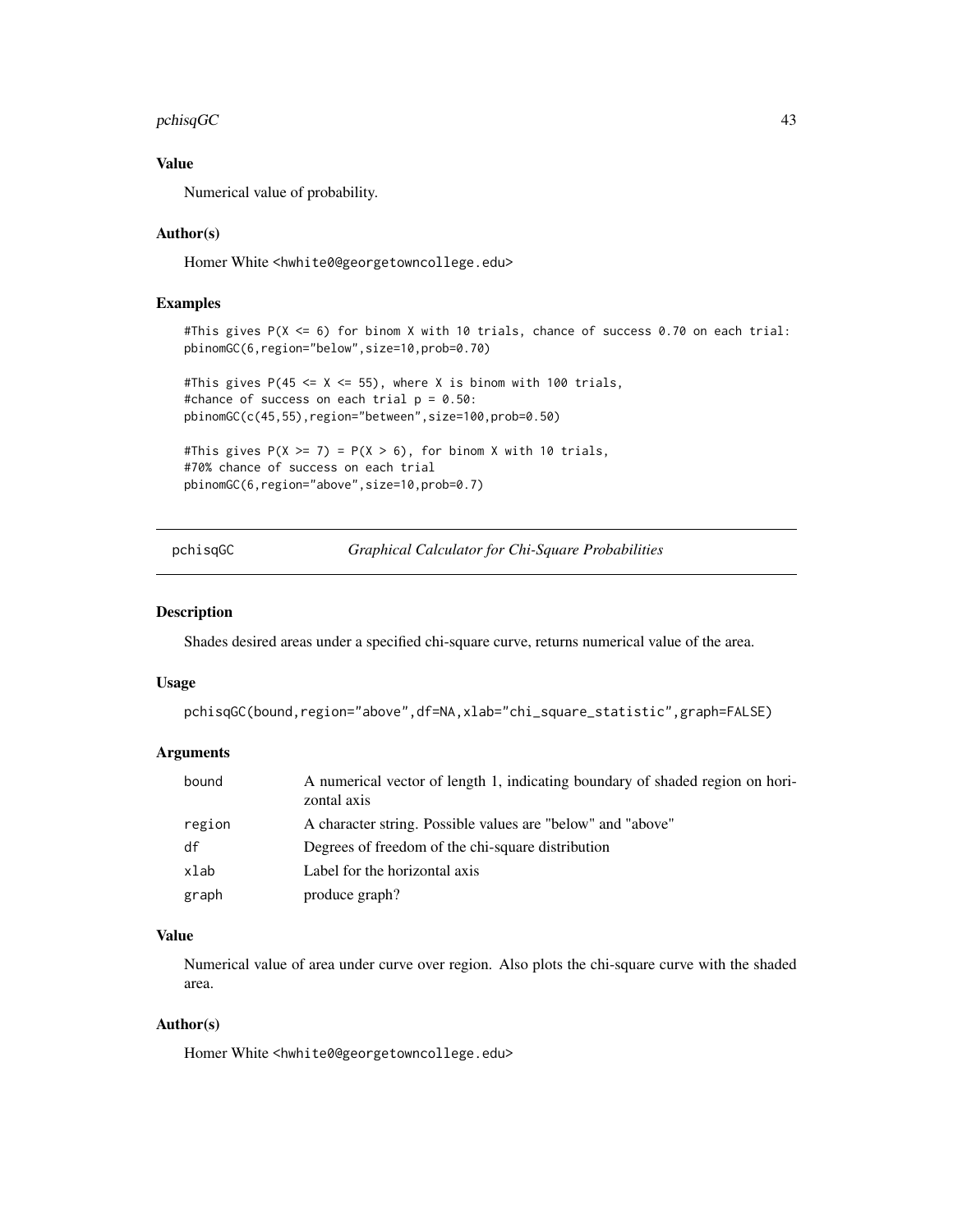#### pchisqGC 43

# Value

Numerical value of probability.

## Author(s)

Homer White <hwhite0@georgetowncollege.edu>

## Examples

```
#This gives P(X <= 6) for binom X with 10 trials, chance of success 0.70 on each trial:
pbinomGC(6,region="below",size=10,prob=0.70)
#This gives P(45 \leq X \leq 55), where X is binom with 100 trials,
#chance of success on each trial p = 0.50:
pbinomGC(c(45,55),region="between",size=100,prob=0.50)
#This gives P(X \ge 7) = P(X > 6), for binom X with 10 trials,
```
#70% chance of success on each trial pbinomGC(6,region="above",size=10,prob=0.7)

pchisqGC *Graphical Calculator for Chi-Square Probabilities*

#### Description

Shades desired areas under a specified chi-square curve, returns numerical value of the area.

#### Usage

```
pchisqGC(bound,region="above",df=NA,xlab="chi_square_statistic",graph=FALSE)
```
# Arguments

| bound  | A numerical vector of length 1, indicating boundary of shaded region on hori-<br>zontal axis |
|--------|----------------------------------------------------------------------------------------------|
| region | A character string. Possible values are "below" and "above"                                  |
| df     | Degrees of freedom of the chi-square distribution                                            |
| xlab   | Label for the horizontal axis                                                                |
| graph  | produce graph?                                                                               |

## Value

Numerical value of area under curve over region. Also plots the chi-square curve with the shaded area.

# Author(s)

Homer White <hwhite0@georgetowncollege.edu>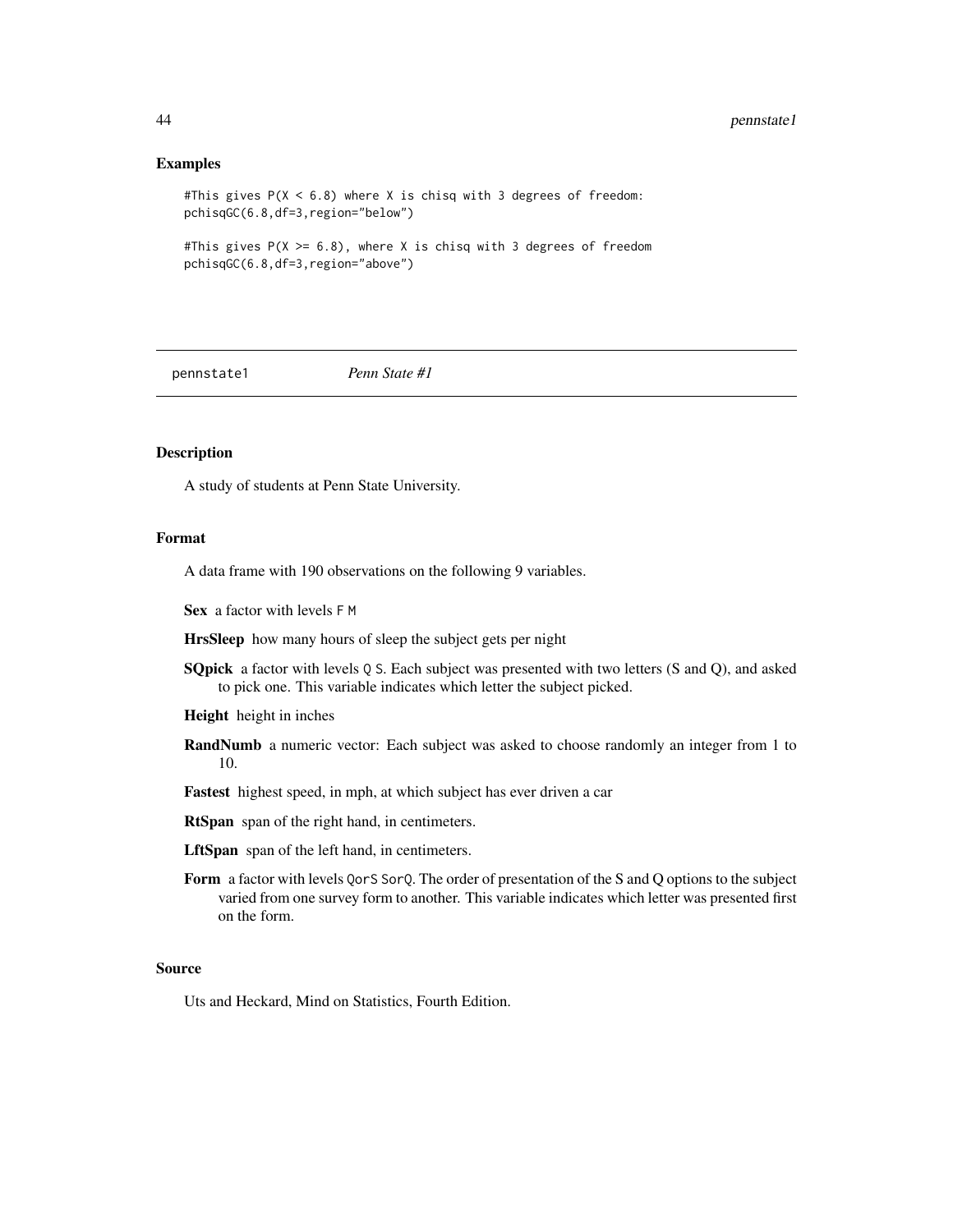## Examples

```
#This gives P(X < 6.8) where X is chisq with 3 degrees of freedom:
pchisqGC(6.8,df=3,region="below")
```

```
#This gives P(X \ge 6.8), where X is chisq with 3 degrees of freedom
pchisqGC(6.8,df=3,region="above")
```
pennstate1 *Penn State #1*

# Description

A study of students at Penn State University.

## Format

A data frame with 190 observations on the following 9 variables.

Sex a factor with levels F M

HrsSleep how many hours of sleep the subject gets per night

**SQpick** a factor with levels Q S. Each subject was presented with two letters (S and Q), and asked to pick one. This variable indicates which letter the subject picked.

Height height in inches

- RandNumb a numeric vector: Each subject was asked to choose randomly an integer from 1 to 10.
- Fastest highest speed, in mph, at which subject has ever driven a car

RtSpan span of the right hand, in centimeters.

LftSpan span of the left hand, in centimeters.

Form a factor with levels QorS SorQ. The order of presentation of the S and Q options to the subject varied from one survey form to another. This variable indicates which letter was presented first on the form.

#### Source

Uts and Heckard, Mind on Statistics, Fourth Edition.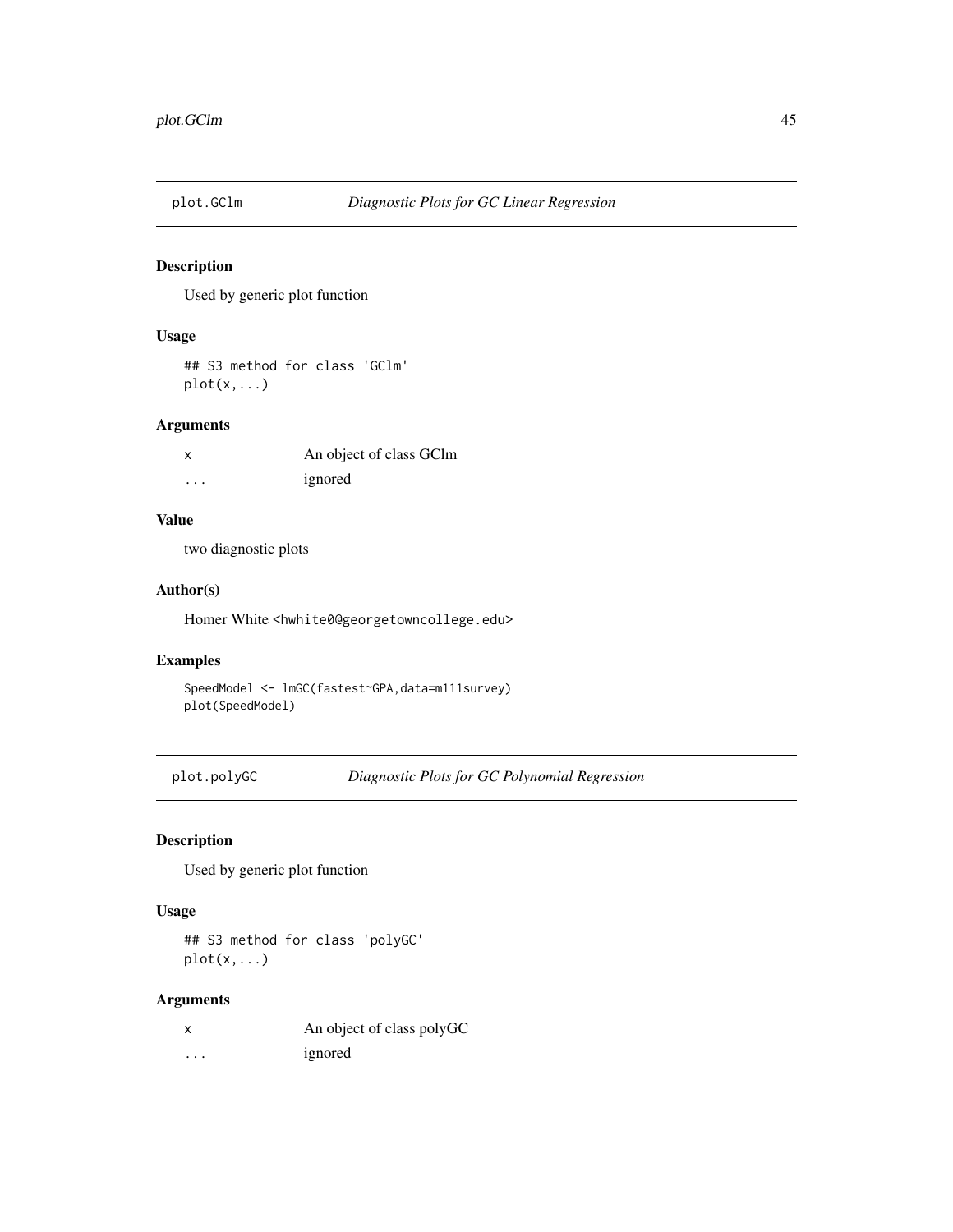Used by generic plot function

# Usage

## S3 method for class 'GClm' plot(x,...)

# Arguments

|          | An object of class GClm |
|----------|-------------------------|
| $\cdots$ | ignored                 |

# Value

two diagnostic plots

# Author(s)

Homer White <hwhite0@georgetowncollege.edu>

# Examples

SpeedModel <- lmGC(fastest~GPA,data=m111survey) plot(SpeedModel)

plot.polyGC *Diagnostic Plots for GC Polynomial Regression*

# Description

Used by generic plot function

#### Usage

## S3 method for class 'polyGC'  $plot(x,...)$ 

# Arguments

|   | An object of class polyGC |
|---|---------------------------|
| . | ignored                   |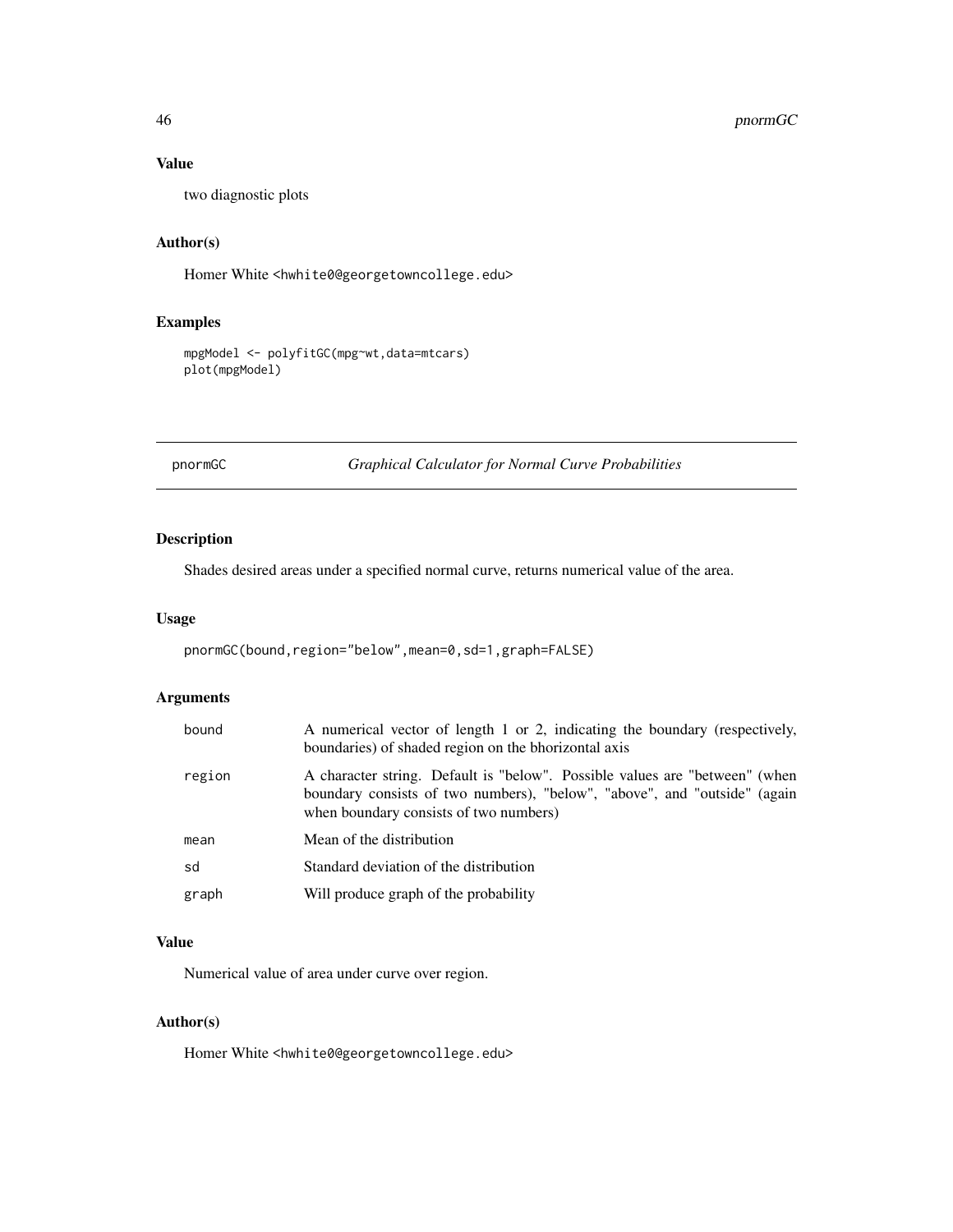# 46 pnormGC

# Value

two diagnostic plots

# Author(s)

Homer White <hwhite0@georgetowncollege.edu>

# Examples

```
mpgModel <- polyfitGC(mpg~wt,data=mtcars)
plot(mpgModel)
```
pnormGC *Graphical Calculator for Normal Curve Probabilities*

# Description

Shades desired areas under a specified normal curve, returns numerical value of the area.

## Usage

```
pnormGC(bound,region="below",mean=0,sd=1,graph=FALSE)
```
# Arguments

| bound  | A numerical vector of length 1 or 2, indicating the boundary (respectively,<br>boundaries) of shaded region on the bhorizontal axis                                                                |
|--------|----------------------------------------------------------------------------------------------------------------------------------------------------------------------------------------------------|
| region | A character string. Default is "below". Possible values are "between" (when<br>boundary consists of two numbers), "below", "above", and "outside" (again<br>when boundary consists of two numbers) |
| mean   | Mean of the distribution                                                                                                                                                                           |
| sd     | Standard deviation of the distribution                                                                                                                                                             |
| graph  | Will produce graph of the probability                                                                                                                                                              |

# Value

Numerical value of area under curve over region.

# Author(s)

Homer White <hwhite0@georgetowncollege.edu>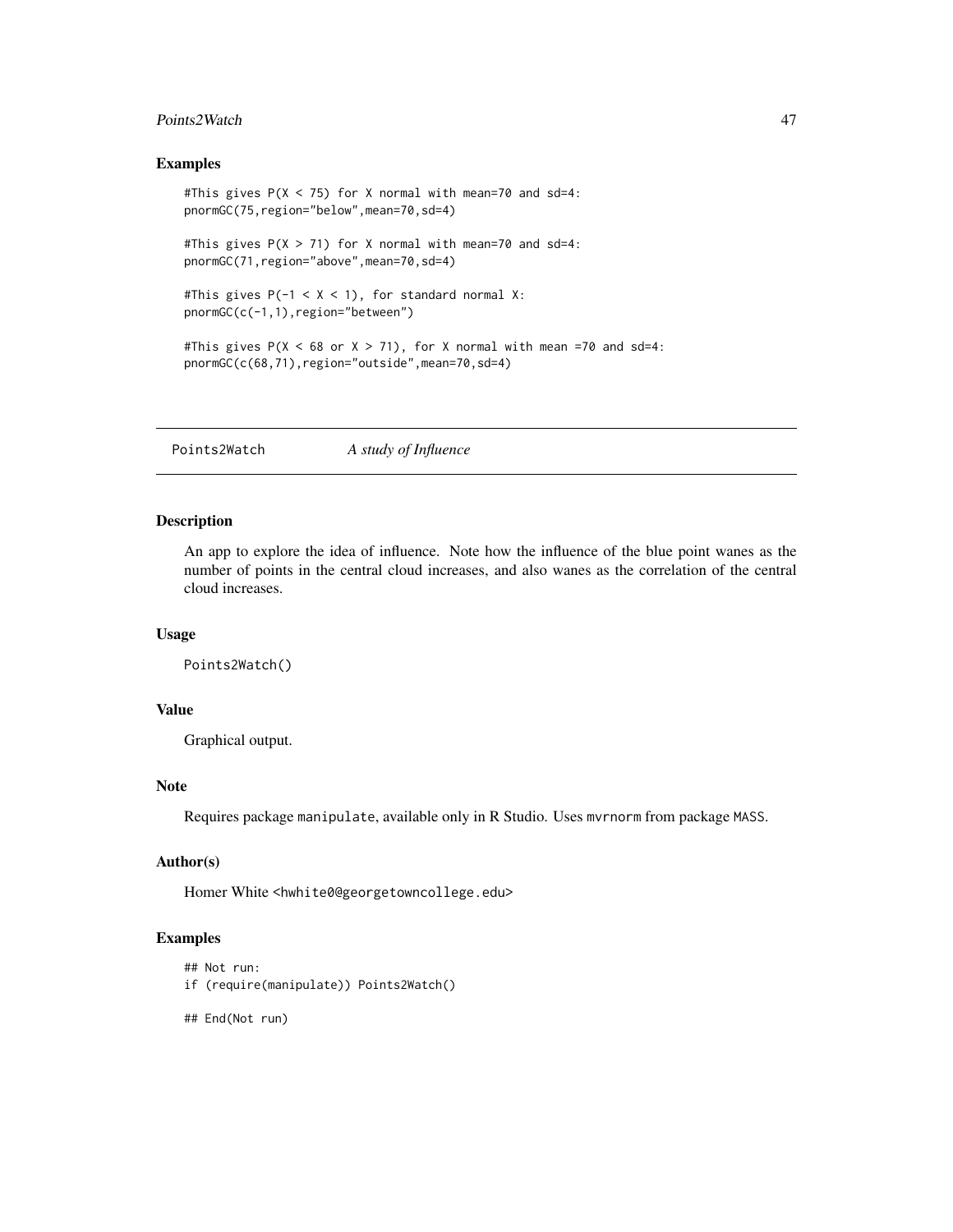# Points2Watch 47

#### Examples

```
#This gives P(X < 75) for X normal with mean=70 and sd=4:
pnormGC(75,region="below",mean=70,sd=4)
#This gives P(X > 71) for X normal with mean=70 and sd=4:
pnormGC(71, region="above", mean=70, sd=4)
#This gives P(-1 < X < 1), for standard normal X:
pnormGC(c(-1,1),region="between")
#This gives P(X < 68 or X > 71), for X normal with mean =70 and sd=4:
pnormGC(c(68,71),region="outside",mean=70,sd=4)
```
Points2Watch *A study of Influence*

## Description

An app to explore the idea of influence. Note how the influence of the blue point wanes as the number of points in the central cloud increases, and also wanes as the correlation of the central cloud increases.

# Usage

```
Points2Watch()
```
#### Value

Graphical output.

# Note

Requires package manipulate, available only in R Studio. Uses mvrnorm from package MASS.

## Author(s)

Homer White <hwhite0@georgetowncollege.edu>

#### Examples

```
## Not run:
```
- if (require(manipulate)) Points2Watch()
- ## End(Not run)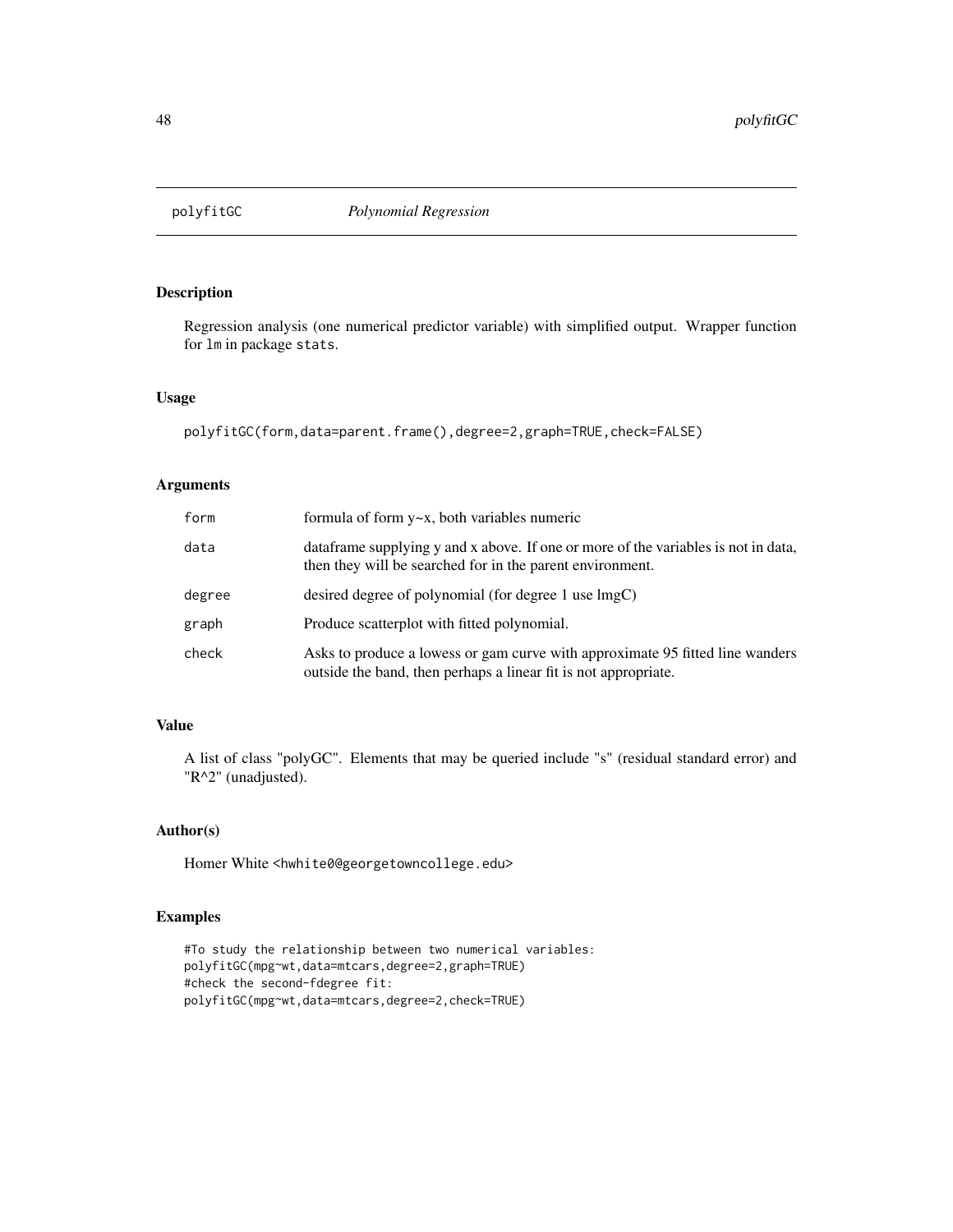Regression analysis (one numerical predictor variable) with simplified output. Wrapper function for lm in package stats.

#### Usage

```
polyfitGC(form,data=parent.frame(),degree=2,graph=TRUE,check=FALSE)
```
#### Arguments

| form   | formula of form $y \sim x$ , both variables numeric                                                                                              |
|--------|--------------------------------------------------------------------------------------------------------------------------------------------------|
| data   | data data supplying y and x above. If one or more of the variables is not in data,<br>then they will be searched for in the parent environment.  |
| degree | desired degree of polynomial (for degree 1 use lmgC)                                                                                             |
| graph  | Produce scatterplot with fitted polynomial.                                                                                                      |
| check  | Asks to produce a lowess or gam curve with approximate 95 fitted line wanders<br>outside the band, then perhaps a linear fit is not appropriate. |

# Value

A list of class "polyGC". Elements that may be queried include "s" (residual standard error) and "R^2" (unadjusted).

# Author(s)

Homer White <hwhite0@georgetowncollege.edu>

# Examples

```
#To study the relationship between two numerical variables:
polyfitGC(mpg~wt,data=mtcars,degree=2,graph=TRUE)
#check the second-fdegree fit:
polyfitGC(mpg~wt,data=mtcars,degree=2,check=TRUE)
```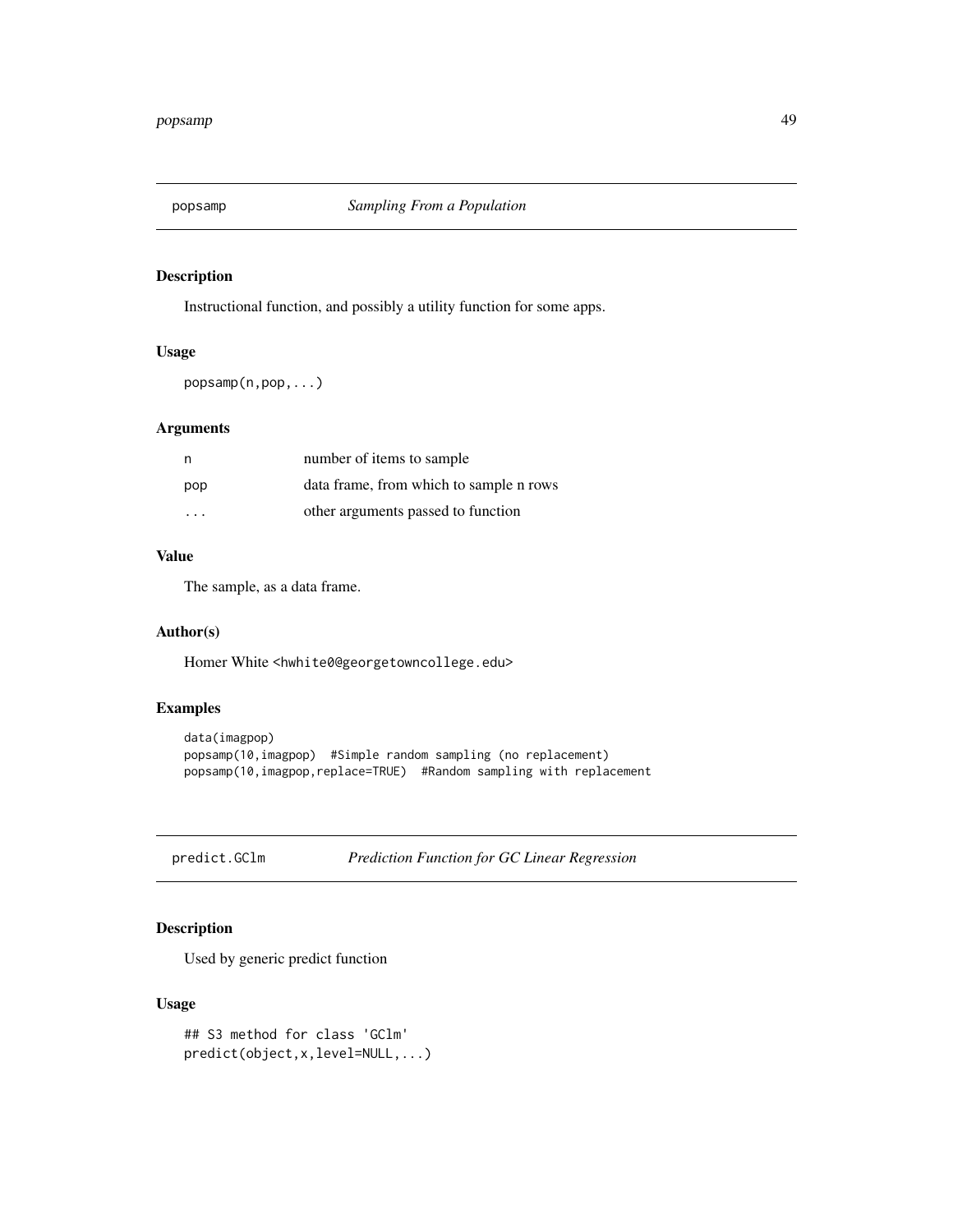Instructional function, and possibly a utility function for some apps.

# Usage

popsamp(n,pop,...)

# Arguments

| n   | number of items to sample               |
|-----|-----------------------------------------|
| pop | data frame, from which to sample n rows |
| .   | other arguments passed to function      |

# Value

The sample, as a data frame.

# Author(s)

Homer White <hwhite0@georgetowncollege.edu>

# Examples

```
data(imagpop)
popsamp(10,imagpop) #Simple random sampling (no replacement)
popsamp(10,imagpop,replace=TRUE) #Random sampling with replacement
```

```
predict.GClm Prediction Function for GC Linear Regression
```
# Description

Used by generic predict function

# Usage

```
## S3 method for class 'GClm'
predict(object,x,level=NULL,...)
```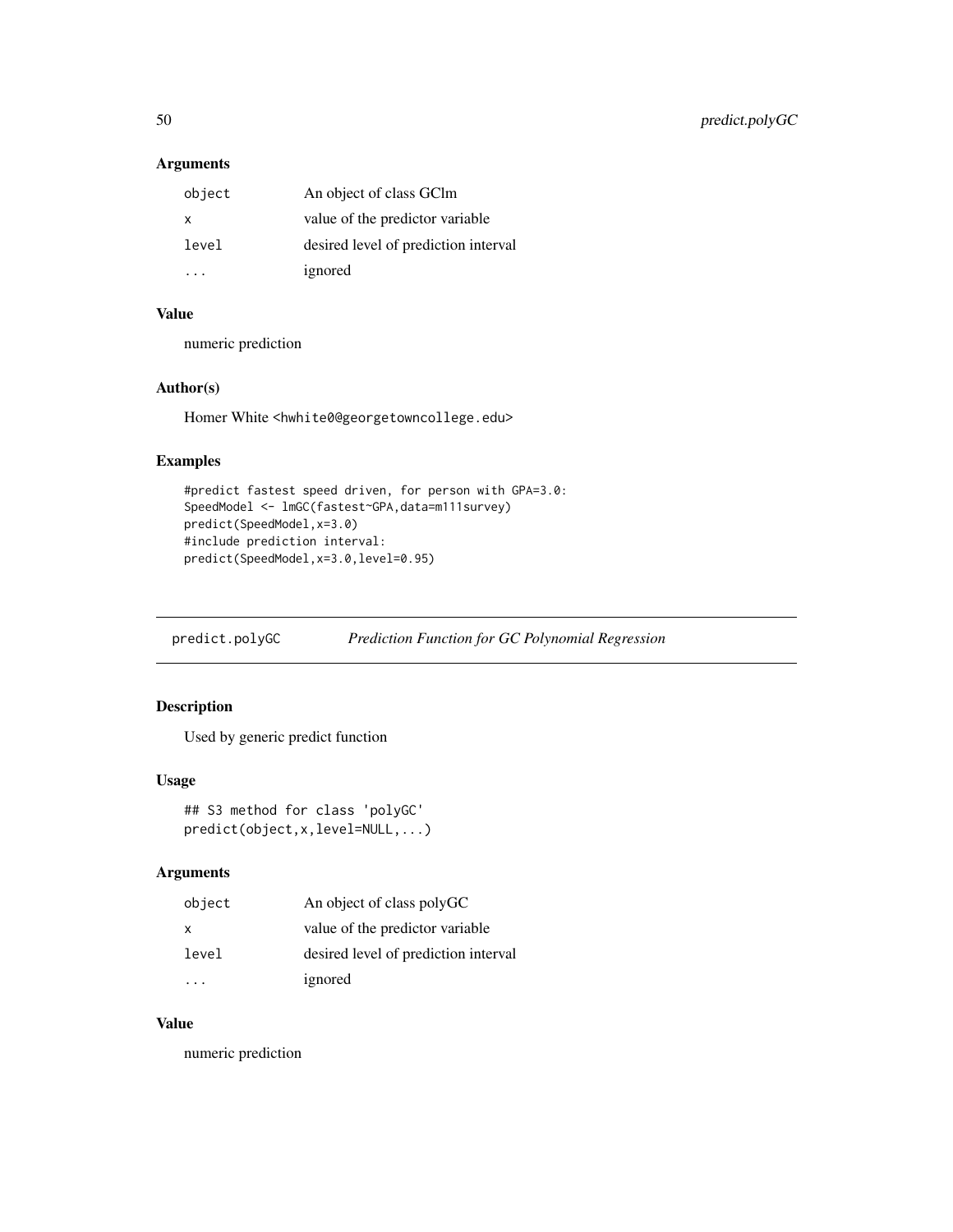# Arguments

| object | An object of class GClm              |
|--------|--------------------------------------|
| x      | value of the predictor variable      |
| level  | desired level of prediction interval |
|        | ignored                              |

# Value

numeric prediction

# Author(s)

Homer White <hwhite0@georgetowncollege.edu>

# Examples

```
#predict fastest speed driven, for person with GPA=3.0:
SpeedModel <- lmGC(fastest~GPA,data=m111survey)
predict(SpeedModel,x=3.0)
#include prediction interval:
predict(SpeedModel,x=3.0,level=0.95)
```
predict.polyGC *Prediction Function for GC Polynomial Regression*

# Description

Used by generic predict function

## Usage

```
## S3 method for class 'polyGC'
predict(object,x,level=NULL,...)
```
# Arguments

| object       | An object of class polyGC            |
|--------------|--------------------------------------|
| $\mathsf{x}$ | value of the predictor variable      |
| level        | desired level of prediction interval |
|              | ignored                              |

#### Value

numeric prediction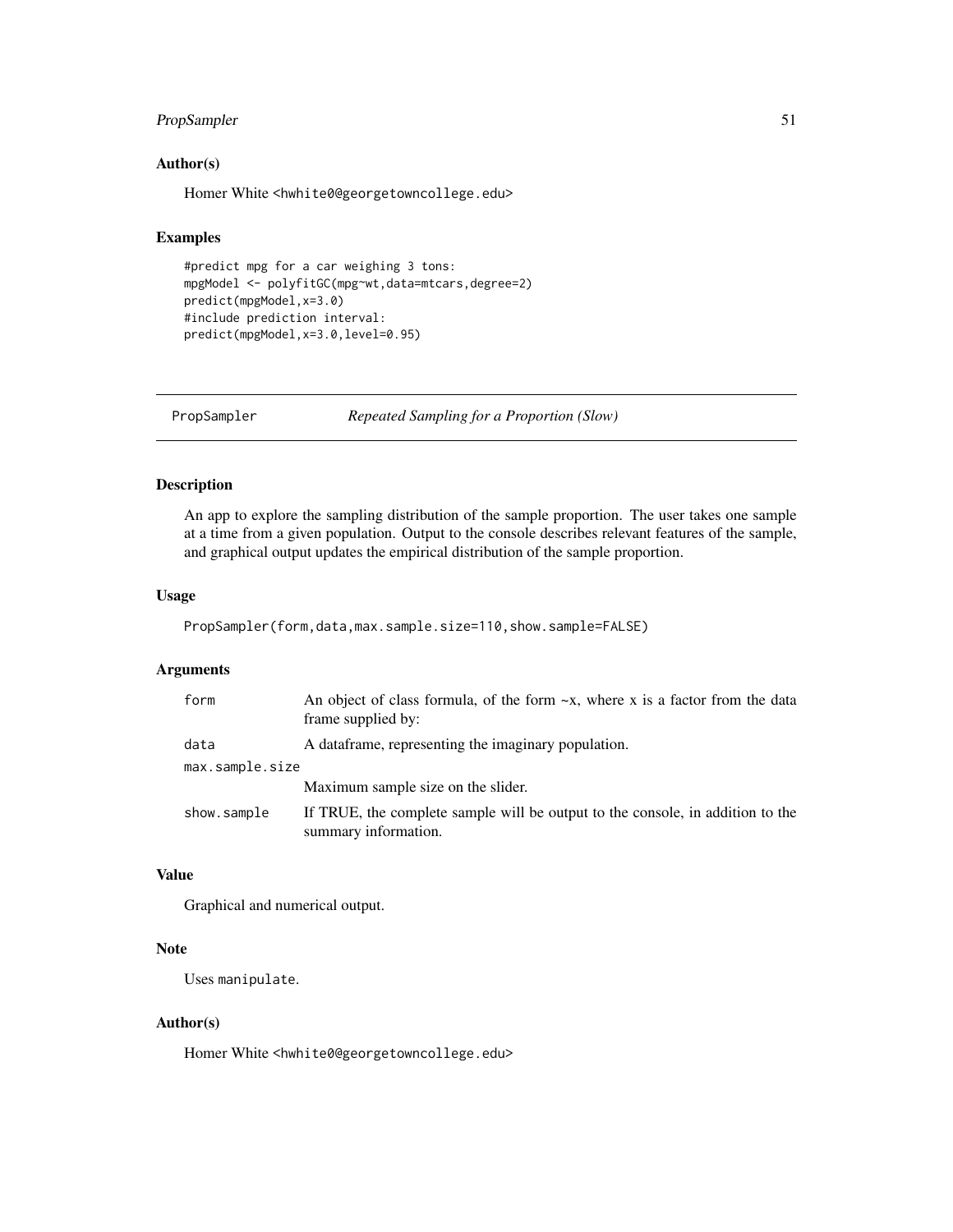# PropSampler 51

# Author(s)

Homer White <hwhite0@georgetowncollege.edu>

#### Examples

```
#predict mpg for a car weighing 3 tons:
mpgModel <- polyfitGC(mpg~wt,data=mtcars,degree=2)
predict(mpgModel,x=3.0)
#include prediction interval:
predict(mpgModel,x=3.0,level=0.95)
```
PropSampler *Repeated Sampling for a Proportion (Slow)*

## Description

An app to explore the sampling distribution of the sample proportion. The user takes one sample at a time from a given population. Output to the console describes relevant features of the sample, and graphical output updates the empirical distribution of the sample proportion.

#### Usage

```
PropSampler(form,data,max.sample.size=110,show.sample=FALSE)
```
# Arguments

| form            | An object of class formula, of the form $-x$ , where x is a factor from the data<br>frame supplied by: |
|-----------------|--------------------------------------------------------------------------------------------------------|
| data            | A data frame, representing the imaginary population.                                                   |
| max.sample.size |                                                                                                        |
|                 | Maximum sample size on the slider.                                                                     |
| show.sample     | If TRUE, the complete sample will be output to the console, in addition to the<br>summary information. |

## Value

Graphical and numerical output.

# Note

Uses manipulate.

## Author(s)

Homer White <hwhite0@georgetowncollege.edu>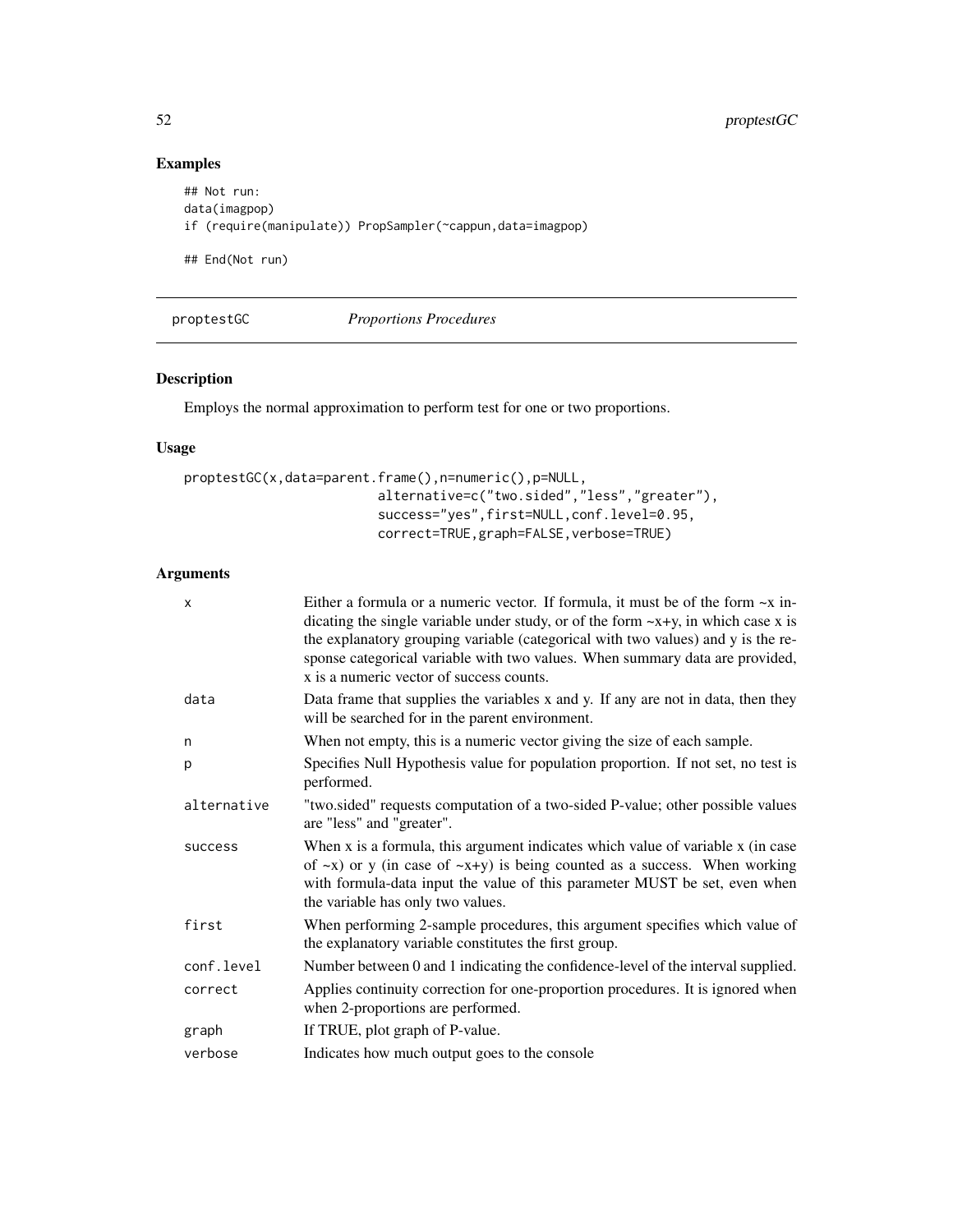# Examples

```
## Not run:
data(imagpop)
if (require(manipulate)) PropSampler(~cappun,data=imagpop)
## End(Not run)
```
proptestGC *Proportions Procedures*

# Description

Employs the normal approximation to perform test for one or two proportions.

# Usage

```
proptestGC(x,data=parent.frame(),n=numeric(),p=NULL,
                         alternative=c("two.sided","less","greater"),
                         success="yes",first=NULL,conf.level=0.95,
                         correct=TRUE,graph=FALSE,verbose=TRUE)
```
# Arguments

| X           | Either a formula or a numeric vector. If formula, it must be of the form $\sim x$ in-<br>dicating the single variable under study, or of the form $-x+y$ , in which case x is<br>the explanatory grouping variable (categorical with two values) and y is the re-<br>sponse categorical variable with two values. When summary data are provided,<br>x is a numeric vector of success counts. |
|-------------|-----------------------------------------------------------------------------------------------------------------------------------------------------------------------------------------------------------------------------------------------------------------------------------------------------------------------------------------------------------------------------------------------|
| data        | Data frame that supplies the variables x and y. If any are not in data, then they<br>will be searched for in the parent environment.                                                                                                                                                                                                                                                          |
| n           | When not empty, this is a numeric vector giving the size of each sample.                                                                                                                                                                                                                                                                                                                      |
| p           | Specifies Null Hypothesis value for population proportion. If not set, no test is<br>performed.                                                                                                                                                                                                                                                                                               |
| alternative | "two.sided" requests computation of a two-sided P-value; other possible values<br>are "less" and "greater".                                                                                                                                                                                                                                                                                   |
| success     | When x is a formula, this argument indicates which value of variable x (in case<br>of $\sim$ x) or y (in case of $\sim$ x+y) is being counted as a success. When working<br>with formula-data input the value of this parameter MUST be set, even when<br>the variable has only two values.                                                                                                   |
| first       | When performing 2-sample procedures, this argument specifies which value of<br>the explanatory variable constitutes the first group.                                                                                                                                                                                                                                                          |
| conf.level  | Number between 0 and 1 indicating the confidence-level of the interval supplied.                                                                                                                                                                                                                                                                                                              |
| correct     | Applies continuity correction for one-proportion procedures. It is ignored when<br>when 2-proportions are performed.                                                                                                                                                                                                                                                                          |
| graph       | If TRUE, plot graph of P-value.                                                                                                                                                                                                                                                                                                                                                               |
| verbose     | Indicates how much output goes to the console                                                                                                                                                                                                                                                                                                                                                 |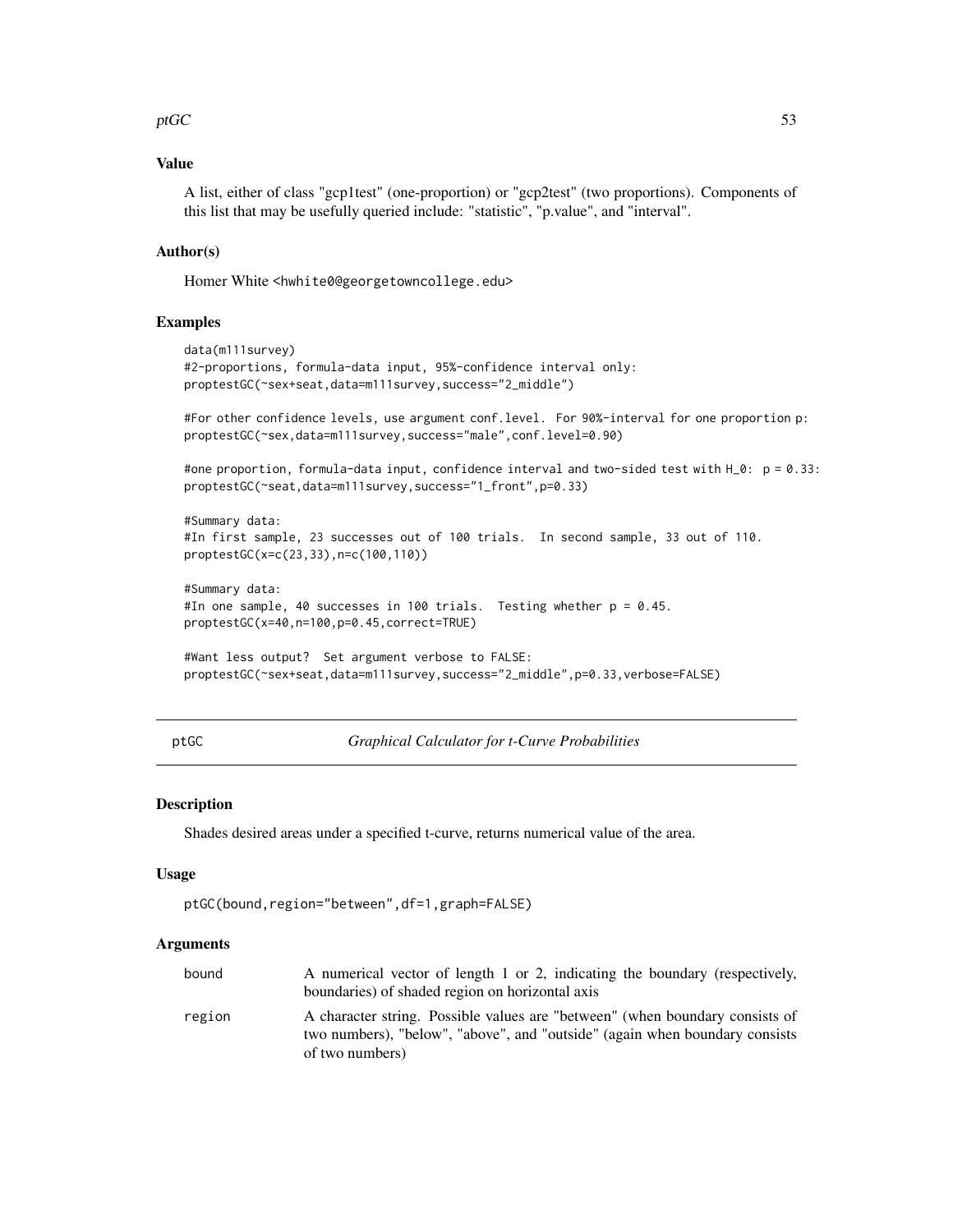## $p \text{tGC}$  53

# Value

A list, either of class "gcp1test" (one-proportion) or "gcp2test" (two proportions). Components of this list that may be usefully queried include: "statistic", "p.value", and "interval".

## Author(s)

Homer White <hwhite0@georgetowncollege.edu>

#### Examples

```
data(m111survey)
#2-proportions, formula-data input, 95%-confidence interval only:
proptestGC(~sex+seat,data=m111survey,success="2_middle")
```
#For other confidence levels, use argument conf.level. For 90%-interval for one proportion p: proptestGC(~sex,data=m111survey,success="male",conf.level=0.90)

```
#one proportion, formula-data input, confidence interval and two-sided test with H_0: p = 0.33:
proptestGC(~seat,data=m111survey,success="1_front",p=0.33)
```

```
#Summary data:
#In first sample, 23 successes out of 100 trials. In second sample, 33 out of 110.
proptestGC(x=c(23,33),n=c(100,110))
```

```
#Summary data:
#In one sample, 40 successes in 100 trials. Testing whether p = 0.45.
proptestGC(x=40,n=100,p=0.45,correct=TRUE)
```

```
#Want less output? Set argument verbose to FALSE:
proptestGC(~sex+seat,data=m111survey,success="2_middle",p=0.33,verbose=FALSE)
```
ptGC *Graphical Calculator for t-Curve Probabilities*

#### Description

Shades desired areas under a specified t-curve, returns numerical value of the area.

#### Usage

```
ptGC(bound,region="between",df=1,graph=FALSE)
```
## Arguments

| bound  | A numerical vector of length 1 or 2, indicating the boundary (respectively,  |
|--------|------------------------------------------------------------------------------|
|        | boundaries) of shaded region on horizontal axis                              |
| region | A character string. Possible values are "between" (when boundary consists of |
|        | two numbers), "below", "above", and "outside" (again when boundary consists  |
|        | of two numbers)                                                              |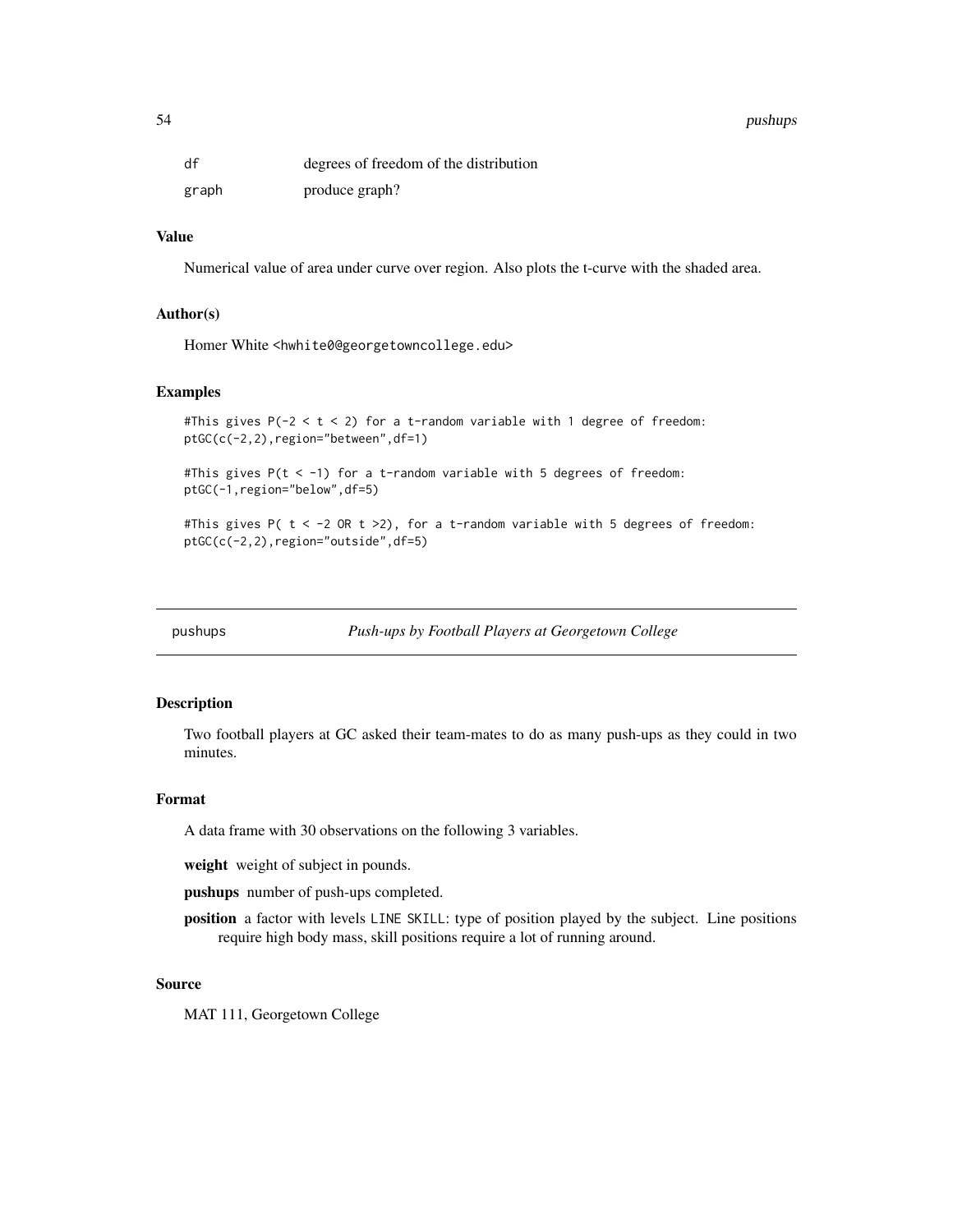#### 54 pushups

| df    | degrees of freedom of the distribution |
|-------|----------------------------------------|
| graph | produce graph?                         |

#### Value

Numerical value of area under curve over region. Also plots the t-curve with the shaded area.

#### Author(s)

Homer White <hwhite0@georgetowncollege.edu>

#### Examples

```
#This gives P(-2 < t < 2) for a t-random variable with 1 degree of freedom:
ptGC(c(-2,2),region="between",df=1)
```
#This gives  $P(t < -1)$  for a t-random variable with 5 degrees of freedom: ptGC(-1,region="below",df=5)

#This gives P(  $t < -2$  OR  $t > 2$ ), for a t-random variable with 5 degrees of freedom: ptGC(c(-2,2),region="outside",df=5)

pushups *Push-ups by Football Players at Georgetown College*

## Description

Two football players at GC asked their team-mates to do as many push-ups as they could in two minutes.

#### Format

A data frame with 30 observations on the following 3 variables.

weight weight of subject in pounds.

pushups number of push-ups completed.

position a factor with levels LINE SKILL: type of position played by the subject. Line positions require high body mass, skill positions require a lot of running around.

#### Source

MAT 111, Georgetown College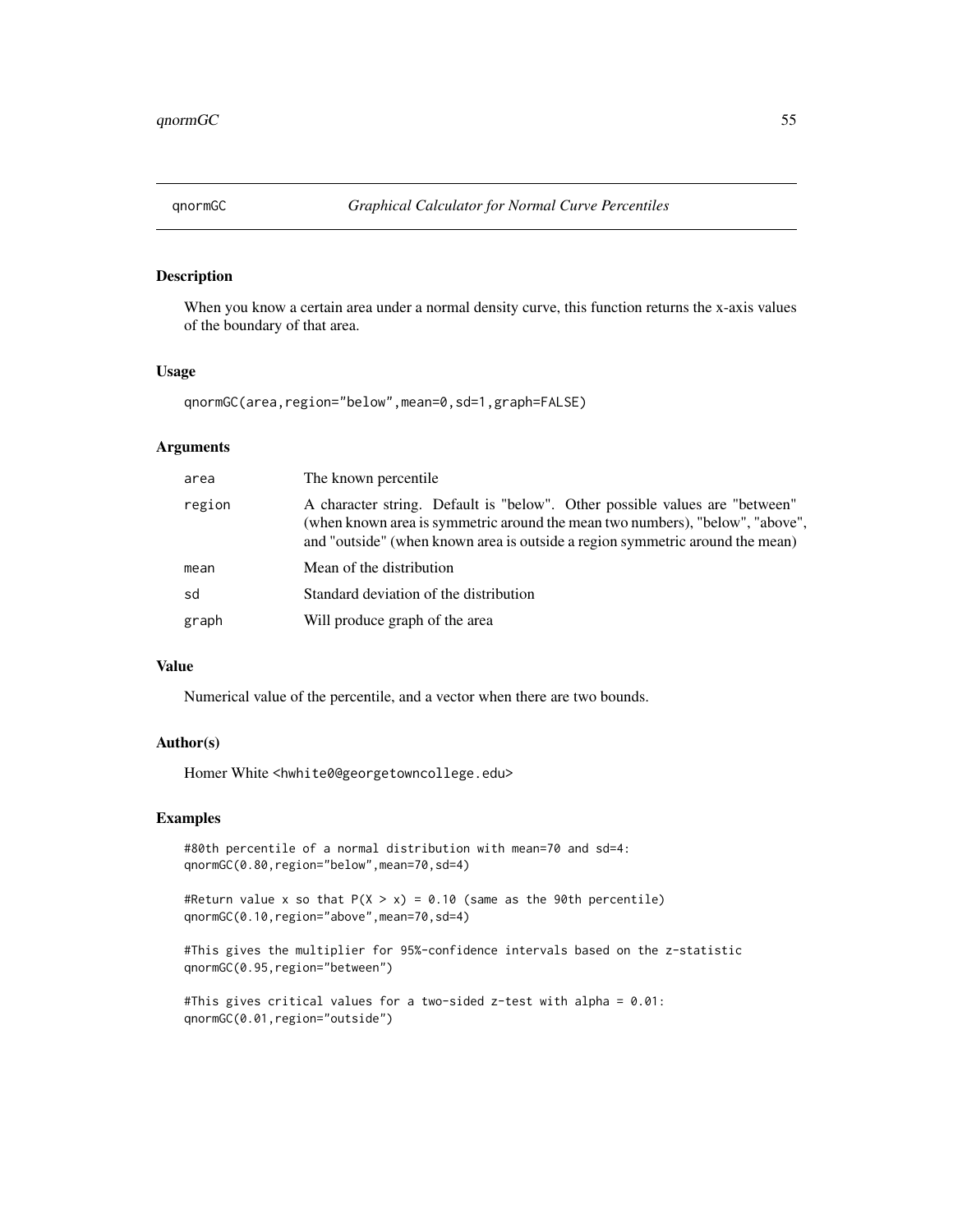When you know a certain area under a normal density curve, this function returns the x-axis values of the boundary of that area.

#### Usage

qnormGC(area,region="below",mean=0,sd=1,graph=FALSE)

#### Arguments

| area   | The known percentile.                                                                                                                                                                                                                         |
|--------|-----------------------------------------------------------------------------------------------------------------------------------------------------------------------------------------------------------------------------------------------|
| region | A character string. Default is "below". Other possible values are "between"<br>(when known area is symmetric around the mean two numbers), "below", "above",<br>and "outside" (when known area is outside a region symmetric around the mean) |
| mean   | Mean of the distribution                                                                                                                                                                                                                      |
| sd     | Standard deviation of the distribution                                                                                                                                                                                                        |
| graph  | Will produce graph of the area                                                                                                                                                                                                                |

## Value

Numerical value of the percentile, and a vector when there are two bounds.

## Author(s)

Homer White <hwhite0@georgetowncollege.edu>

#### Examples

```
#80th percentile of a normal distribution with mean=70 and sd=4:
qnormGC(0.80,region="below",mean=70,sd=4)
```
#Return value x so that  $P(X > x) = 0.10$  (same as the 90th percentile) qnormGC(0.10,region="above",mean=70,sd=4)

#This gives the multiplier for 95%-confidence intervals based on the z-statistic qnormGC(0.95,region="between")

```
#This gives critical values for a two-sided z-test with alpha = 0.01:
qnormGC(0.01,region="outside")
```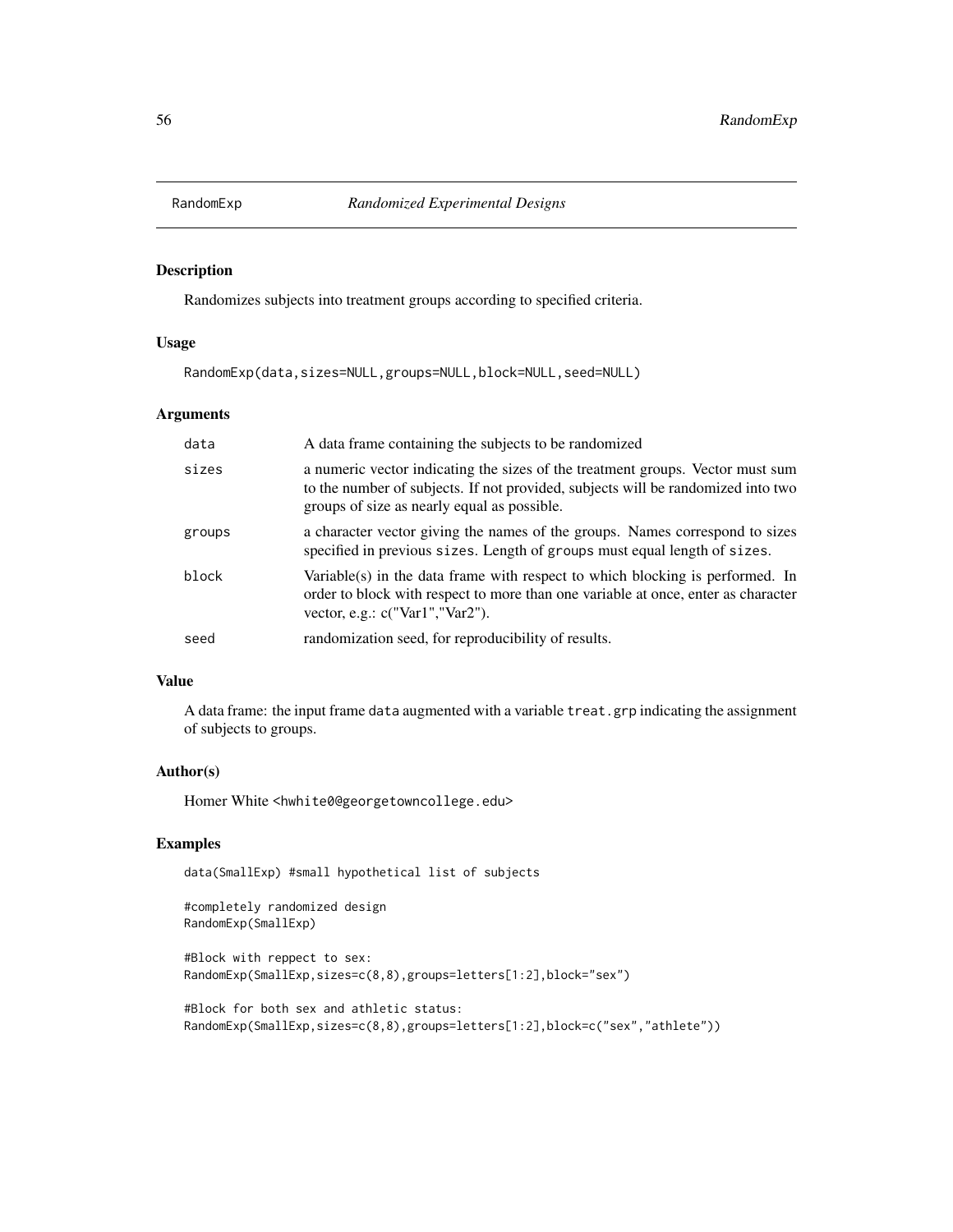Randomizes subjects into treatment groups according to specified criteria.

# Usage

RandomExp(data,sizes=NULL,groups=NULL,block=NULL,seed=NULL)

## Arguments

| data   | A data frame containing the subjects to be randomized                                                                                                                                                             |
|--------|-------------------------------------------------------------------------------------------------------------------------------------------------------------------------------------------------------------------|
| sizes  | a numeric vector indicating the sizes of the treatment groups. Vector must sum<br>to the number of subjects. If not provided, subjects will be randomized into two<br>groups of size as nearly equal as possible. |
| groups | a character vector giving the names of the groups. Names correspond to sizes<br>specified in previous sizes. Length of groups must equal length of sizes.                                                         |
| block  | Variable(s) in the data frame with respect to which blocking is performed. In<br>order to block with respect to more than one variable at once, enter as character<br>vector, e.g.: $c("Var1", "Var2").$          |
| seed   | randomization seed, for reproducibility of results.                                                                                                                                                               |

## Value

A data frame: the input frame data augmented with a variable treat.grp indicating the assignment of subjects to groups.

## Author(s)

Homer White <hwhite0@georgetowncollege.edu>

## Examples

data(SmallExp) #small hypothetical list of subjects

```
#completely randomized design
RandomExp(SmallExp)
```

```
#Block with reppect to sex:
RandomExp(SmallExp,sizes=c(8,8),groups=letters[1:2],block="sex")
```

```
#Block for both sex and athletic status:
RandomExp(SmallExp,sizes=c(8,8),groups=letters[1:2],block=c("sex","athlete"))
```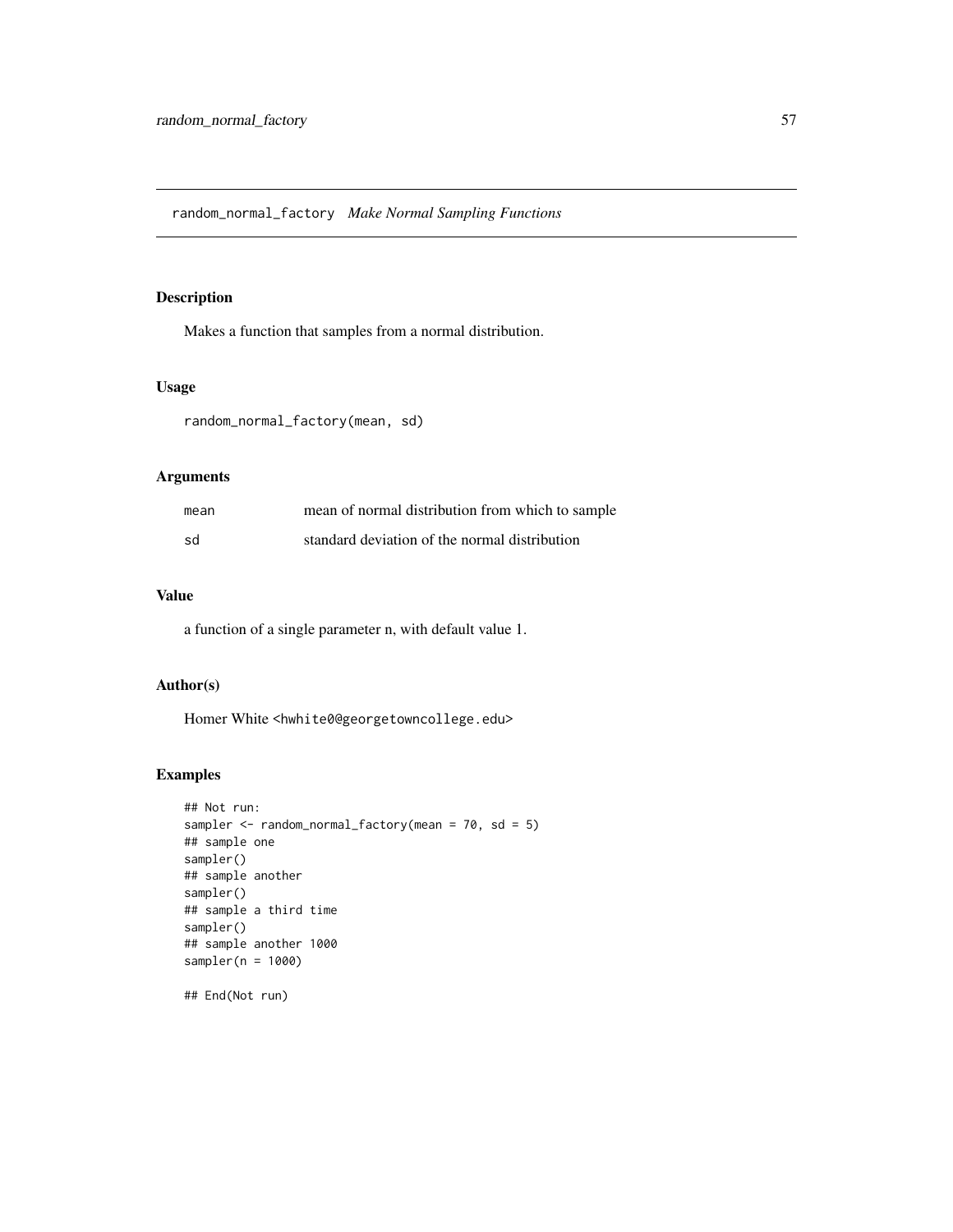random\_normal\_factory *Make Normal Sampling Functions*

# Description

Makes a function that samples from a normal distribution.

## Usage

random\_normal\_factory(mean, sd)

# Arguments

| mean | mean of normal distribution from which to sample |
|------|--------------------------------------------------|
| sd   | standard deviation of the normal distribution    |

## Value

a function of a single parameter n, with default value 1.

# Author(s)

Homer White <hwhite0@georgetowncollege.edu>

## Examples

```
## Not run:
sampler <- random_normal_factory(mean = 70, sd = 5)
## sample one
sampler()
## sample another
sampler()
## sample a third time
sampler()
## sample another 1000
sampler(n = 1000)
```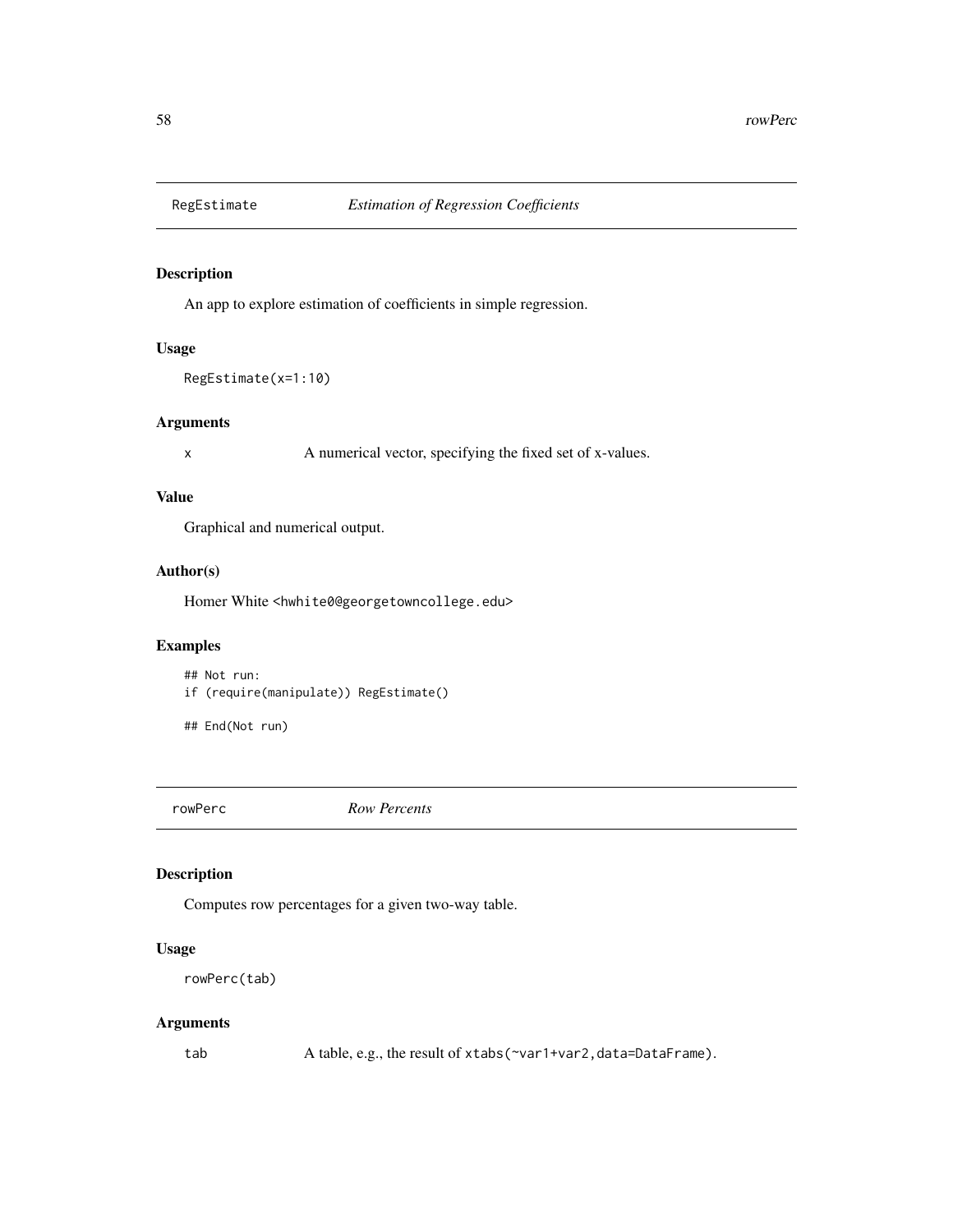An app to explore estimation of coefficients in simple regression.

## Usage

```
RegEstimate(x=1:10)
```
## Arguments

x A numerical vector, specifying the fixed set of x-values.

## Value

Graphical and numerical output.

# Author(s)

Homer White <hwhite0@georgetowncollege.edu>

# Examples

## Not run: if (require(manipulate)) RegEstimate()

## End(Not run)

rowPerc *Row Percents*

## Description

Computes row percentages for a given two-way table.

# Usage

```
rowPerc(tab)
```
# Arguments

tab A table, e.g., the result of xtabs(~var1+var2, data=DataFrame).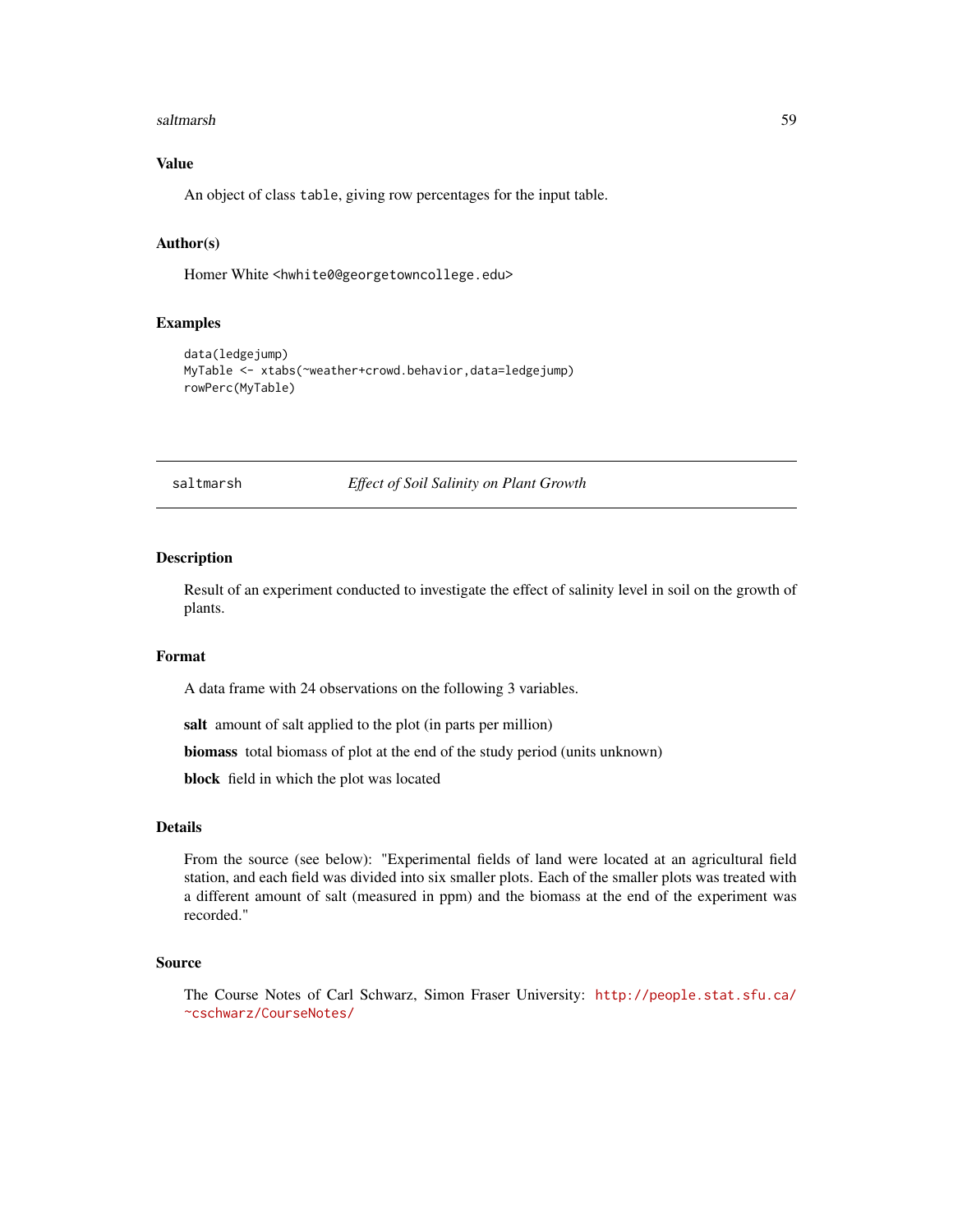#### saltmarsh 59

# Value

An object of class table, giving row percentages for the input table.

## Author(s)

Homer White <hwhite0@georgetowncollege.edu>

## Examples

```
data(ledgejump)
MyTable <- xtabs(~weather+crowd.behavior,data=ledgejump)
rowPerc(MyTable)
```
saltmarsh *Effect of Soil Salinity on Plant Growth*

#### Description

Result of an experiment conducted to investigate the effect of salinity level in soil on the growth of plants.

#### Format

A data frame with 24 observations on the following 3 variables.

salt amount of salt applied to the plot (in parts per million)

biomass total biomass of plot at the end of the study period (units unknown)

block field in which the plot was located

## Details

From the source (see below): "Experimental fields of land were located at an agricultural field station, and each field was divided into six smaller plots. Each of the smaller plots was treated with a different amount of salt (measured in ppm) and the biomass at the end of the experiment was recorded."

#### Source

The Course Notes of Carl Schwarz, Simon Fraser University: [http://people.stat.sfu.ca/](http://people.stat.sfu.ca/~cschwarz/CourseNotes/) [~cschwarz/CourseNotes/](http://people.stat.sfu.ca/~cschwarz/CourseNotes/)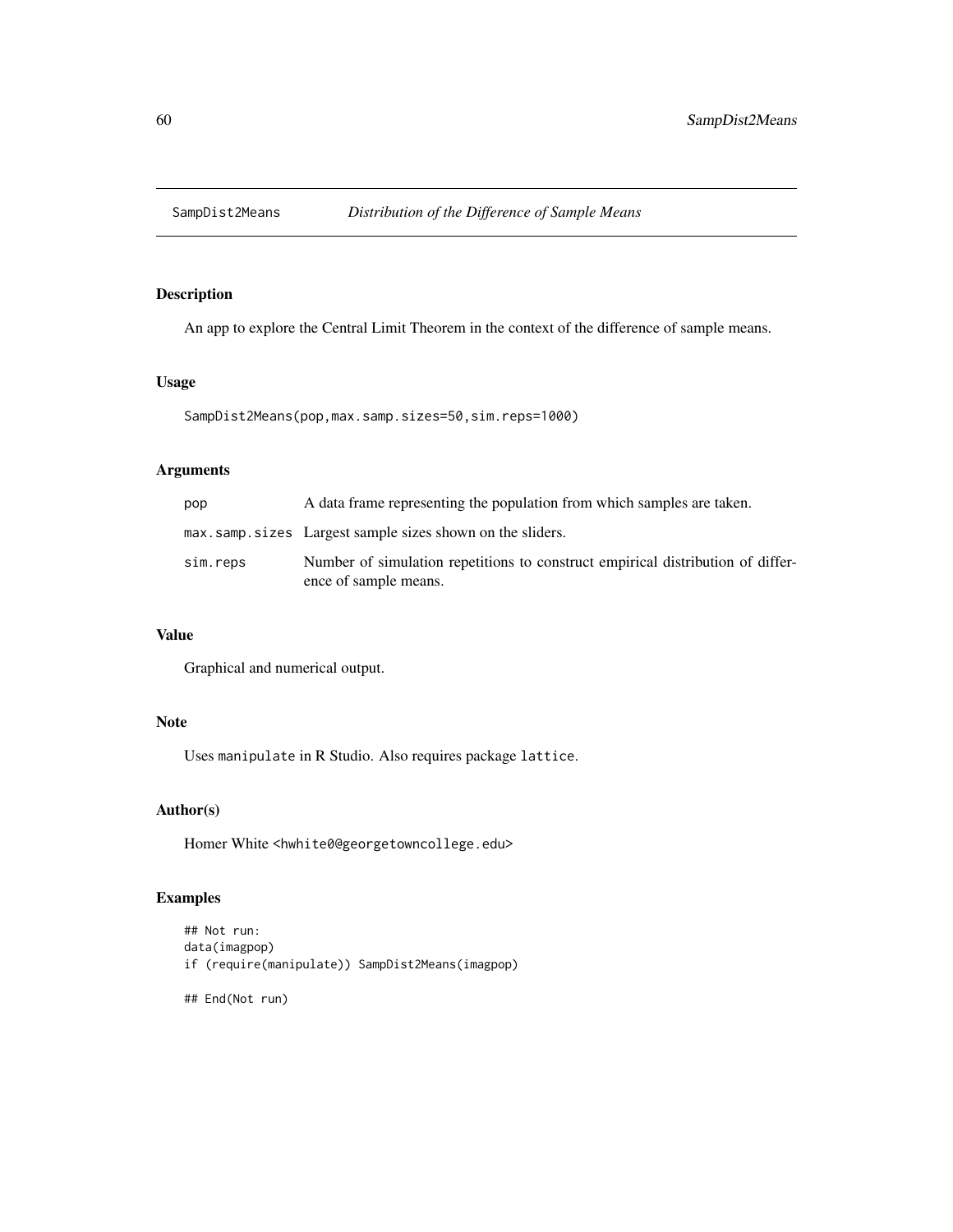An app to explore the Central Limit Theorem in the context of the difference of sample means.

## Usage

SampDist2Means(pop,max.samp.sizes=50,sim.reps=1000)

# Arguments

| pop      | A data frame representing the population from which samples are taken.                                   |
|----------|----------------------------------------------------------------------------------------------------------|
|          | max.samp.sizes Largest sample sizes shown on the sliders.                                                |
| sim.reps | Number of simulation repetitions to construct empirical distribution of differ-<br>ence of sample means. |

# Value

Graphical and numerical output.

# Note

Uses manipulate in R Studio. Also requires package lattice.

# Author(s)

Homer White <hwhite0@georgetowncollege.edu>

# Examples

```
## Not run:
data(imagpop)
if (require(manipulate)) SampDist2Means(imagpop)
```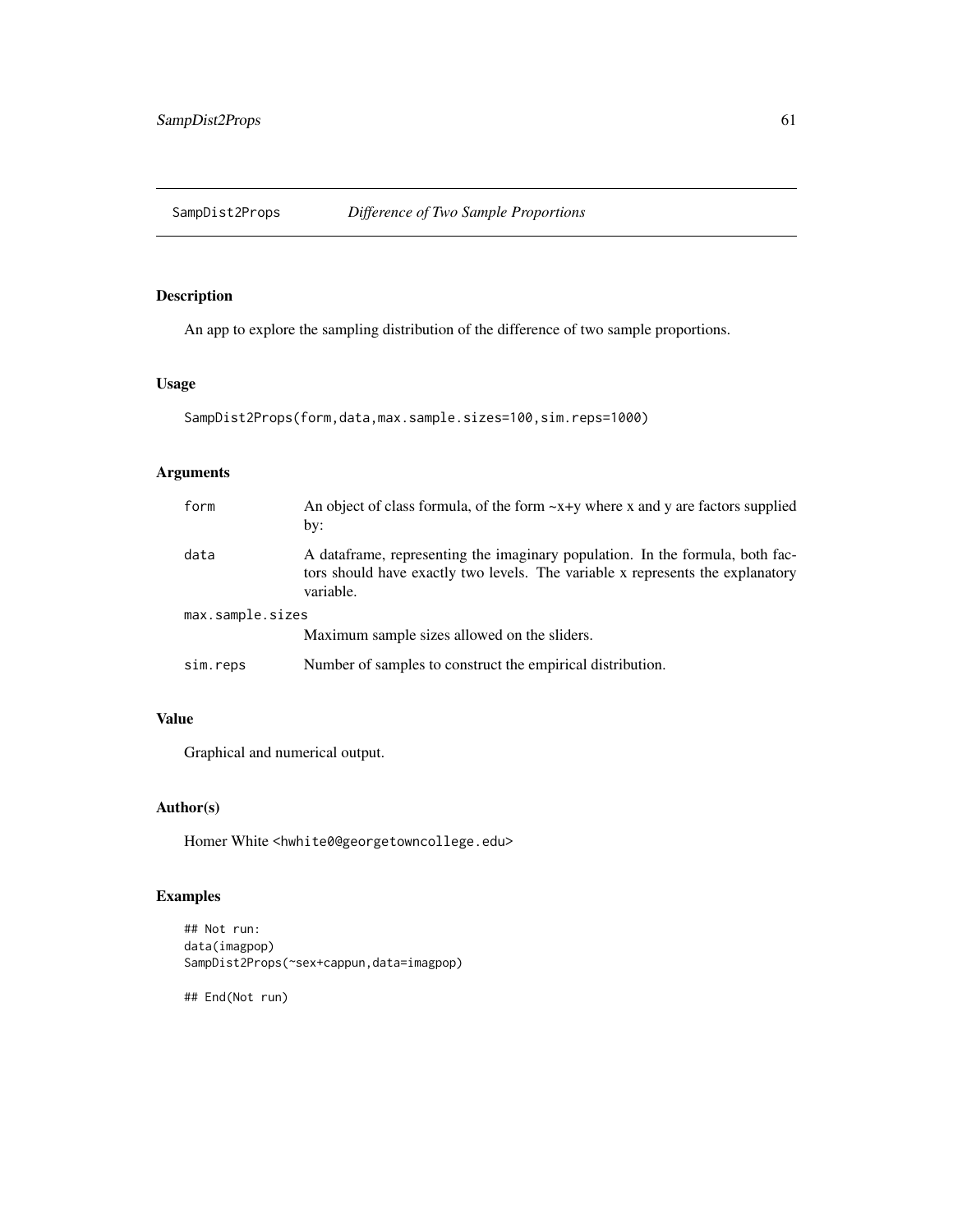SampDist2Props *Difference of Two Sample Proportions*

# Description

An app to explore the sampling distribution of the difference of two sample proportions.

# Usage

```
SampDist2Props(form,data,max.sample.sizes=100,sim.reps=1000)
```
# Arguments

| form             | An object of class formula, of the form $-x+y$ where x and y are factors supplied<br>by:                                                                                      |  |
|------------------|-------------------------------------------------------------------------------------------------------------------------------------------------------------------------------|--|
| data             | A data frame, representing the imaginary population. In the formula, both fac-<br>tors should have exactly two levels. The variable x represents the explanatory<br>variable. |  |
| max.sample.sizes |                                                                                                                                                                               |  |
|                  | Maximum sample sizes allowed on the sliders.                                                                                                                                  |  |
| sim.reps         | Number of samples to construct the empirical distribution.                                                                                                                    |  |

# Value

Graphical and numerical output.

# Author(s)

Homer White <hwhite0@georgetowncollege.edu>

# Examples

```
## Not run:
data(imagpop)
SampDist2Props(~sex+cappun,data=imagpop)
```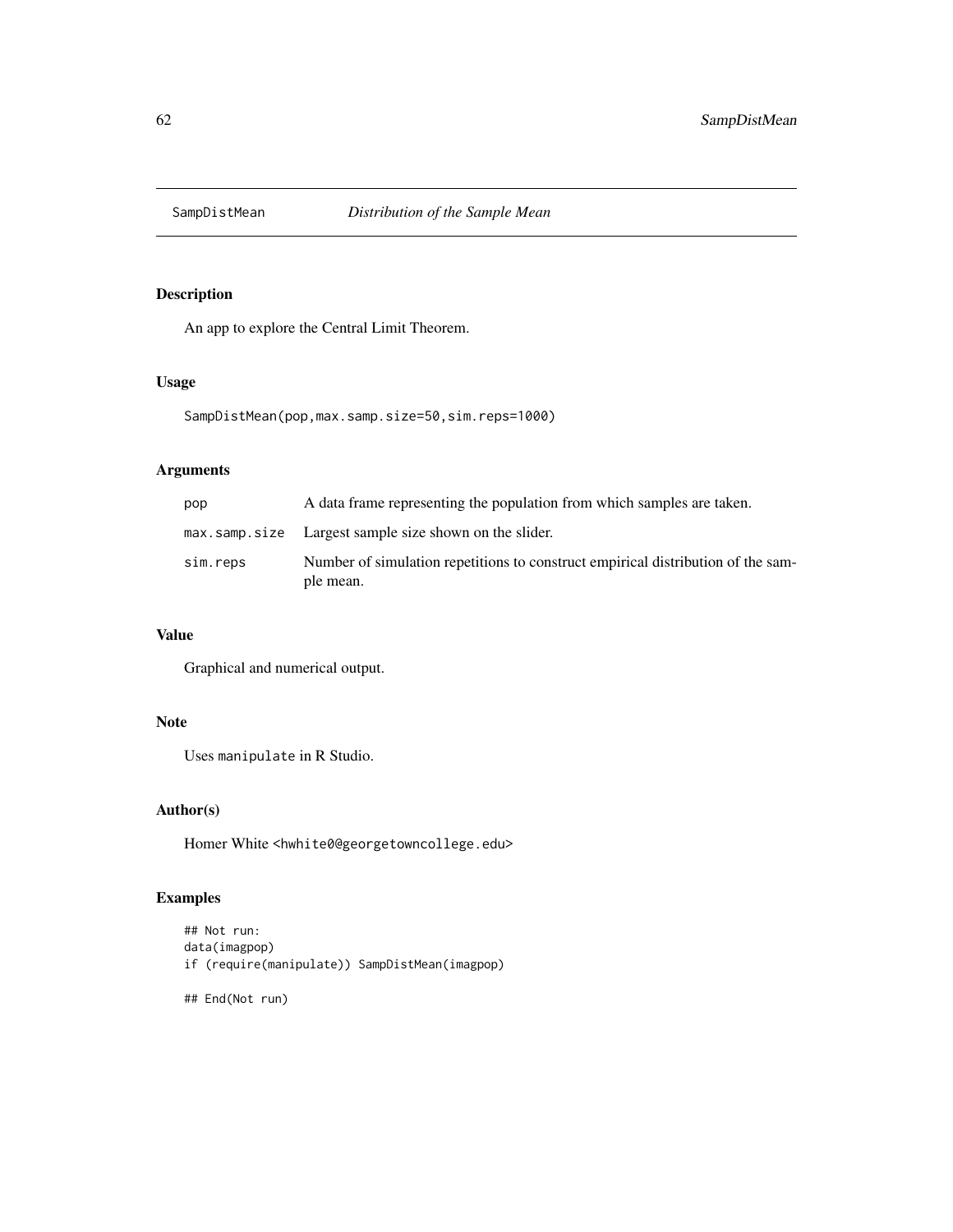An app to explore the Central Limit Theorem.

## Usage

SampDistMean(pop,max.samp.size=50,sim.reps=1000)

# Arguments

| pop      | A data frame representing the population from which samples are taken.                        |
|----------|-----------------------------------------------------------------------------------------------|
|          | max.samp.size Largest sample size shown on the slider.                                        |
| sim.reps | Number of simulation repetitions to construct empirical distribution of the sam-<br>ple mean. |

# Value

Graphical and numerical output.

# Note

Uses manipulate in R Studio.

# Author(s)

Homer White <hwhite0@georgetowncollege.edu>

# Examples

```
## Not run:
data(imagpop)
if (require(manipulate)) SampDistMean(imagpop)
```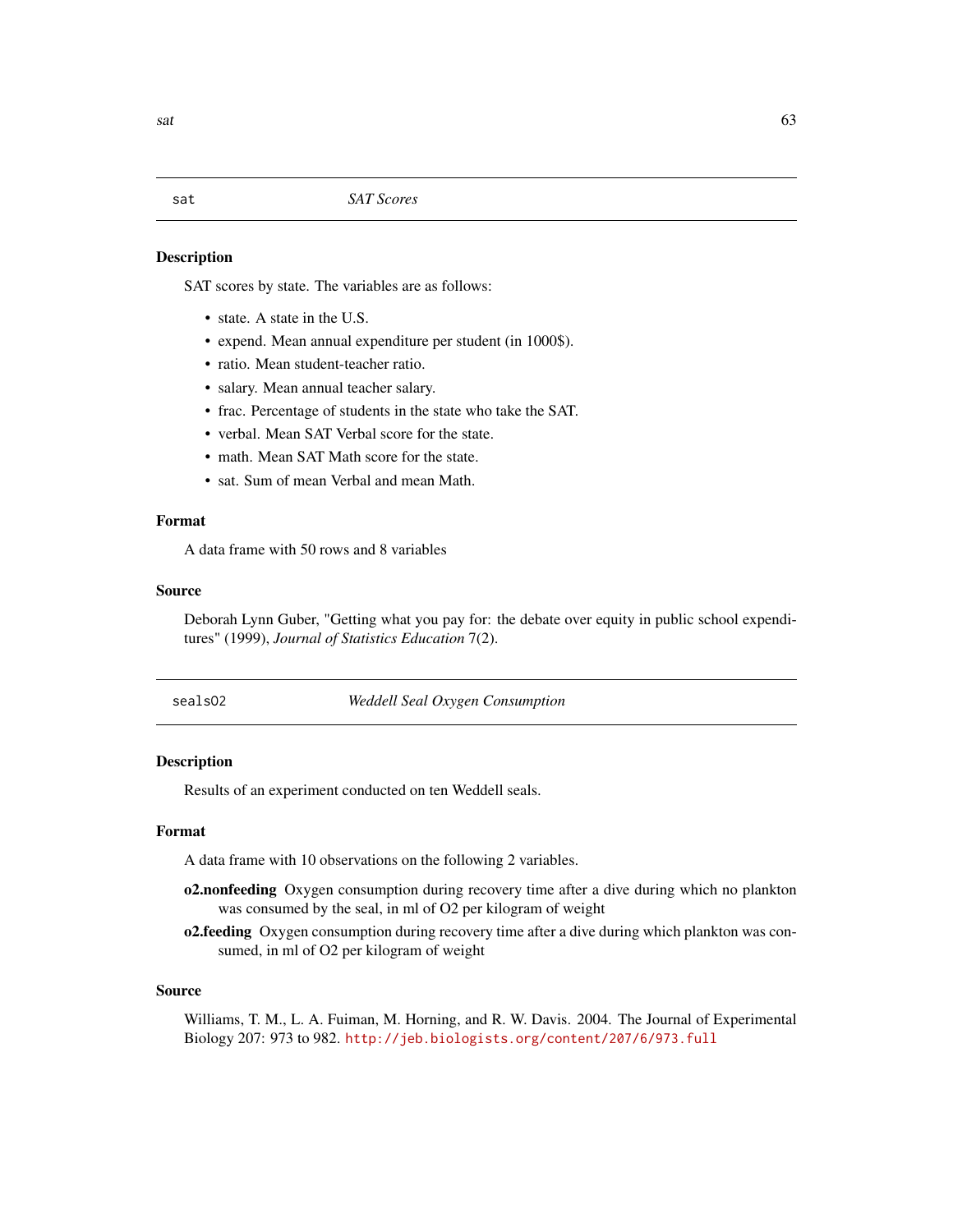sat *SAT Scores*

#### Description

SAT scores by state. The variables are as follows:

- state. A state in the U.S.
- expend. Mean annual expenditure per student (in 1000\$).
- ratio. Mean student-teacher ratio.
- salary. Mean annual teacher salary.
- frac. Percentage of students in the state who take the SAT.
- verbal. Mean SAT Verbal score for the state.
- math. Mean SAT Math score for the state.
- sat. Sum of mean Verbal and mean Math.

## Format

A data frame with 50 rows and 8 variables

#### Source

Deborah Lynn Guber, "Getting what you pay for: the debate over equity in public school expenditures" (1999), *Journal of Statistics Education* 7(2).

sealsO2 *Weddell Seal Oxygen Consumption*

#### **Description**

Results of an experiment conducted on ten Weddell seals.

## Format

A data frame with 10 observations on the following 2 variables.

- o2.nonfeeding Oxygen consumption during recovery time after a dive during which no plankton was consumed by the seal, in ml of O2 per kilogram of weight
- o2.feeding Oxygen consumption during recovery time after a dive during which plankton was consumed, in ml of O2 per kilogram of weight

## Source

Williams, T. M., L. A. Fuiman, M. Horning, and R. W. Davis. 2004. The Journal of Experimental Biology 207: 973 to 982. <http://jeb.biologists.org/content/207/6/973.full>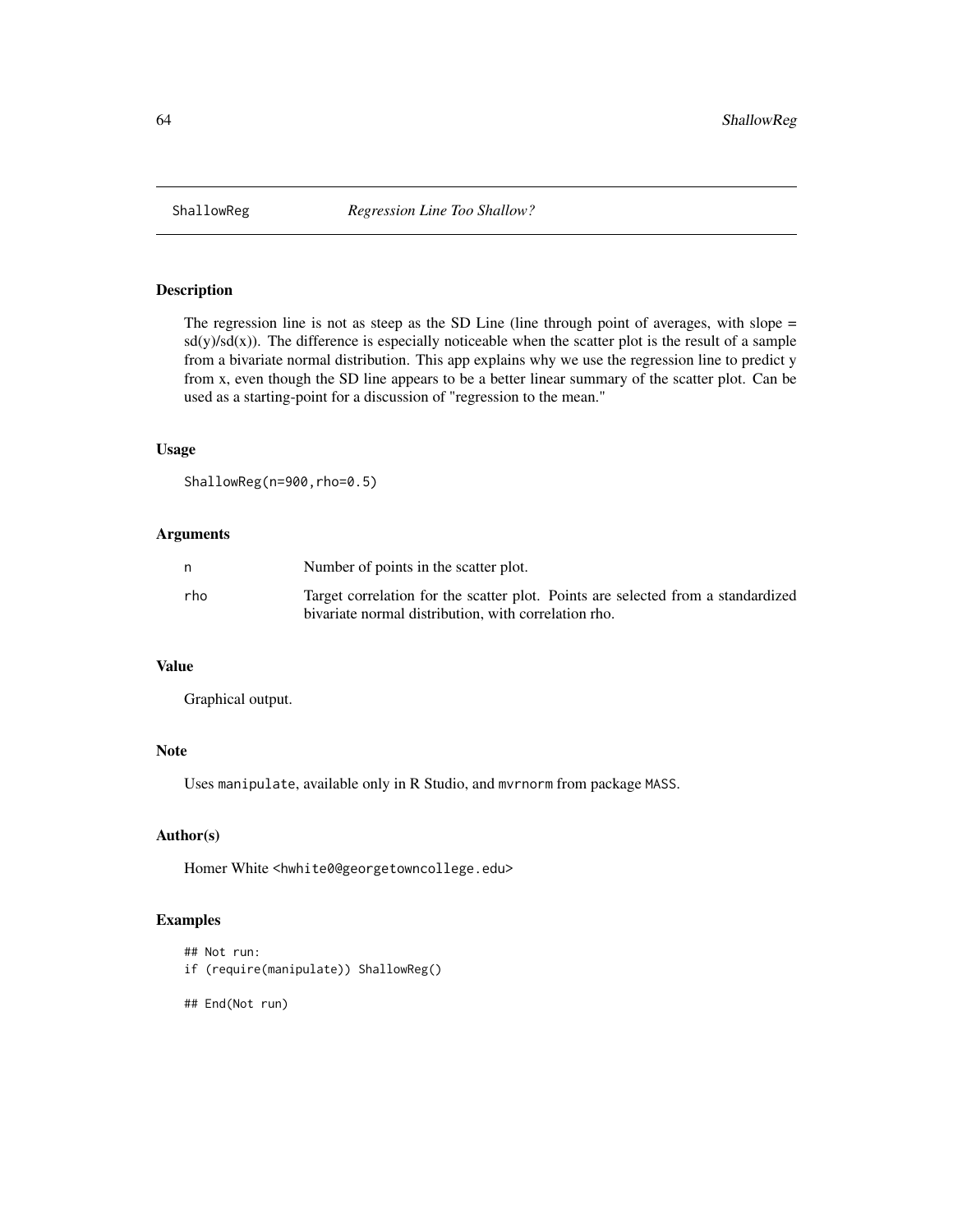The regression line is not as steep as the SD Line (line through point of averages, with slope =  $sd(y)/sd(x)$ . The difference is especially noticeable when the scatter plot is the result of a sample from a bivariate normal distribution. This app explains why we use the regression line to predict y from x, even though the SD line appears to be a better linear summary of the scatter plot. Can be used as a starting-point for a discussion of "regression to the mean."

#### Usage

```
ShallowReg(n=900, rho=0.5)
```
#### Arguments

| n   | Number of points in the scatter plot.                                                                                                    |
|-----|------------------------------------------------------------------------------------------------------------------------------------------|
| rho | Target correlation for the scatter plot. Points are selected from a standardized<br>bivariate normal distribution, with correlation rho. |

## Value

Graphical output.

## Note

Uses manipulate, available only in R Studio, and mvrnorm from package MASS.

## Author(s)

Homer White <hwhite0@georgetowncollege.edu>

#### Examples

```
## Not run:
if (require(manipulate)) ShallowReg()
```

```
## End(Not run)
```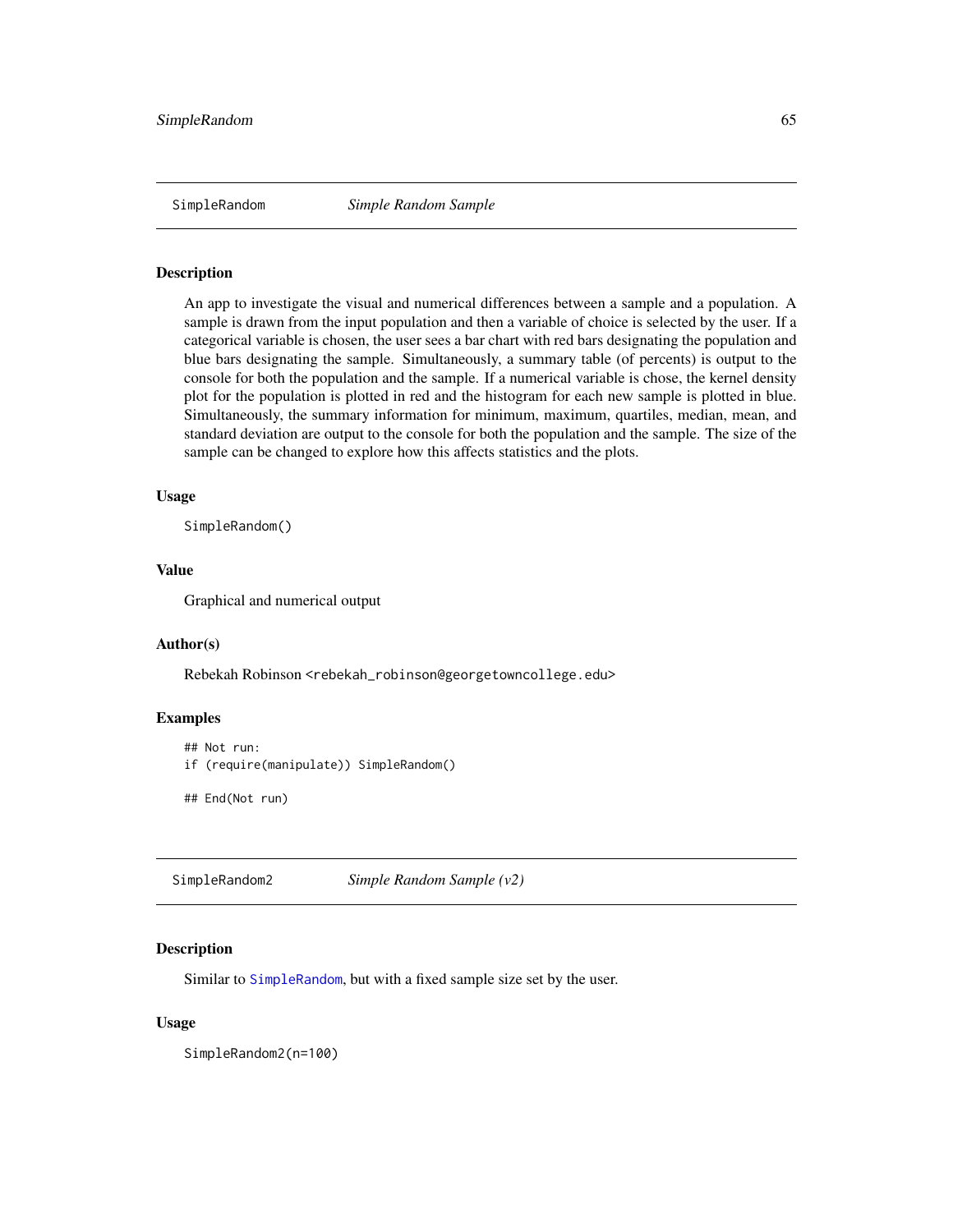<span id="page-64-0"></span>SimpleRandom *Simple Random Sample*

#### Description

An app to investigate the visual and numerical differences between a sample and a population. A sample is drawn from the input population and then a variable of choice is selected by the user. If a categorical variable is chosen, the user sees a bar chart with red bars designating the population and blue bars designating the sample. Simultaneously, a summary table (of percents) is output to the console for both the population and the sample. If a numerical variable is chose, the kernel density plot for the population is plotted in red and the histogram for each new sample is plotted in blue. Simultaneously, the summary information for minimum, maximum, quartiles, median, mean, and standard deviation are output to the console for both the population and the sample. The size of the sample can be changed to explore how this affects statistics and the plots.

## Usage

SimpleRandom()

## Value

Graphical and numerical output

#### Author(s)

Rebekah Robinson <rebekah\_robinson@georgetowncollege.edu>

## Examples

```
## Not run:
if (require(manipulate)) SimpleRandom()
```
## End(Not run)

SimpleRandom2 *Simple Random Sample (v2)*

## Description

Similar to [SimpleRandom](#page-64-0), but with a fixed sample size set by the user.

## Usage

SimpleRandom2(n=100)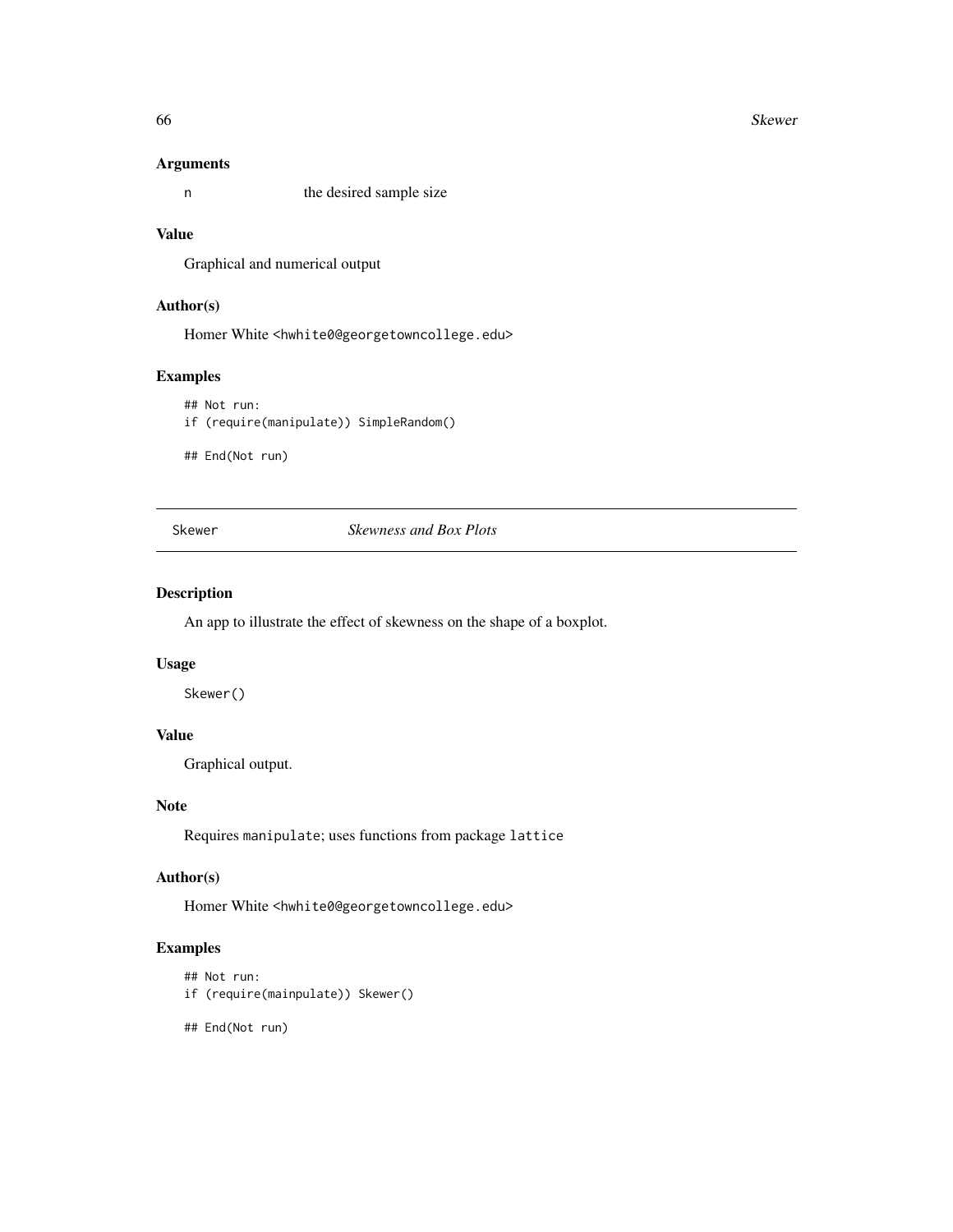#### 66 Skewer

## Arguments

n the desired sample size

## Value

Graphical and numerical output

# Author(s)

Homer White <hwhite0@georgetowncollege.edu>

# Examples

## Not run: if (require(manipulate)) SimpleRandom()

## End(Not run)

Skewer *Skewness and Box Plots*

## Description

An app to illustrate the effect of skewness on the shape of a boxplot.

#### Usage

Skewer()

# Value

Graphical output.

# Note

Requires manipulate; uses functions from package lattice

## Author(s)

Homer White <hwhite0@georgetowncollege.edu>

# Examples

```
## Not run:
if (require(mainpulate)) Skewer()
```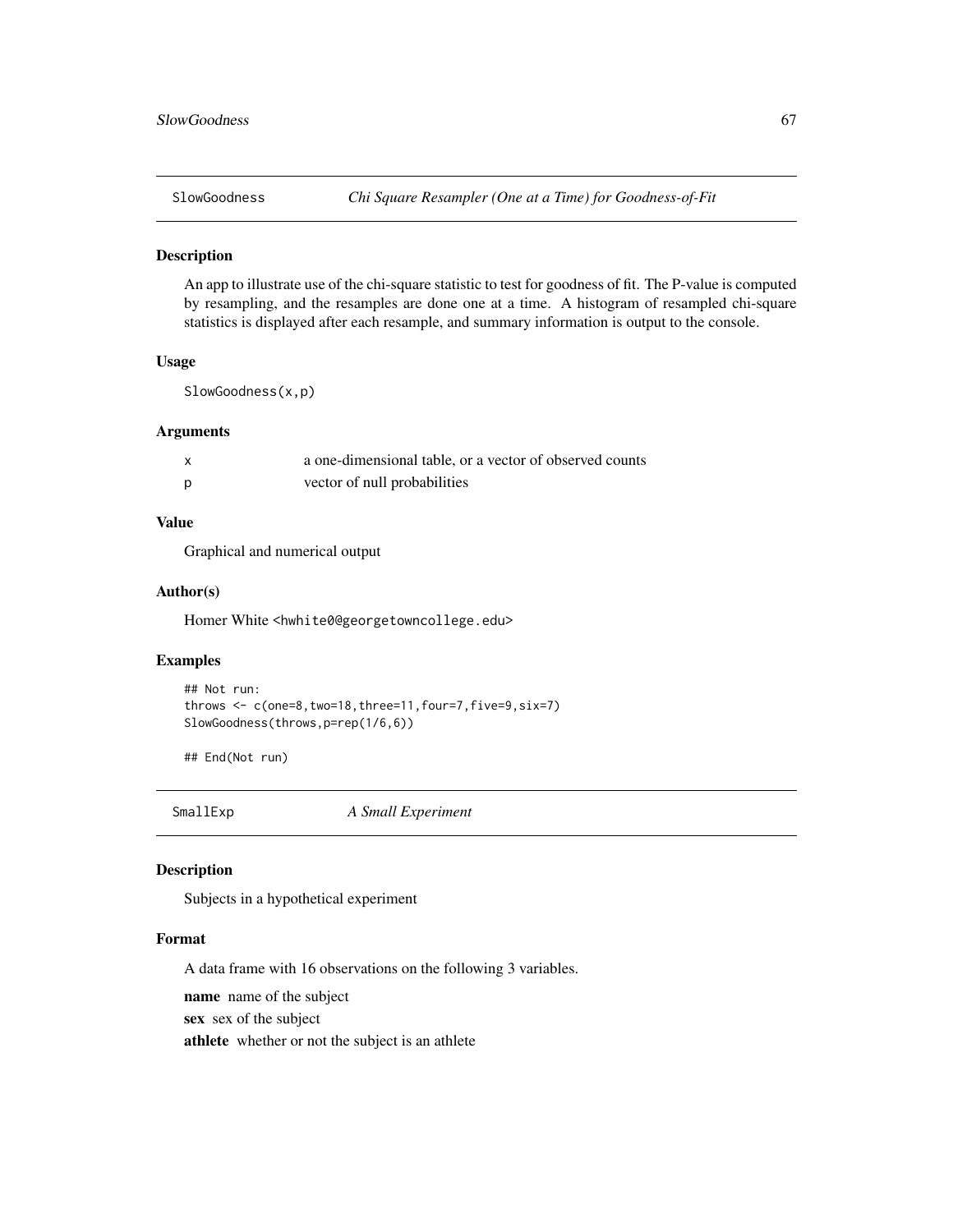An app to illustrate use of the chi-square statistic to test for goodness of fit. The P-value is computed by resampling, and the resamples are done one at a time. A histogram of resampled chi-square statistics is displayed after each resample, and summary information is output to the console.

#### Usage

SlowGoodness(x,p)

## Arguments

| a one-dimensional table, or a vector of observed counts |
|---------------------------------------------------------|
| vector of null probabilities                            |

# Value

Graphical and numerical output

#### Author(s)

Homer White <hwhite0@georgetowncollege.edu>

## Examples

```
## Not run:
throws \leq c(one=8,two=18,three=11, four=7, five=9, six=7)
SlowGoodness(throws,p=rep(1/6,6))
```
## End(Not run)

SmallExp *A Small Experiment*

## Description

Subjects in a hypothetical experiment

#### Format

A data frame with 16 observations on the following 3 variables.

name name of the subject

sex sex of the subject

athlete whether or not the subject is an athlete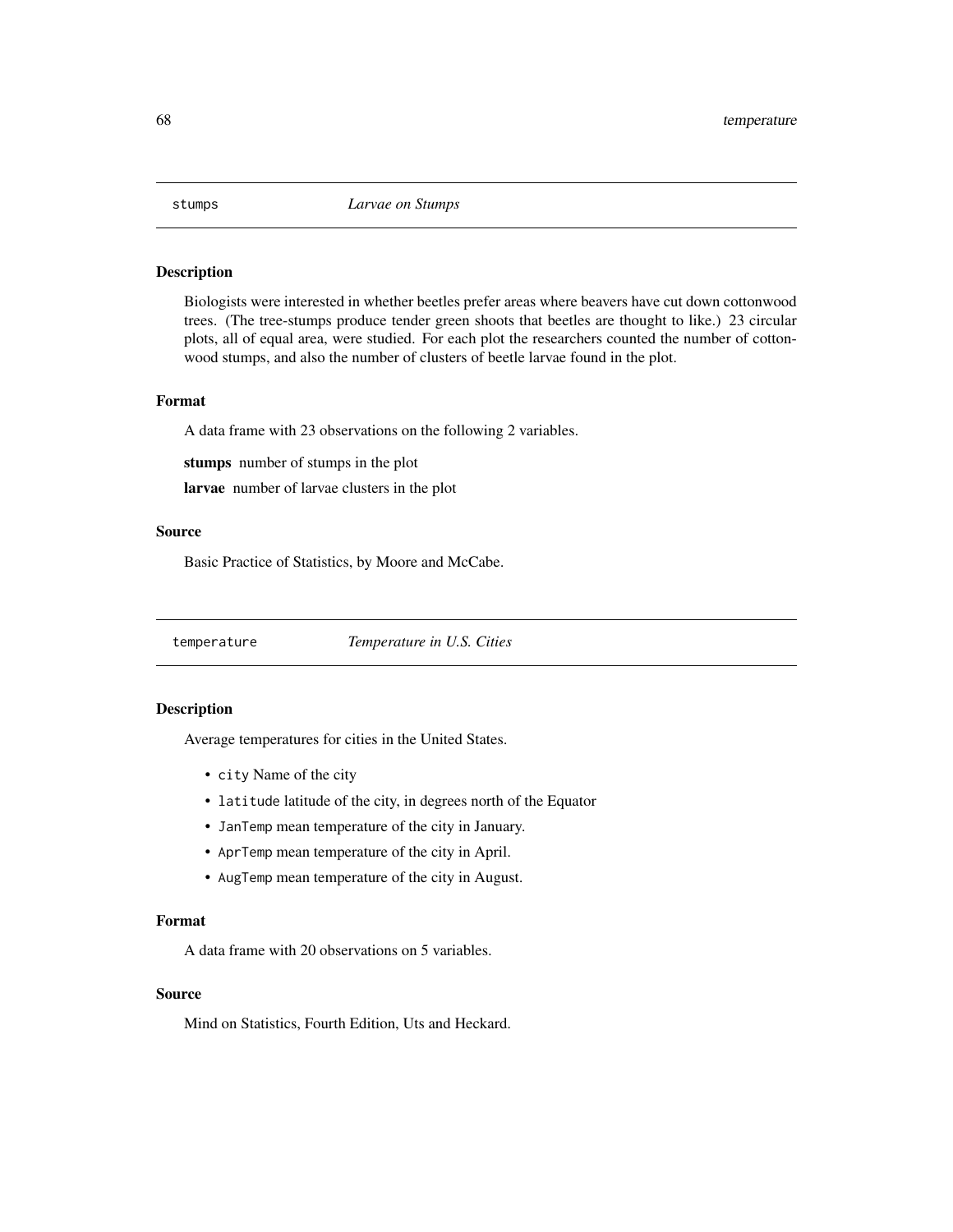Biologists were interested in whether beetles prefer areas where beavers have cut down cottonwood trees. (The tree-stumps produce tender green shoots that beetles are thought to like.) 23 circular plots, all of equal area, were studied. For each plot the researchers counted the number of cottonwood stumps, and also the number of clusters of beetle larvae found in the plot.

## Format

A data frame with 23 observations on the following 2 variables.

stumps number of stumps in the plot

larvae number of larvae clusters in the plot

## Source

Basic Practice of Statistics, by Moore and McCabe.

temperature *Temperature in U.S. Cities*

## Description

Average temperatures for cities in the United States.

- city Name of the city
- latitude latitude of the city, in degrees north of the Equator
- JanTemp mean temperature of the city in January.
- AprTemp mean temperature of the city in April.
- AugTemp mean temperature of the city in August.

# Format

A data frame with 20 observations on 5 variables.

#### Source

Mind on Statistics, Fourth Edition, Uts and Heckard.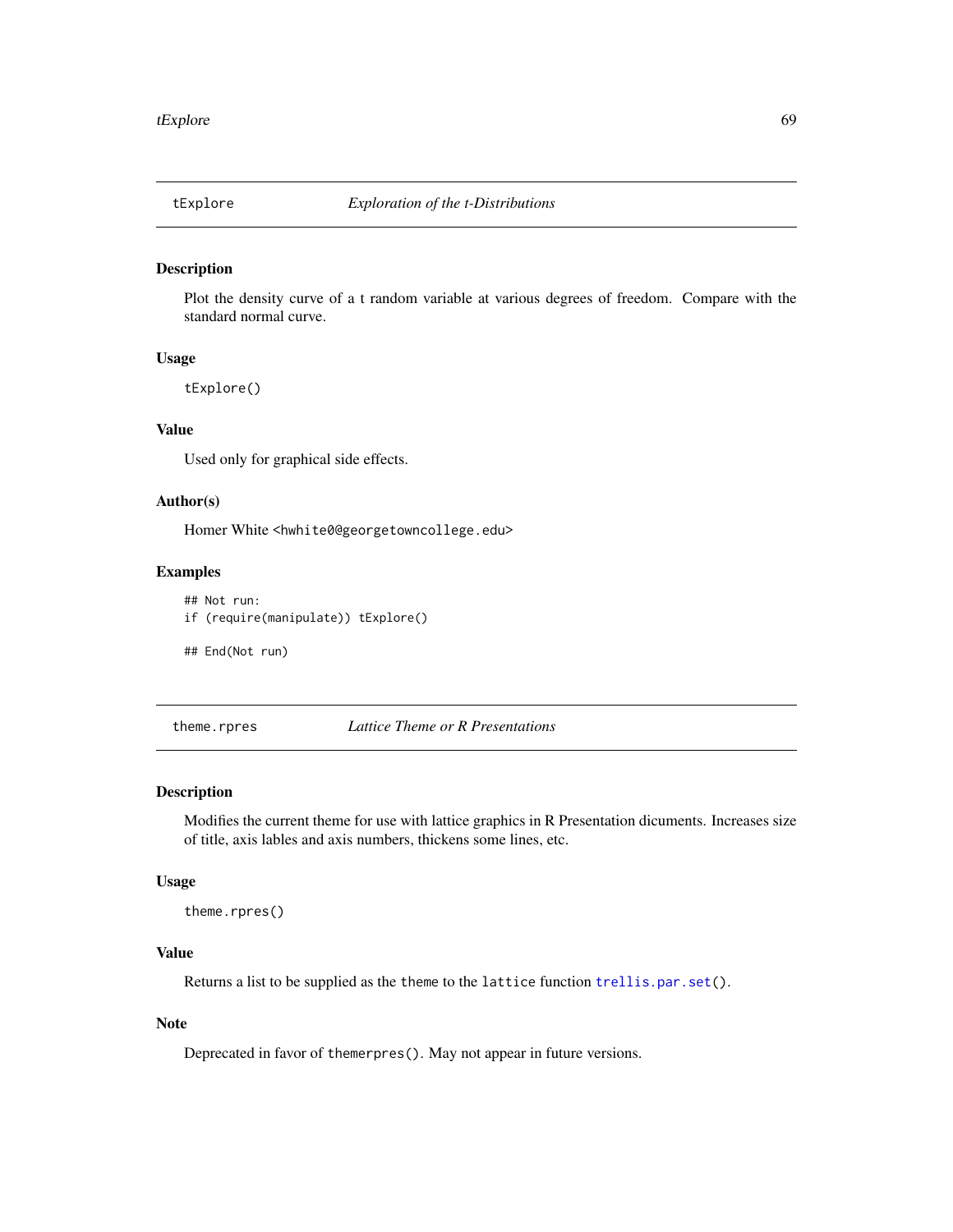Plot the density curve of a t random variable at various degrees of freedom. Compare with the standard normal curve.

# Usage

tExplore()

## Value

Used only for graphical side effects.

## Author(s)

Homer White <hwhite0@georgetowncollege.edu>

# Examples

## Not run: if (require(manipulate)) tExplore()

## End(Not run)

theme.rpres *Lattice Theme or R Presentations*

#### Description

Modifies the current theme for use with lattice graphics in R Presentation dicuments. Increases size of title, axis lables and axis numbers, thickens some lines, etc.

#### Usage

theme.rpres()

# Value

Returns a list to be supplied as the theme to the lattice function [trellis.par.set\(](#page-0-0)).

# Note

Deprecated in favor of themerpres(). May not appear in future versions.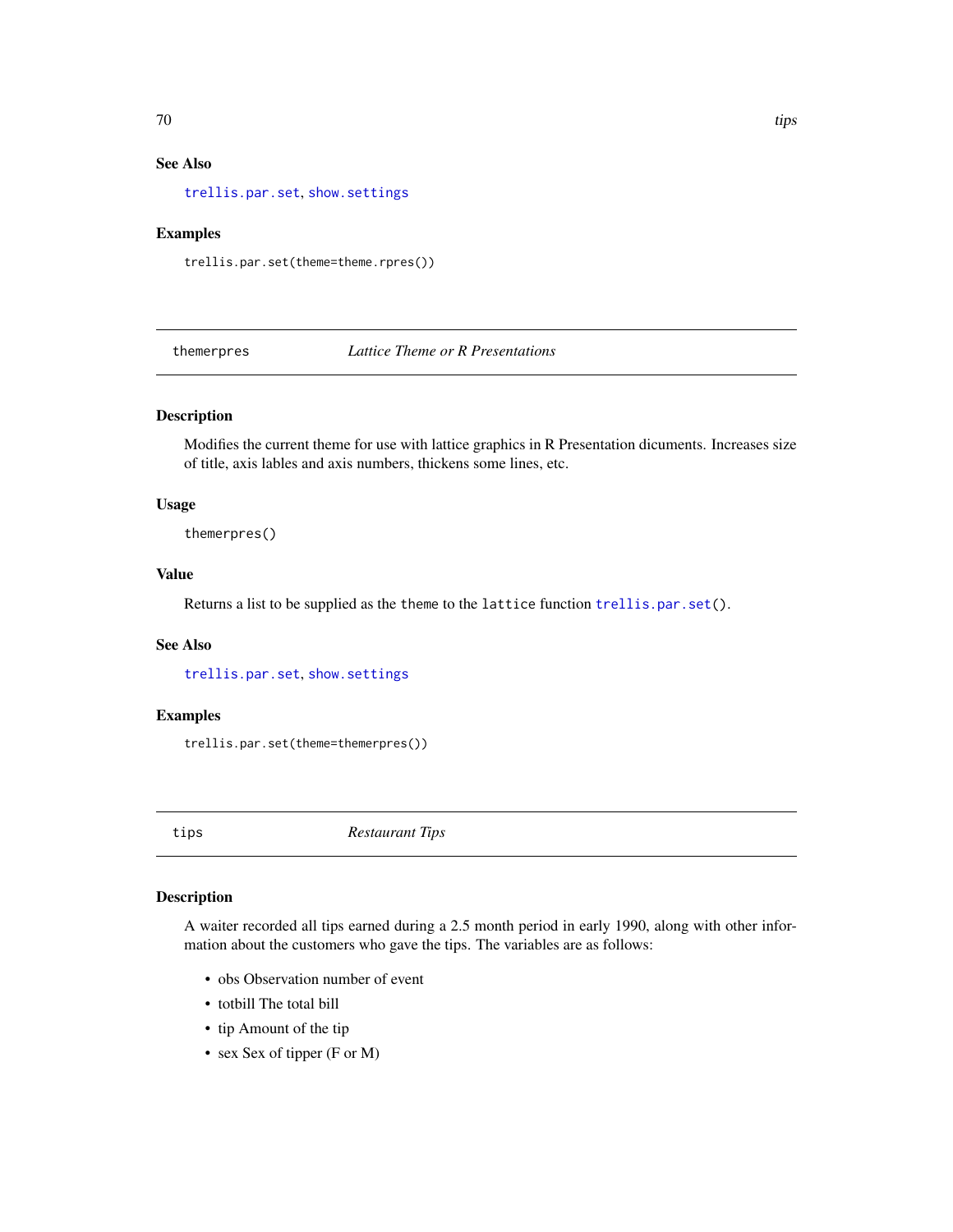# See Also

[trellis.par.set](#page-0-0), [show.settings](#page-0-0)

#### Examples

trellis.par.set(theme=theme.rpres())

themerpres *Lattice Theme or R Presentations*

## Description

Modifies the current theme for use with lattice graphics in R Presentation dicuments. Increases size of title, axis lables and axis numbers, thickens some lines, etc.

# Usage

themerpres()

# Value

Returns a list to be supplied as the theme to the lattice function [trellis.par.set\(](#page-0-0)).

#### See Also

[trellis.par.set](#page-0-0), [show.settings](#page-0-0)

#### Examples

trellis.par.set(theme=themerpres())

tips *Restaurant Tips*

# Description

A waiter recorded all tips earned during a 2.5 month period in early 1990, along with other information about the customers who gave the tips. The variables are as follows:

- obs Observation number of event
- totbill The total bill
- tip Amount of the tip
- sex Sex of tipper (F or M)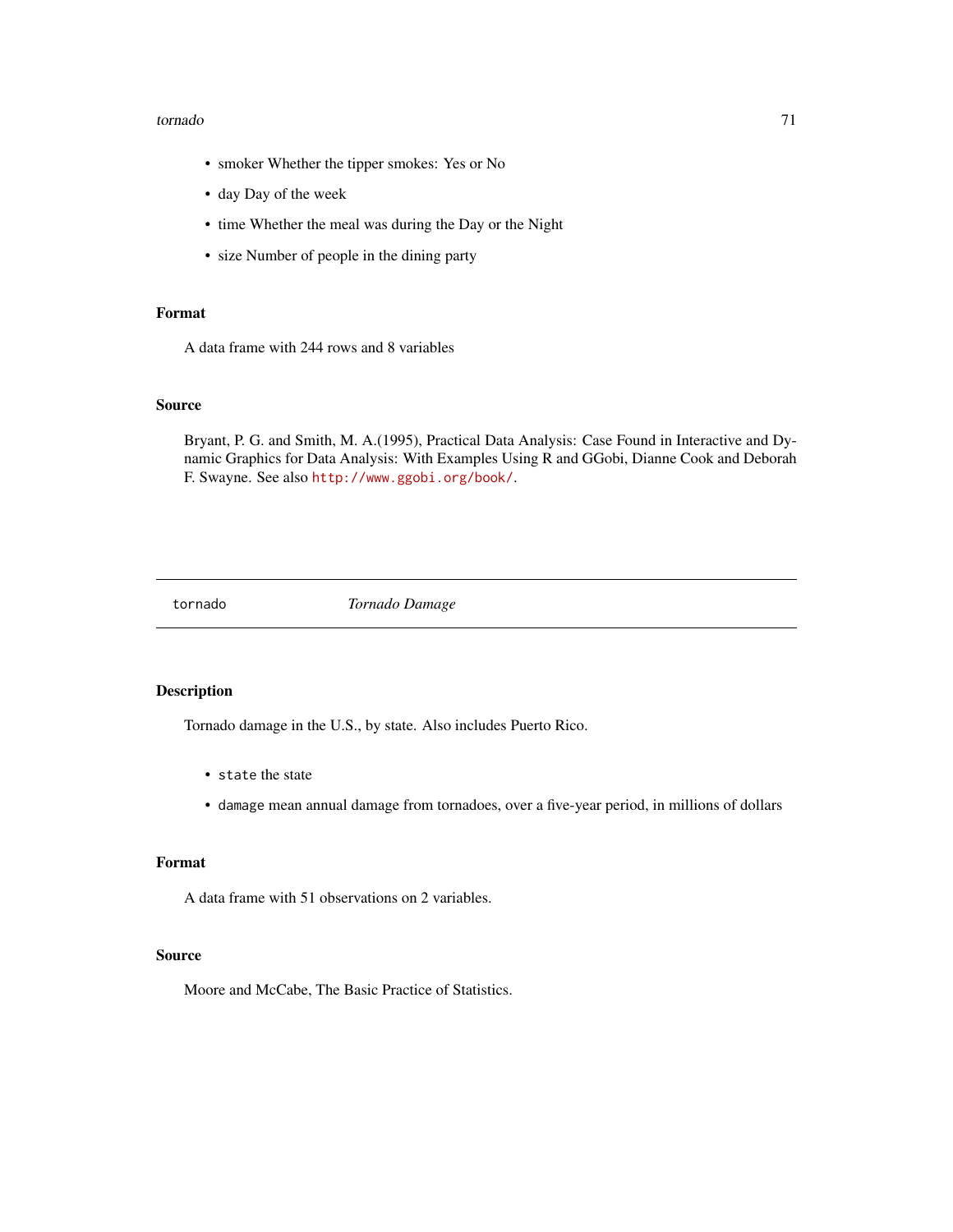#### tornado 71

- smoker Whether the tipper smokes: Yes or No
- day Day of the week
- time Whether the meal was during the Day or the Night
- size Number of people in the dining party

# Format

A data frame with 244 rows and 8 variables

#### Source

Bryant, P. G. and Smith, M. A.(1995), Practical Data Analysis: Case Found in Interactive and Dynamic Graphics for Data Analysis: With Examples Using R and GGobi, Dianne Cook and Deborah F. Swayne. See also <http://www.ggobi.org/book/>.

tornado *Tornado Damage*

# Description

Tornado damage in the U.S., by state. Also includes Puerto Rico.

- state the state
- damage mean annual damage from tornadoes, over a five-year period, in millions of dollars

## Format

A data frame with 51 observations on 2 variables.

#### Source

Moore and McCabe, The Basic Practice of Statistics.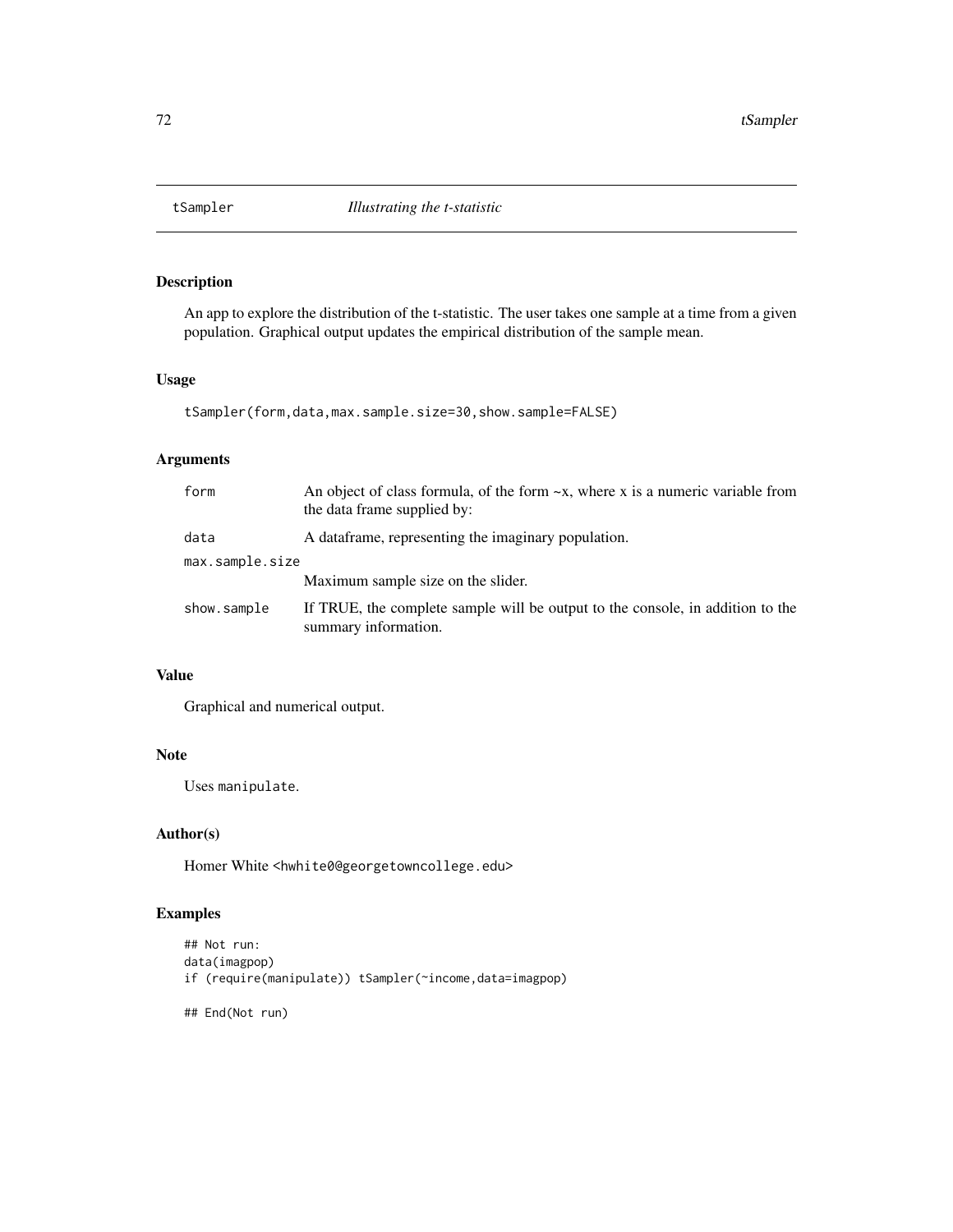An app to explore the distribution of the t-statistic. The user takes one sample at a time from a given population. Graphical output updates the empirical distribution of the sample mean.

## Usage

```
tSampler(form,data,max.sample.size=30,show.sample=FALSE)
```
# Arguments

| form            | An object of class formula, of the form $-x$ , where x is a numeric variable from<br>the data frame supplied by: |  |
|-----------------|------------------------------------------------------------------------------------------------------------------|--|
| data            | A data frame, representing the imaginary population.                                                             |  |
| max.sample.size |                                                                                                                  |  |
|                 | Maximum sample size on the slider.                                                                               |  |
| show.sample     | If TRUE, the complete sample will be output to the console, in addition to the<br>summary information.           |  |

# Value

Graphical and numerical output.

# Note

Uses manipulate.

# Author(s)

Homer White <hwhite0@georgetowncollege.edu>

# Examples

```
## Not run:
data(imagpop)
if (require(manipulate)) tSampler(~income,data=imagpop)
## End(Not run)
```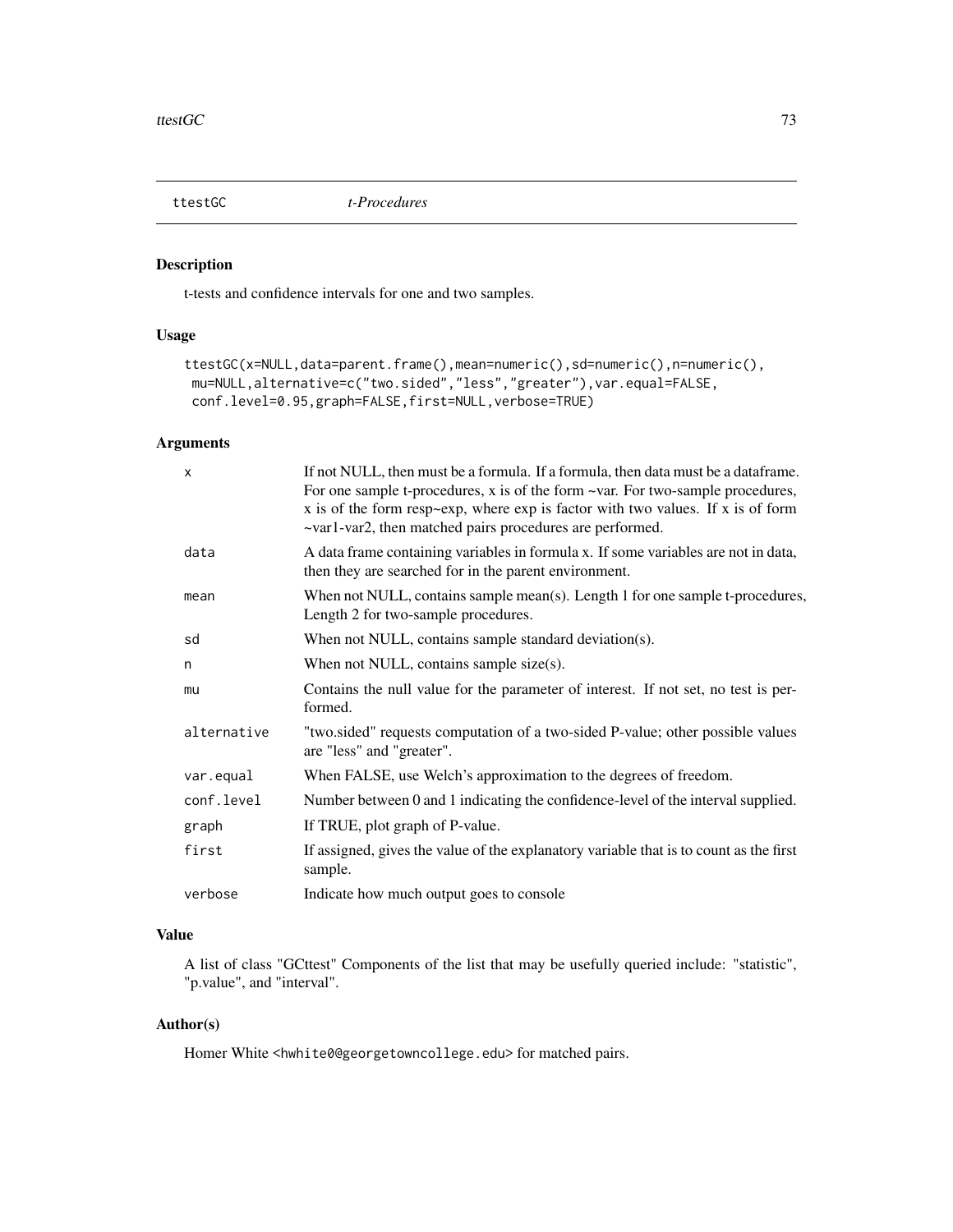<span id="page-72-0"></span>

# Description

t-tests and confidence intervals for one and two samples.

# Usage

```
ttestGC(x=NULL,data=parent.frame(),mean=numeric(),sd=numeric(),n=numeric(),
mu=NULL,alternative=c("two.sided","less","greater"),var.equal=FALSE,
conf.level=0.95,graph=FALSE,first=NULL,verbose=TRUE)
```
# Arguments

| X           | If not NULL, then must be a formula. If a formula, then data must be a dataframe.<br>For one sample t-procedures, x is of the form $\sim$ var. For two-sample procedures,<br>x is of the form resp $\sim$ exp, where exp is factor with two values. If x is of form<br>~var1-var2, then matched pairs procedures are performed. |
|-------------|---------------------------------------------------------------------------------------------------------------------------------------------------------------------------------------------------------------------------------------------------------------------------------------------------------------------------------|
| data        | A data frame containing variables in formula x. If some variables are not in data,<br>then they are searched for in the parent environment.                                                                                                                                                                                     |
| mean        | When not NULL, contains sample mean(s). Length 1 for one sample t-procedures,<br>Length 2 for two-sample procedures.                                                                                                                                                                                                            |
| sd          | When not NULL, contains sample standard deviation(s).                                                                                                                                                                                                                                                                           |
| n           | When not NULL, contains sample size $(s)$ .                                                                                                                                                                                                                                                                                     |
| mu          | Contains the null value for the parameter of interest. If not set, no test is per-<br>formed.                                                                                                                                                                                                                                   |
| alternative | "two.sided" requests computation of a two-sided P-value; other possible values<br>are "less" and "greater".                                                                                                                                                                                                                     |
| var.equal   | When FALSE, use Welch's approximation to the degrees of freedom.                                                                                                                                                                                                                                                                |
| conf.level  | Number between 0 and 1 indicating the confidence-level of the interval supplied.                                                                                                                                                                                                                                                |
| graph       | If TRUE, plot graph of P-value.                                                                                                                                                                                                                                                                                                 |
| first       | If assigned, gives the value of the explanatory variable that is to count as the first<br>sample.                                                                                                                                                                                                                               |
| verbose     | Indicate how much output goes to console                                                                                                                                                                                                                                                                                        |

# Value

A list of class "GCttest" Components of the list that may be usefully queried include: "statistic", "p.value", and "interval".

# Author(s)

Homer White <hwhite0@georgetowncollege.edu> for matched pairs.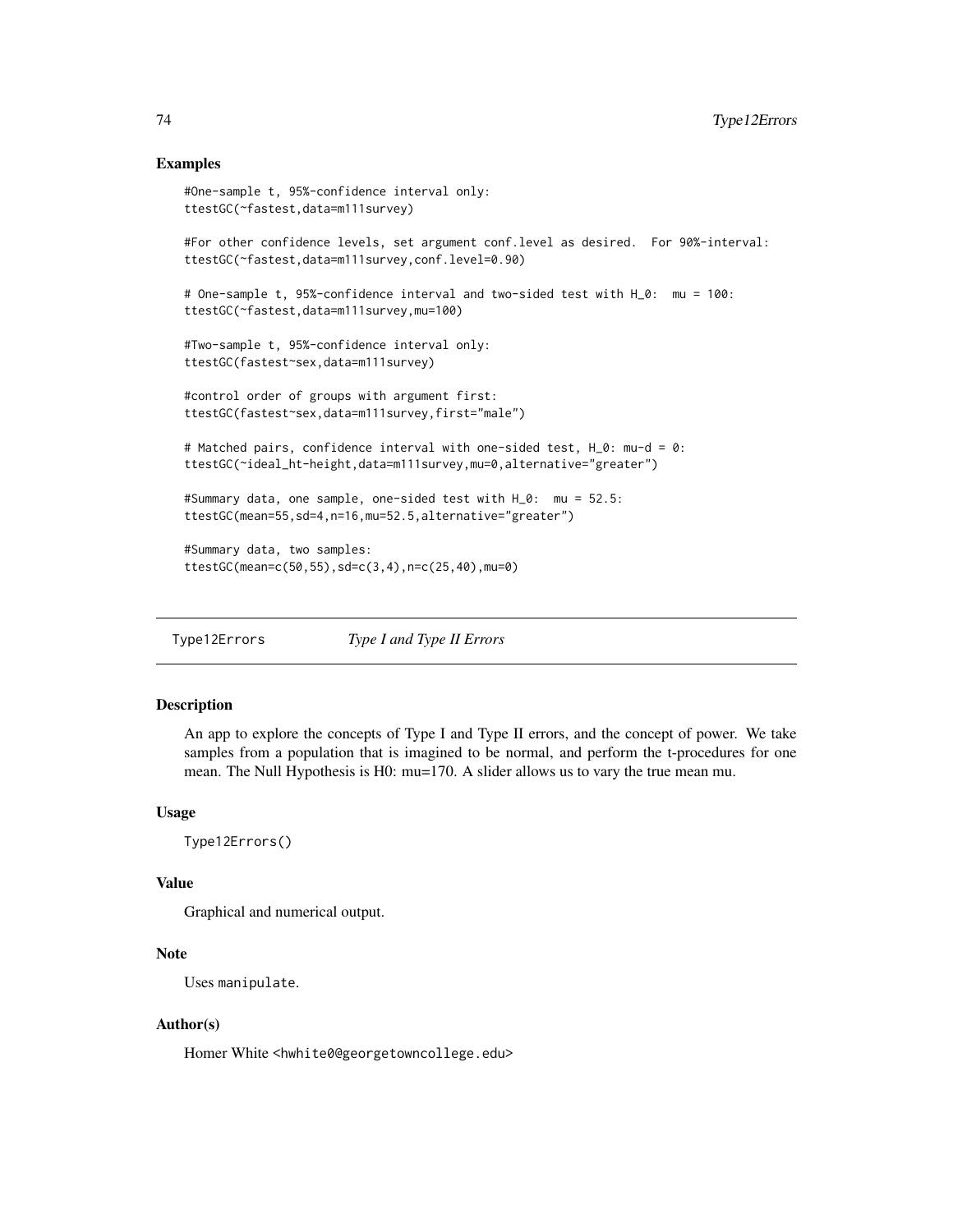#### <span id="page-73-0"></span>Examples

```
#One-sample t, 95%-confidence interval only:
ttestGC(~fastest,data=m111survey)
#For other confidence levels, set argument conf.level as desired. For 90%-interval:
ttestGC(~fastest,data=m111survey,conf.level=0.90)
# One-sample t, 95%-confidence interval and two-sided test with H_0: mu = 100:
ttestGC(~fastest,data=m111survey,mu=100)
#Two-sample t, 95%-confidence interval only:
ttestGC(fastest~sex,data=m111survey)
#control order of groups with argument first:
ttestGC(fastest~sex,data=m111survey,first="male")
# Matched pairs, confidence interval with one-sided test, H_0: mu-d = 0:
ttestGC(~ideal_ht-height,data=m111survey,mu=0,alternative="greater")
#Summary data, one sample, one-sided test with H_0: mu = 52.5:
ttestGC(mean=55,sd=4,n=16,mu=52.5,alternative="greater")
#Summary data, two samples:
ttestGC(mean=c(50,55),sd=c(3,4),n=c(25,40),mu=0)
```
Type12Errors *Type I and Type II Errors*

### Description

An app to explore the concepts of Type I and Type II errors, and the concept of power. We take samples from a population that is imagined to be normal, and perform the t-procedures for one mean. The Null Hypothesis is H0: mu=170. A slider allows us to vary the true mean mu.

#### Usage

Type12Errors()

## Value

Graphical and numerical output.

# Note

Uses manipulate.

#### Author(s)

Homer White <hwhite0@georgetowncollege.edu>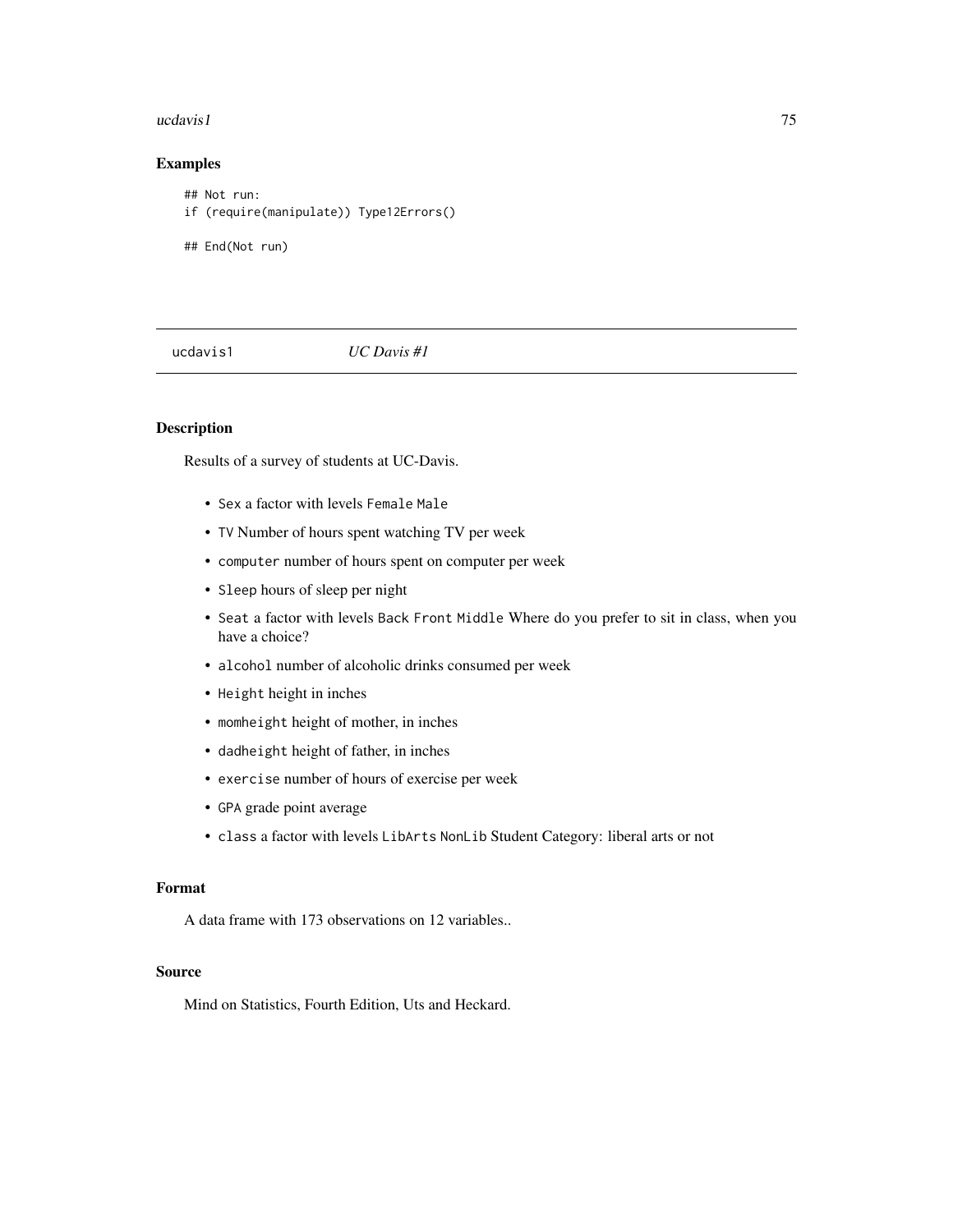#### <span id="page-74-0"></span>ucdavis1 75

# Examples

```
## Not run:
if (require(manipulate)) Type12Errors()
## End(Not run)
```
ucdavis1 *UC Davis #1*

# Description

Results of a survey of students at UC-Davis.

- Sex a factor with levels Female Male
- TV Number of hours spent watching TV per week
- computer number of hours spent on computer per week
- Sleep hours of sleep per night
- Seat a factor with levels Back Front Middle Where do you prefer to sit in class, when you have a choice?
- alcohol number of alcoholic drinks consumed per week
- Height height in inches
- momheight height of mother, in inches
- dadheight height of father, in inches
- exercise number of hours of exercise per week
- GPA grade point average
- class a factor with levels LibArts NonLib Student Category: liberal arts or not

#### Format

A data frame with 173 observations on 12 variables..

#### Source

Mind on Statistics, Fourth Edition, Uts and Heckard.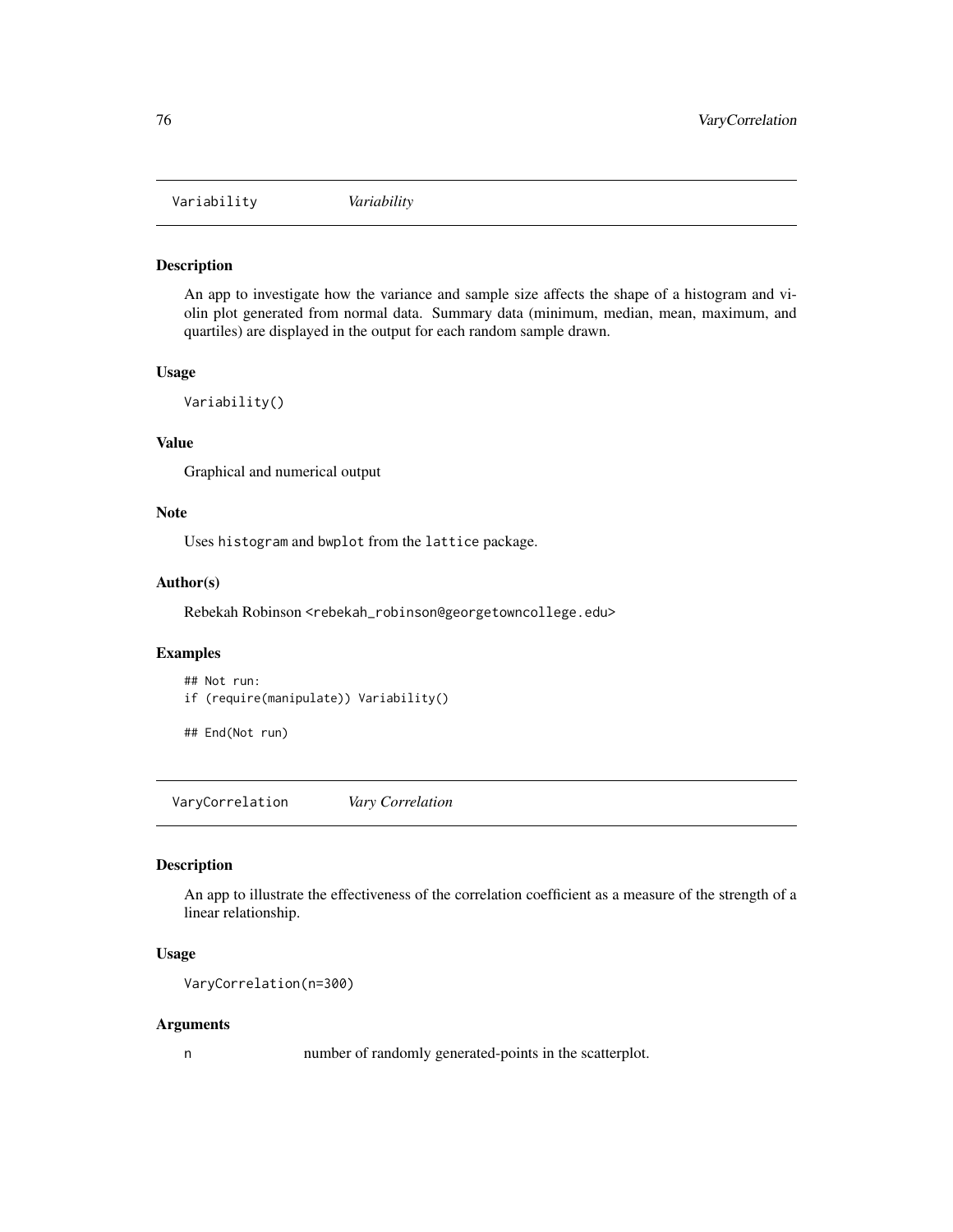<span id="page-75-0"></span>Variability *Variability*

# Description

An app to investigate how the variance and sample size affects the shape of a histogram and violin plot generated from normal data. Summary data (minimum, median, mean, maximum, and quartiles) are displayed in the output for each random sample drawn.

#### Usage

Variability()

#### Value

Graphical and numerical output

#### Note

Uses histogram and bwplot from the lattice package.

#### Author(s)

Rebekah Robinson <rebekah\_robinson@georgetowncollege.edu>

#### Examples

## Not run: if (require(manipulate)) Variability()

## End(Not run)

VaryCorrelation *Vary Correlation*

# Description

An app to illustrate the effectiveness of the correlation coefficient as a measure of the strength of a linear relationship.

#### Usage

```
VaryCorrelation(n=300)
```
#### Arguments

n number of randomly generated-points in the scatterplot.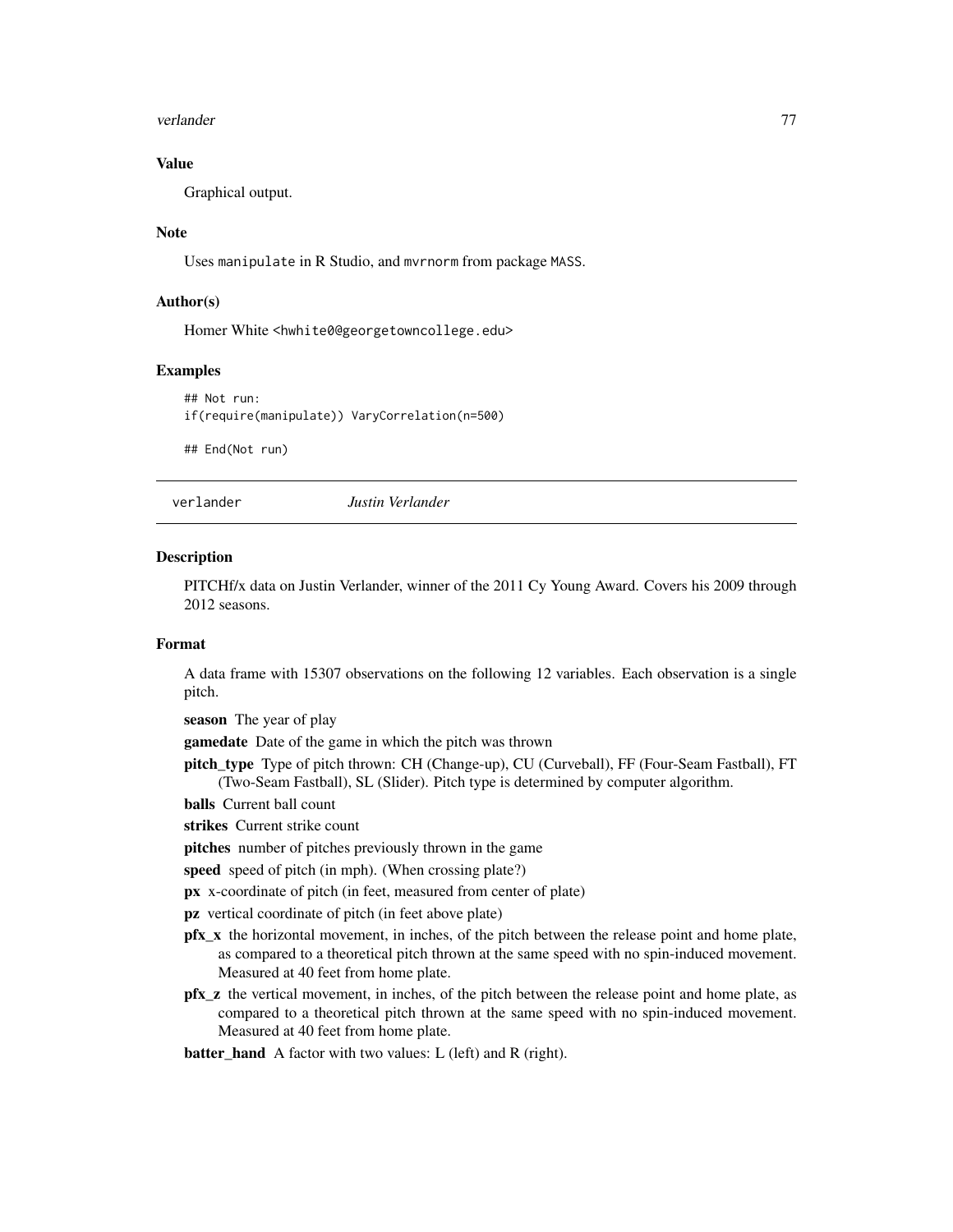#### <span id="page-76-0"></span>verlander 1773 verlander 1774 verlander 1774 verlander 1774 verlander 1774 verlander 1774 verlander 1774 verlander 177

# Value

Graphical output.

# Note

Uses manipulate in R Studio, and mvrnorm from package MASS.

# Author(s)

Homer White <hwhite0@georgetowncollege.edu>

#### Examples

```
## Not run:
if(require(manipulate)) VaryCorrelation(n=500)
```
## End(Not run)

verlander *Justin Verlander*

#### Description

PITCHf/x data on Justin Verlander, winner of the 2011 Cy Young Award. Covers his 2009 through 2012 seasons.

#### Format

A data frame with 15307 observations on the following 12 variables. Each observation is a single pitch.

season The year of play

gamedate Date of the game in which the pitch was thrown

pitch\_type Type of pitch thrown: CH (Change-up), CU (Curveball), FF (Four-Seam Fastball), FT (Two-Seam Fastball), SL (Slider). Pitch type is determined by computer algorithm.

balls Current ball count

strikes Current strike count

pitches number of pitches previously thrown in the game

speed speed of pitch (in mph). (When crossing plate?)

px x-coordinate of pitch (in feet, measured from center of plate)

pz vertical coordinate of pitch (in feet above plate)

- **pfx** x the horizontal movement, in inches, of the pitch between the release point and home plate, as compared to a theoretical pitch thrown at the same speed with no spin-induced movement. Measured at 40 feet from home plate.
- pfx\_z the vertical movement, in inches, of the pitch between the release point and home plate, as compared to a theoretical pitch thrown at the same speed with no spin-induced movement. Measured at 40 feet from home plate.

#### batter\_hand A factor with two values: L (left) and R (right).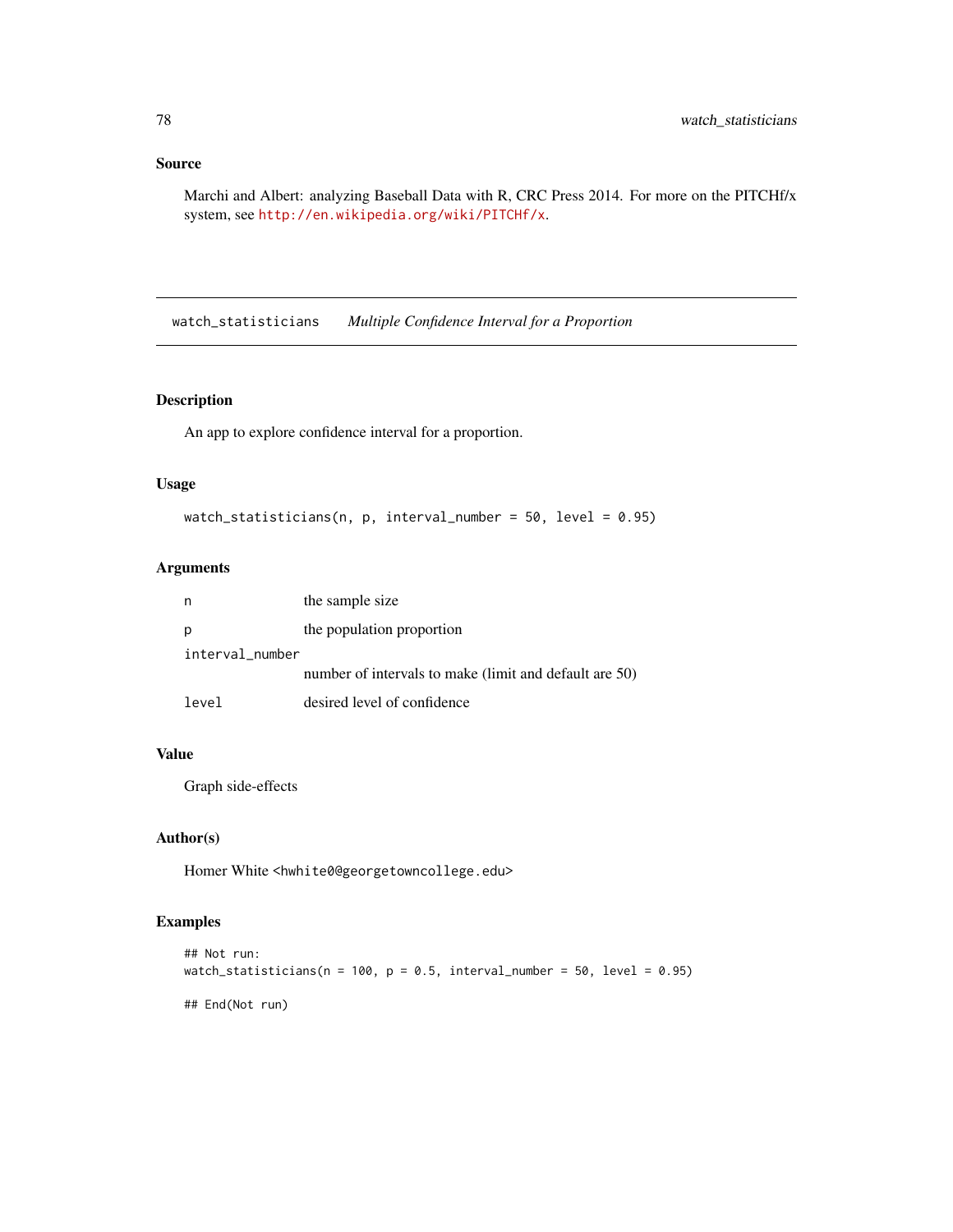# Source

Marchi and Albert: analyzing Baseball Data with R, CRC Press 2014. For more on the PITCHf/x system, see <http://en.wikipedia.org/wiki/PITCHf/x>.

watch\_statisticians *Multiple Confidence Interval for a Proportion*

# Description

An app to explore confidence interval for a proportion.

#### Usage

```
watch_statisticians(n, p, interval_number = 50, level = 0.95)
```
# Arguments

| n               | the sample size                                        |
|-----------------|--------------------------------------------------------|
| p               | the population proportion                              |
| interval_number |                                                        |
|                 | number of intervals to make (limit and default are 50) |
| level           | desired level of confidence                            |

# Value

Graph side-effects

# Author(s)

Homer White <hwhite0@georgetowncollege.edu>

# Examples

```
## Not run:
watch_statisticians(n = 100, p = 0.5, interval_number = 50, level = 0.95)
## End(Not run)
```
<span id="page-77-0"></span>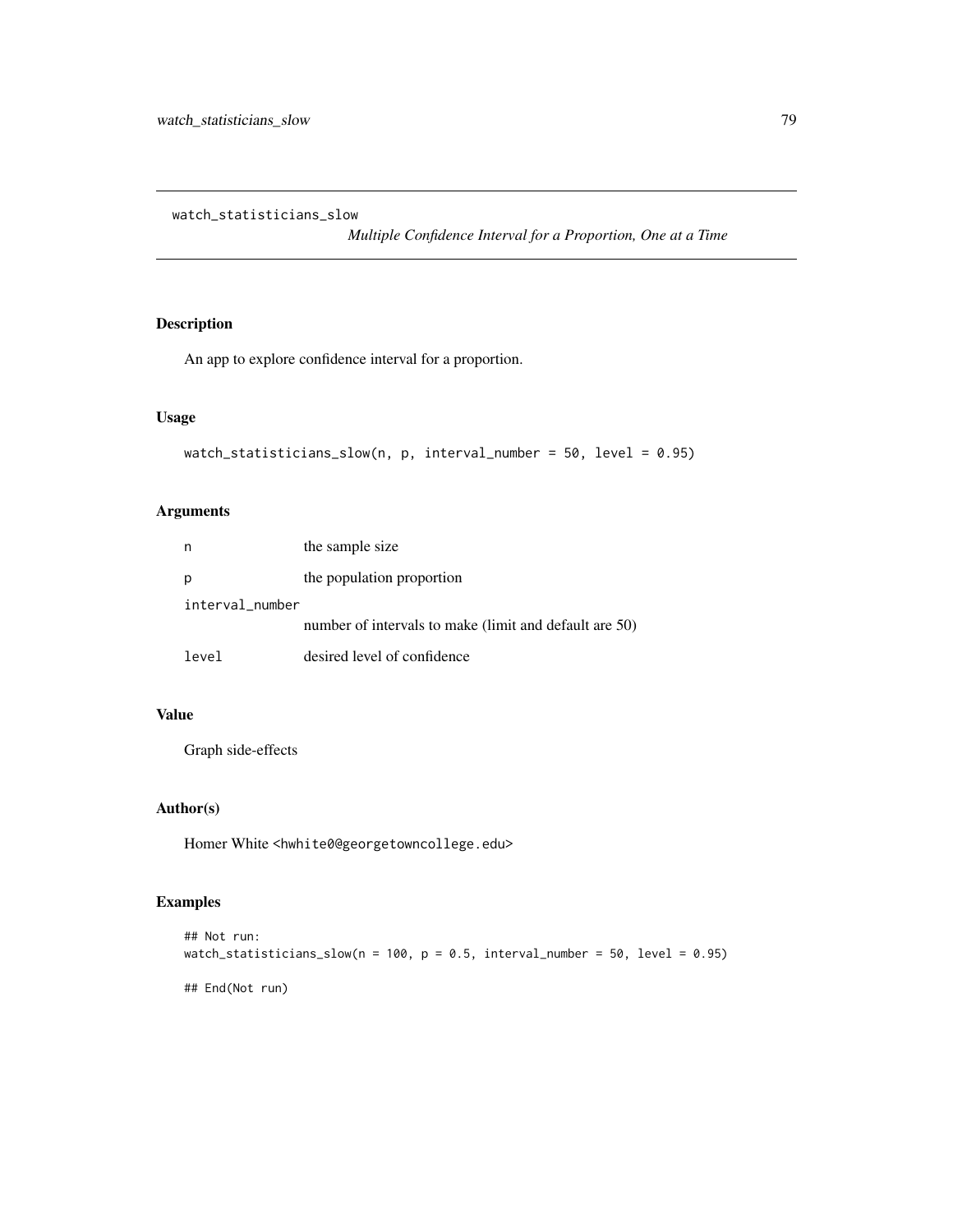<span id="page-78-0"></span>watch\_statisticians\_slow

# Description

An app to explore confidence interval for a proportion.

#### Usage

```
watch_statisticians_slow(n, p, interval_number = 50, level = 0.95)
```
# Arguments

| n               | the sample size                                        |  |
|-----------------|--------------------------------------------------------|--|
|                 | the population proportion                              |  |
| interval_number |                                                        |  |
|                 | number of intervals to make (limit and default are 50) |  |
| level           | desired level of confidence                            |  |

# Value

Graph side-effects

# Author(s)

Homer White <hwhite0@georgetowncollege.edu>

# Examples

```
## Not run:
watch_statisticians_slow(n = 100, p = 0.5, interval_number = 50, level = 0.95)
## End(Not run)
```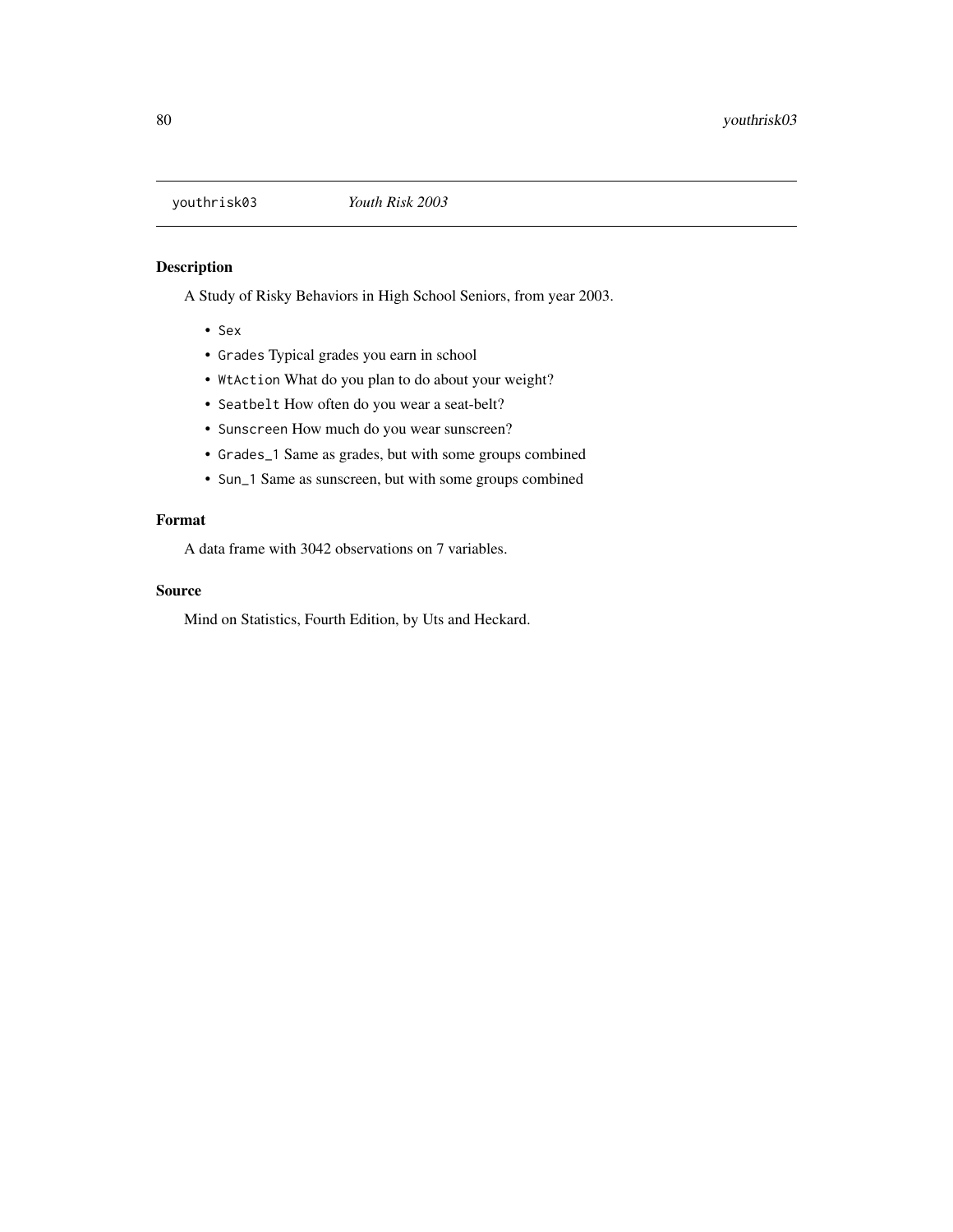# <span id="page-79-0"></span>Description

A Study of Risky Behaviors in High School Seniors, from year 2003.

- Sex
- Grades Typical grades you earn in school
- WtAction What do you plan to do about your weight?
- Seatbelt How often do you wear a seat-belt?
- Sunscreen How much do you wear sunscreen?
- Grades\_1 Same as grades, but with some groups combined
- Sun\_1 Same as sunscreen, but with some groups combined

# Format

A data frame with 3042 observations on 7 variables.

# Source

Mind on Statistics, Fourth Edition, by Uts and Heckard.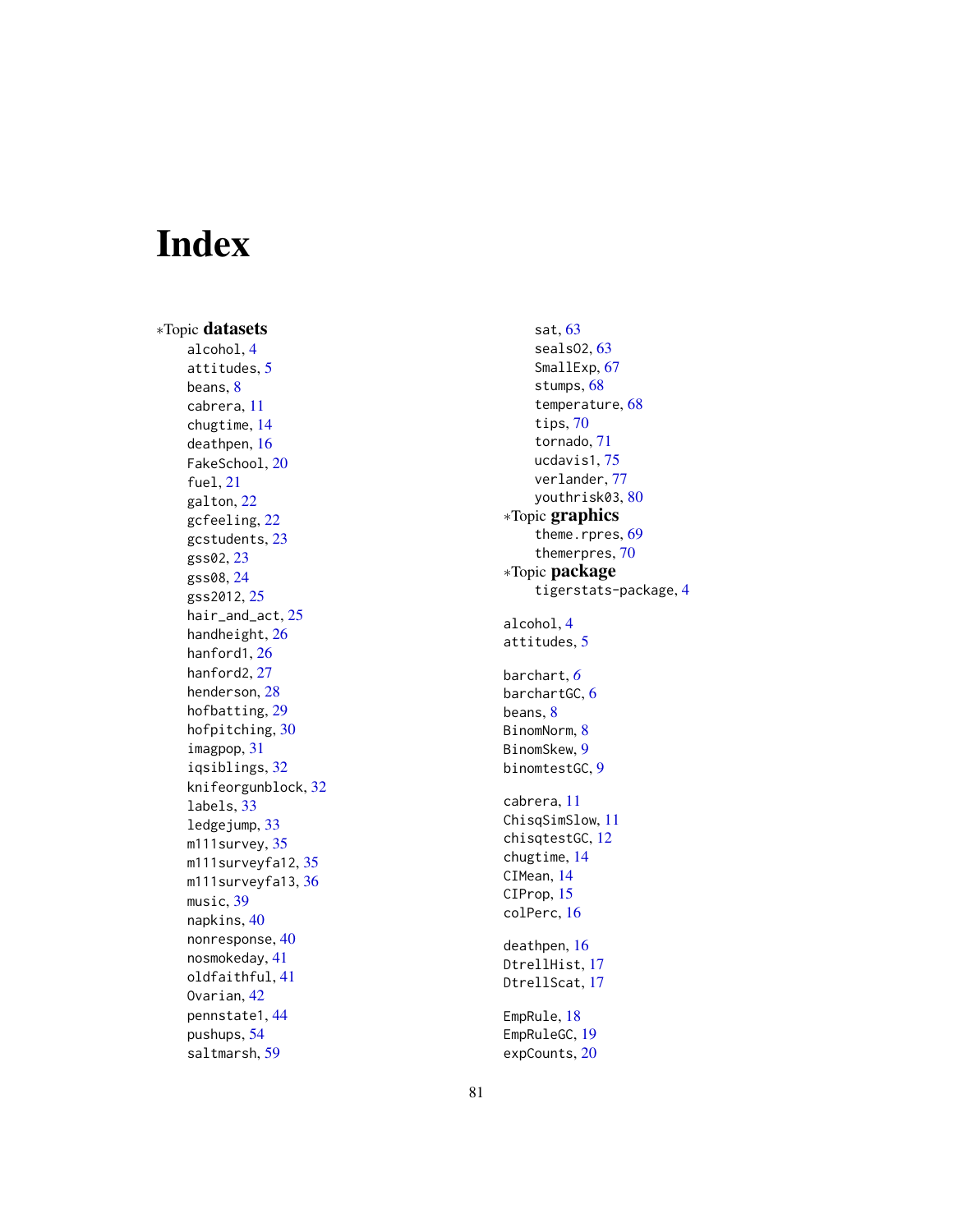# Index

∗Topic datasets alcohol , [4](#page-3-0) attitudes , [5](#page-4-0) beans, <mark>[8](#page-7-0)</mark> cabrera , [11](#page-10-0) chugtime , [14](#page-13-0) deathpen , [16](#page-15-0) FakeSchool , [20](#page-19-0) fuel , [21](#page-20-0) galton , [22](#page-21-0) gcfeeling , [22](#page-21-0) gcstudents , [23](#page-22-0) gss02 , [23](#page-22-0) gss08 , [24](#page-23-0) gss2012 , [25](#page-24-0) hair\_and\_act, [25](#page-24-0) handheight , [26](#page-25-0) hanford1 , [26](#page-25-0) hanford2, [27](#page-26-0) henderson , [28](#page-27-0) hofbatting , [29](#page-28-0) hofpitching, [30](#page-29-0) imagpop , [31](#page-30-0) iqsiblings , [32](#page-31-0) knifeorgunblock , [32](#page-31-0) labels , [33](#page-32-0) ledgejump , [33](#page-32-0) m111survey , [35](#page-34-0) m111surveyfa12,[35](#page-34-0) m111surveyfa13,[36](#page-35-0) music , [39](#page-38-0) napkins , [40](#page-39-0) nonresponse , [40](#page-39-0) nosmokeday , [41](#page-40-0) oldfaithful , [41](#page-40-0) Ovarian , [42](#page-41-0) pennstate1 , [44](#page-43-0) pushups , [54](#page-53-0) saltmarsh , [59](#page-58-0)

sat , [63](#page-62-0) sealsO2 , [63](#page-62-0) SmallExp, [67](#page-66-0) stumps, [68](#page-67-0) temperature , [68](#page-67-0) tips, [70](#page-69-0) tornado , [71](#page-70-0) ucdavis1 , [75](#page-74-0) verlander , [77](#page-76-0) youthrisk03 , [80](#page-79-0) ∗Topic graphics theme.rpres, [69](#page-68-0) themerpres , [70](#page-69-0) ∗Topic package tigerstats-package , [4](#page-3-0) alcohol , [4](#page-3-0) attitudes , [5](#page-4-0) barchart , *[6](#page-5-0)* barchartGC, [6](#page-5-0) beans, [8](#page-7-0) BinomNorm, [8](#page-7-0) BinomSkew , [9](#page-8-0) binomtestGC, <mark>[9](#page-8-0)</mark> cabrera , [11](#page-10-0) ChisqSimSlow , [11](#page-10-0) chisqtestGC , [12](#page-11-0) chugtime , [14](#page-13-0) CIMean, [14](#page-13-0) CIProp, [15](#page-14-0) colPerc , [16](#page-15-0) deathpen , [16](#page-15-0) DtrellHist , [17](#page-16-0) DtrellScat , [17](#page-16-0) EmpRule , [18](#page-17-0) EmpRuleGC , [19](#page-18-0) expCounts , [20](#page-19-0)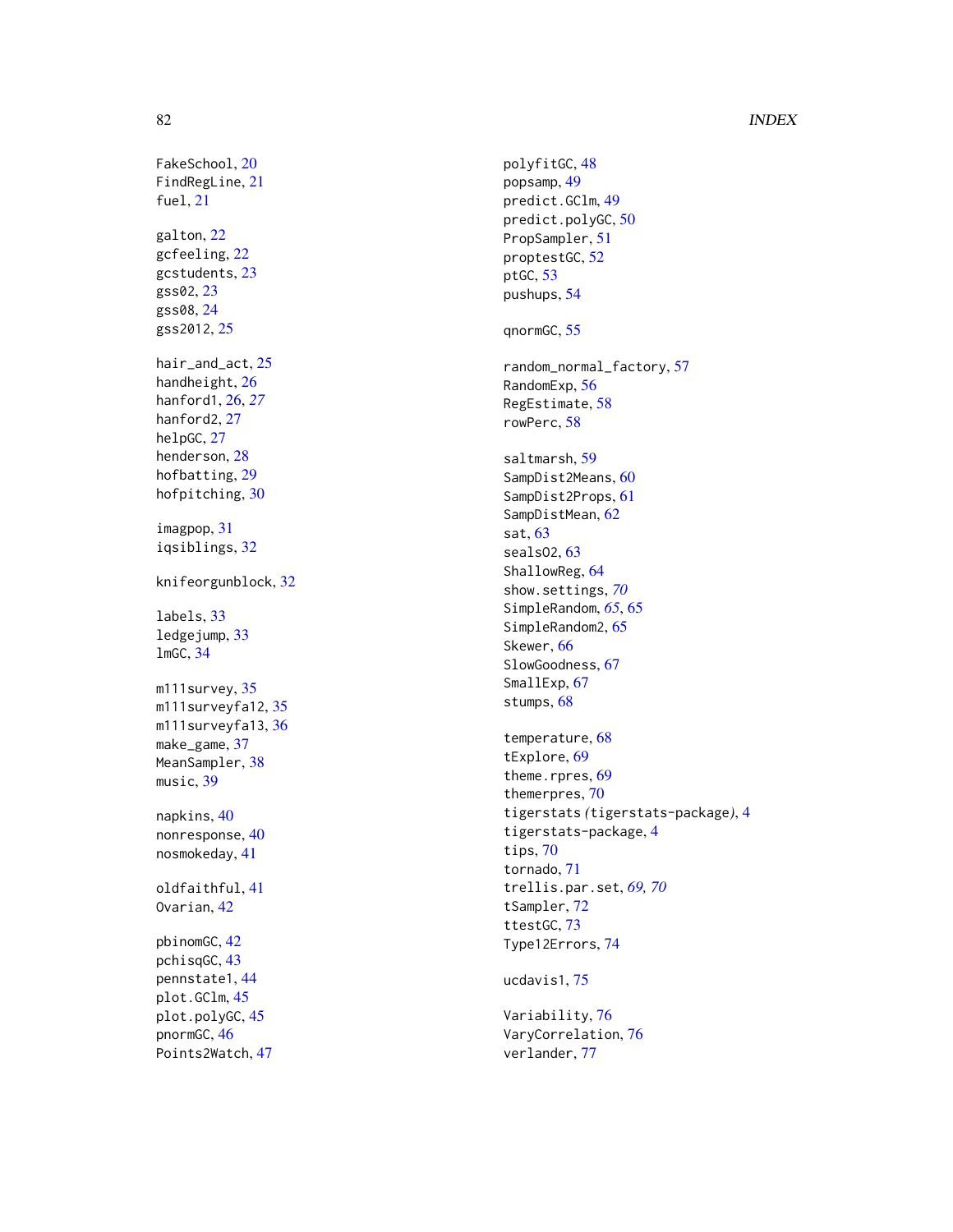# 82 INDEX

FakeSchool, [20](#page-19-0) FindRegLine , [21](#page-20-0) fuel , [21](#page-20-0) galton , [22](#page-21-0) gcfeeling , [22](#page-21-0) gcstudents , [23](#page-22-0) gss02 , [23](#page-22-0) gss08 , [24](#page-23-0) gss2012 , [25](#page-24-0) hair\_and\_act , [25](#page-24-0) handheight , [26](#page-25-0) hanford1 , [26](#page-25-0) , *[27](#page-26-0)* hanford2 , [27](#page-26-0) helpGC, [27](#page-26-0) henderson , [28](#page-27-0) hofbatting, [29](#page-28-0) hofpitching, [30](#page-29-0) imagpop , [31](#page-30-0) iqsiblings , [32](#page-31-0) knifeorgunblock , [32](#page-31-0) labels , [33](#page-32-0) ledgejump , [33](#page-32-0) lmGC , [34](#page-33-0) m111survey, [35](#page-34-0) m111surveyfa12,[35](#page-34-0) m111surveyfa13,[36](#page-35-0) make\_game , [37](#page-36-0) MeanSampler, [38](#page-37-0) music , [39](#page-38-0) napkins , [40](#page-39-0) nonresponse, [40](#page-39-0) nosmokeday , [41](#page-40-0) oldfaithful , [41](#page-40-0) Ovarian , [42](#page-41-0) pbinomGC , [42](#page-41-0) pchisqGC , [43](#page-42-0) pennstate1 , [44](#page-43-0) plot.GClm , [45](#page-44-0) plot.polyGC , [45](#page-44-0) pnormGC , [46](#page-45-0)

Points2Watch , [47](#page-46-0)

polyfitGC , [48](#page-47-0) popsamp , [49](#page-48-0) predict.GClm , [49](#page-48-0) predict.polyGC , [50](#page-49-0) PropSampler , [51](#page-50-0) proptestGC , [52](#page-51-0) ptGC , [53](#page-52-0) pushups , [54](#page-53-0) qnormGC , [55](#page-54-0) random\_normal\_factory , [57](#page-56-0) RandomExp , [56](#page-55-0) RegEstimate , [58](#page-57-0) rowPerc , [58](#page-57-0) saltmarsh , [59](#page-58-0) SampDist2Means , [60](#page-59-0) SampDist2Props , [61](#page-60-0) SampDistMean , [62](#page-61-0) sat , [63](#page-62-0) seals02, [63](#page-62-0) ShallowReg, [64](#page-63-0) show.settings , *[70](#page-69-0)* SimpleRandom, [65](#page-64-0), 65 SimpleRandom2, [65](#page-64-0) Skewer, [66](#page-65-0) SlowGoodness , [67](#page-66-0) SmallExp, [67](#page-66-0) stumps, [68](#page-67-0) temperature , [68](#page-67-0) tExplore , [69](#page-68-0) theme.rpres, [69](#page-68-0) themerpres , [70](#page-69-0) tigerstats *(*tigerstats-package *)* , [4](#page-3-0) tigerstats-package , [4](#page-3-0) tips , [70](#page-69-0) tornado , [71](#page-70-0) trellis.par.set , *[69](#page-68-0) , [70](#page-69-0)* tSampler , [72](#page-71-0) ttestGC , [73](#page-72-0) Type12Errors , [74](#page-73-0) ucdavis1 , [75](#page-74-0) Variability , [76](#page-75-0) VaryCorrelation , [76](#page-75-0) verlander , [77](#page-76-0)